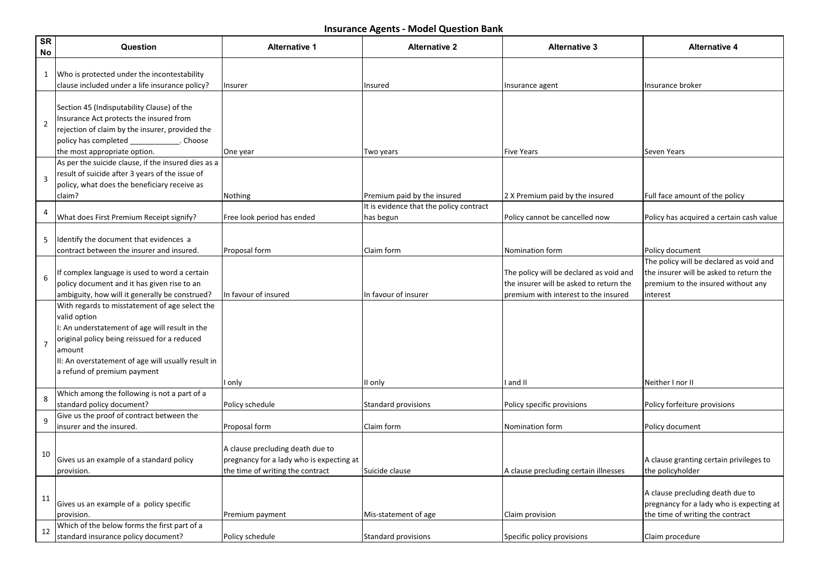| <b>SR</b><br>No | Question                                                                                                                                                                                                                                                        | <b>Alternative 1</b>                                                                                             | <b>Alternative 2</b>                                 | <b>Alternative 3</b>                                                                                                       | <b>Alternative 4</b>                                                                                                                 |
|-----------------|-----------------------------------------------------------------------------------------------------------------------------------------------------------------------------------------------------------------------------------------------------------------|------------------------------------------------------------------------------------------------------------------|------------------------------------------------------|----------------------------------------------------------------------------------------------------------------------------|--------------------------------------------------------------------------------------------------------------------------------------|
| 1               | Who is protected under the incontestability<br>clause included under a life insurance policy?                                                                                                                                                                   | Insurer                                                                                                          | Insured                                              | Insurance agent                                                                                                            | Insurance broker                                                                                                                     |
| $\overline{2}$  | Section 45 (Indisputability Clause) of the<br>Insurance Act protects the insured from<br>rejection of claim by the insurer, provided the<br>policy has completed<br>. Choose<br>the most appropriate option.                                                    | One year                                                                                                         | Two years                                            | <b>Five Years</b>                                                                                                          | Seven Years                                                                                                                          |
| 3               | As per the suicide clause, if the insured dies as a<br>result of suicide after 3 years of the issue of<br>policy, what does the beneficiary receive as<br>claim?                                                                                                | Nothing                                                                                                          | Premium paid by the insured                          | 2 X Premium paid by the insured                                                                                            | Full face amount of the policy                                                                                                       |
| 4               | What does First Premium Receipt signify?                                                                                                                                                                                                                        | Free look period has ended                                                                                       | It is evidence that the policy contract<br>has begun | Policy cannot be cancelled now                                                                                             | Policy has acquired a certain cash value                                                                                             |
| 5               | Identify the document that evidences a<br>contract between the insurer and insured.                                                                                                                                                                             | Proposal form                                                                                                    | Claim form                                           | Nomination form                                                                                                            | Policy document                                                                                                                      |
| 6               | If complex language is used to word a certain<br>policy document and it has given rise to an<br>ambiguity, how will it generally be construed?                                                                                                                  | In favour of insured                                                                                             | In favour of insurer                                 | The policy will be declared as void and<br>the insurer will be asked to return the<br>premium with interest to the insured | The policy will be declared as void and<br>the insurer will be asked to return the<br>premium to the insured without any<br>interest |
| $\overline{7}$  | With regards to misstatement of age select the<br>valid option<br>I: An understatement of age will result in the<br>original policy being reissued for a reduced<br>amount<br>II: An overstatement of age will usually result in<br>a refund of premium payment | only                                                                                                             | II only                                              | and II                                                                                                                     | Neither I nor II                                                                                                                     |
| 8               | Which among the following is not a part of a<br>standard policy document?                                                                                                                                                                                       | Policy schedule                                                                                                  | <b>Standard provisions</b>                           | Policy specific provisions                                                                                                 | Policy forfeiture provisions                                                                                                         |
| 9               | Give us the proof of contract between the<br>insurer and the insured.                                                                                                                                                                                           | Proposal form                                                                                                    | Claim form                                           | Nomination form                                                                                                            | Policy document                                                                                                                      |
| 10              | Gives us an example of a standard policy<br>provision.                                                                                                                                                                                                          | A clause precluding death due to<br>pregnancy for a lady who is expecting at<br>the time of writing the contract | Suicide clause                                       | A clause precluding certain illnesses                                                                                      | A clause granting certain privileges to<br>the policyholder                                                                          |
| 11              | Gives us an example of a policy specific<br>Iprovision.                                                                                                                                                                                                         | Premium payment                                                                                                  | Mis-statement of age                                 | Claim provision                                                                                                            | A clause precluding death due to<br>pregnancy for a lady who is expecting at<br>the time of writing the contract                     |
| 12              | Which of the below forms the first part of a<br>standard insurance policy document?                                                                                                                                                                             | Policy schedule                                                                                                  | Standard provisions                                  | Specific policy provisions                                                                                                 | Claim procedure                                                                                                                      |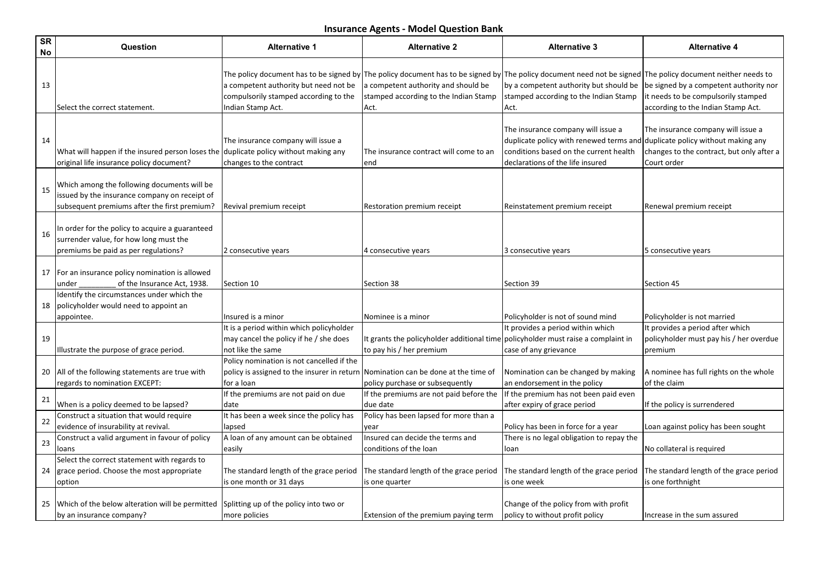| <b>SR</b><br>No | Question                                                                                                                                     | <b>Alternative 1</b>                                                                                    | <b>Alternative 2</b>                                                                                                                                                                                                                                | <b>Alternative 3</b>                                                                                                                                                                            | <b>Alternative 4</b>                                                                                                |
|-----------------|----------------------------------------------------------------------------------------------------------------------------------------------|---------------------------------------------------------------------------------------------------------|-----------------------------------------------------------------------------------------------------------------------------------------------------------------------------------------------------------------------------------------------------|-------------------------------------------------------------------------------------------------------------------------------------------------------------------------------------------------|---------------------------------------------------------------------------------------------------------------------|
| 13              | Select the correct statement.                                                                                                                | a competent authority but need not be<br>compulsorily stamped according to the<br>Indian Stamp Act.     | The policy document has to be signed by The policy document has to be signed by The policy document need not be signed The policy document neither needs to<br>a competent authority and should be<br>stamped according to the Indian Stamp<br>Act. | by a competent authority but should be<br>stamped according to the Indian Stamp<br>Act.                                                                                                         | be signed by a competent authority nor<br>it needs to be compulsorily stamped<br>according to the Indian Stamp Act. |
| 14              | What will happen if the insured person loses the<br>original life insurance policy document?                                                 | The insurance company will issue a<br>duplicate policy without making any<br>changes to the contract    | The insurance contract will come to an<br>end                                                                                                                                                                                                       | The insurance company will issue a<br>duplicate policy with renewed terms and duplicate policy without making any<br>conditions based on the current health<br>declarations of the life insured | The insurance company will issue a<br>changes to the contract, but only after a<br>Court order                      |
| 15              | Which among the following documents will be<br>issued by the insurance company on receipt of<br>subsequent premiums after the first premium? | Revival premium receipt                                                                                 | Restoration premium receipt                                                                                                                                                                                                                         | Reinstatement premium receipt                                                                                                                                                                   | Renewal premium receipt                                                                                             |
| 16              | In order for the policy to acquire a guaranteed<br>surrender value, for how long must the<br>premiums be paid as per regulations?            | 2 consecutive years                                                                                     | 4 consecutive years                                                                                                                                                                                                                                 | 3 consecutive years                                                                                                                                                                             | 5 consecutive years                                                                                                 |
| 17              | For an insurance policy nomination is allowed<br>of the Insurance Act, 1938.<br>under                                                        | Section 10                                                                                              | Section 38                                                                                                                                                                                                                                          | Section 39                                                                                                                                                                                      | Section 45                                                                                                          |
| 18              | Identify the circumstances under which the<br>policyholder would need to appoint an<br>appointee.                                            | Insured is a minor                                                                                      | Nominee is a minor                                                                                                                                                                                                                                  | Policyholder is not of sound mind                                                                                                                                                               | Policyholder is not married                                                                                         |
| 19              | Illustrate the purpose of grace period.                                                                                                      | It is a period within which policyholder<br>may cancel the policy if he / she does<br>not like the same | It grants the policyholder additional time policyholder must raise a complaint in<br>to pay his / her premium                                                                                                                                       | It provides a period within which<br>case of any grievance                                                                                                                                      | It provides a period after which<br>policyholder must pay his / her overdue<br>premium                              |
|                 | 20   All of the following statements are true with<br>regards to nomination EXCEPT:                                                          | Policy nomination is not cancelled if the<br>policy is assigned to the insurer in return<br>for a loan  | Nomination can be done at the time of<br>policy purchase or subsequently                                                                                                                                                                            | Nomination can be changed by making<br>an endorsement in the policy                                                                                                                             | A nominee has full rights on the whole<br>of the claim                                                              |
| 21              | When is a policy deemed to be lapsed?                                                                                                        | If the premiums are not paid on due<br>date                                                             | If the premiums are not paid before the<br>due date                                                                                                                                                                                                 | If the premium has not been paid even<br>after expiry of grace period                                                                                                                           | If the policy is surrendered                                                                                        |
| 22              | Construct a situation that would require<br>evidence of insurability at revival.                                                             | It has been a week since the policy has<br>lapsed                                                       | Policy has been lapsed for more than a<br>year                                                                                                                                                                                                      | Policy has been in force for a year                                                                                                                                                             | Loan against policy has been sought                                                                                 |
| 23              | Construct a valid argument in favour of policy<br>loans                                                                                      | A loan of any amount can be obtained<br>easily                                                          | Insured can decide the terms and<br>conditions of the loan                                                                                                                                                                                          | There is no legal obligation to repay the<br>lloan                                                                                                                                              | No collateral is required                                                                                           |
| 24              | Select the correct statement with regards to<br>grace period. Choose the most appropriate<br>option                                          | The standard length of the grace period<br>is one month or 31 days                                      | The standard length of the grace period<br>is one quarter                                                                                                                                                                                           | The standard length of the grace period<br>is one week                                                                                                                                          | The standard length of the grace period<br>is one forthnight                                                        |
| 25              | Which of the below alteration will be permitted<br>by an insurance company?                                                                  | Splitting up of the policy into two or<br>more policies                                                 | Extension of the premium paying term                                                                                                                                                                                                                | Change of the policy from with profit<br>policy to without profit policy                                                                                                                        | Increase in the sum assured                                                                                         |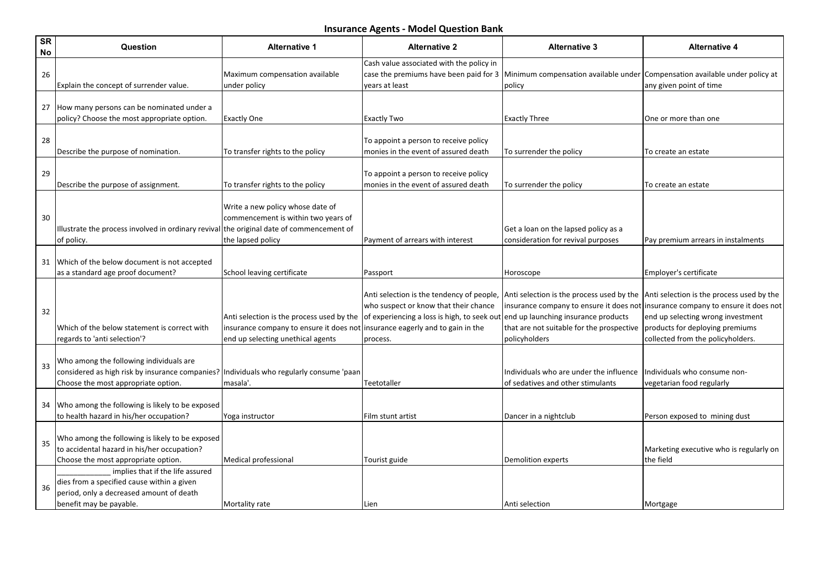| <b>SR</b><br>No | Question                                                                                                                                              | <b>Alternative 1</b>                                                                                                      | <b>Alternative 2</b>                                                                                                                                                                  | <b>Alternative 3</b>                                                                                                                                                                                                                                                                | <b>Alternative 4</b>                                                                                      |
|-----------------|-------------------------------------------------------------------------------------------------------------------------------------------------------|---------------------------------------------------------------------------------------------------------------------------|---------------------------------------------------------------------------------------------------------------------------------------------------------------------------------------|-------------------------------------------------------------------------------------------------------------------------------------------------------------------------------------------------------------------------------------------------------------------------------------|-----------------------------------------------------------------------------------------------------------|
| 26              | Explain the concept of surrender value.                                                                                                               | Maximum compensation available<br>under policy                                                                            | Cash value associated with the policy in<br>vears at least                                                                                                                            | case the premiums have been paid for 3 Minimum compensation available under Compensation available under policy at<br>policy                                                                                                                                                        | any given point of time                                                                                   |
| 27              | How many persons can be nominated under a<br>policy? Choose the most appropriate option.                                                              | <b>Exactly One</b>                                                                                                        | <b>Exactly Two</b>                                                                                                                                                                    | <b>Exactly Three</b>                                                                                                                                                                                                                                                                | One or more than one                                                                                      |
| 28              | Describe the purpose of nomination.                                                                                                                   | To transfer rights to the policy                                                                                          | To appoint a person to receive policy<br>monies in the event of assured death                                                                                                         | To surrender the policy                                                                                                                                                                                                                                                             | To create an estate                                                                                       |
| 29              | Describe the purpose of assignment.                                                                                                                   | To transfer rights to the policy                                                                                          | To appoint a person to receive policy<br>monies in the event of assured death                                                                                                         | To surrender the policy                                                                                                                                                                                                                                                             | To create an estate                                                                                       |
| 30              | $\vert$ Illustrate the process involved in ordinary revival $\vert$ the original date of commencement of<br>of policy.                                | Write a new policy whose date of<br>commencement is within two years of<br>the lapsed policy                              | Payment of arrears with interest                                                                                                                                                      | Get a loan on the lapsed policy as a<br>consideration for revival purposes                                                                                                                                                                                                          | Pay premium arrears in instalments                                                                        |
| 31              | Which of the below document is not accepted<br>as a standard age proof document?                                                                      | School leaving certificate                                                                                                | Passport                                                                                                                                                                              | Horoscope                                                                                                                                                                                                                                                                           | Employer's certificate                                                                                    |
| 32              | Which of the below statement is correct with<br>regards to 'anti selection'?                                                                          | Anti selection is the process used by the<br>insurance company to ensure it does not<br>end up selecting unethical agents | Anti selection is the tendency of people,<br>who suspect or know that their chance<br>of experiencing a loss is high, to seek out<br>insurance eagerly and to gain in the<br>process. | Anti selection is the process used by the $\vert$ Anti selection is the process used by the<br>insurance company to ensure it does not insurance company to ensure it does not<br>end up launching insurance products<br>that are not suitable for the prospective<br>policyholders | end up selecting wrong investment<br>products for deploying premiums<br>collected from the policyholders. |
| 33              | Who among the following individuals are<br>considered as high risk by insurance companies?<br>Choose the most appropriate option.                     | Individuals who regularly consume 'paan<br>masala'.                                                                       | Teetotaller                                                                                                                                                                           | Individuals who are under the influence<br>of sedatives and other stimulants                                                                                                                                                                                                        | Individuals who consume non-<br>vegetarian food regularly                                                 |
| 34              | Who among the following is likely to be exposed<br>to health hazard in his/her occupation?                                                            | Yoga instructor                                                                                                           | Film stunt artist                                                                                                                                                                     | Dancer in a nightclub                                                                                                                                                                                                                                                               | Person exposed to mining dust                                                                             |
| 35              | Who among the following is likely to be exposed<br>to accidental hazard in his/her occupation?<br>Choose the most appropriate option.                 | Medical professional                                                                                                      | Tourist guide                                                                                                                                                                         | Demolition experts                                                                                                                                                                                                                                                                  | Marketing executive who is regularly on<br>the field                                                      |
| 36              | implies that if the life assured<br>dies from a specified cause within a given<br>period, only a decreased amount of death<br>benefit may be payable. | Mortality rate                                                                                                            | Lien                                                                                                                                                                                  | Anti selection                                                                                                                                                                                                                                                                      | Mortgage                                                                                                  |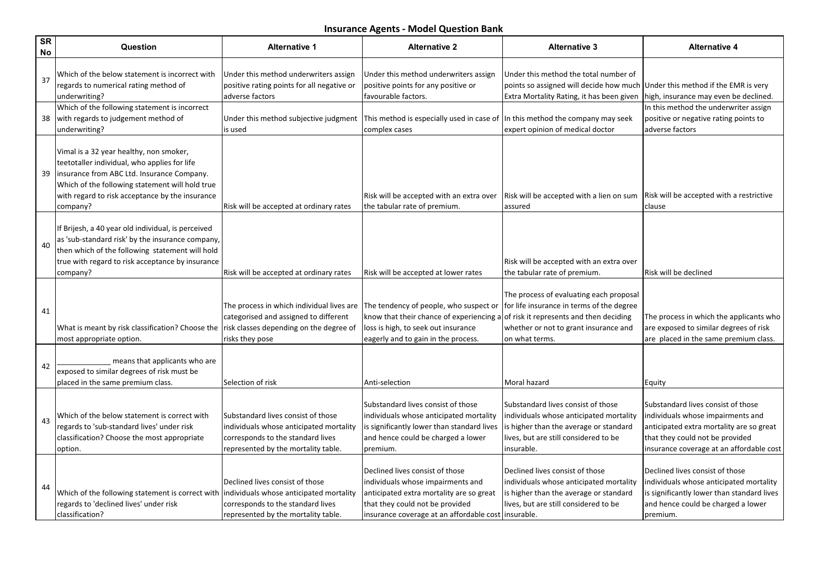| <b>SR</b><br>No | Question                                                                                                                                                                                                                                                | <b>Alternative 1</b>                                                                                                                                      | <b>Alternative 2</b>                                                                                                                                                                                       | <b>Alternative 3</b>                                                                                                                                                                        | <b>Alternative 4</b>                                                                                                                                                                               |
|-----------------|---------------------------------------------------------------------------------------------------------------------------------------------------------------------------------------------------------------------------------------------------------|-----------------------------------------------------------------------------------------------------------------------------------------------------------|------------------------------------------------------------------------------------------------------------------------------------------------------------------------------------------------------------|---------------------------------------------------------------------------------------------------------------------------------------------------------------------------------------------|----------------------------------------------------------------------------------------------------------------------------------------------------------------------------------------------------|
| 37              | Which of the below statement is incorrect with<br>regards to numerical rating method of<br>underwriting?                                                                                                                                                | Under this method underwriters assign<br>positive rating points for all negative or<br>adverse factors                                                    | Under this method underwriters assign<br>positive points for any positive or<br>favourable factors.                                                                                                        | Under this method the total number of<br>points so assigned will decide how much   Under this method if the EMR is very<br>Extra Mortality Rating, it has been given                        | high, insurance may even be declined.                                                                                                                                                              |
| 38              | Which of the following statement is incorrect<br>with regards to judgement method of<br>underwriting?                                                                                                                                                   | Under this method subjective judgment<br>is used                                                                                                          | This method is especially used in case of  In this method the company may seek<br>complex cases                                                                                                            | expert opinion of medical doctor                                                                                                                                                            | In this method the underwriter assign<br>positive or negative rating points to<br>adverse factors                                                                                                  |
| 39              | Vimal is a 32 year healthy, non smoker,<br>teetotaller individual, who applies for life<br>insurance from ABC Ltd. Insurance Company.<br>Which of the following statement will hold true<br>with regard to risk acceptance by the insurance<br>company? | Risk will be accepted at ordinary rates                                                                                                                   | Risk will be accepted with an extra over<br>the tabular rate of premium.                                                                                                                                   | Risk will be accepted with a lien on sum<br>assured                                                                                                                                         | Risk will be accepted with a restrictive<br>lclause                                                                                                                                                |
| 40              | If Brijesh, a 40 year old individual, is perceived<br>as 'sub-standard risk' by the insurance company,<br>then which of the following statement will hold<br>true with regard to risk acceptance by insurance<br>company?                               | Risk will be accepted at ordinary rates                                                                                                                   | Risk will be accepted at lower rates                                                                                                                                                                       | Risk will be accepted with an extra over<br>the tabular rate of premium.                                                                                                                    | Risk will be declined                                                                                                                                                                              |
| 41              | What is meant by risk classification? Choose the<br>most appropriate option.                                                                                                                                                                            | The process in which individual lives are<br>categorised and assigned to different<br>risk classes depending on the degree of<br>risks they pose          | The tendency of people, who suspect or<br>know that their chance of experiencing a<br>loss is high, to seek out insurance<br>eagerly and to gain in the process.                                           | The process of evaluating each proposal<br>for life insurance in terms of the degree<br>of risk it represents and then deciding<br>whether or not to grant insurance and<br>lon what terms. | The process in which the applicants who<br>are exposed to similar degrees of risk<br>are placed in the same premium class.                                                                         |
| 42              | means that applicants who are<br>exposed to similar degrees of risk must be<br>placed in the same premium class.                                                                                                                                        | Selection of risk                                                                                                                                         | Anti-selection                                                                                                                                                                                             | Moral hazard                                                                                                                                                                                | Equity                                                                                                                                                                                             |
| 43              | Which of the below statement is correct with<br>regards to 'sub-standard lives' under risk<br>classification? Choose the most appropriate<br>option.                                                                                                    | Substandard lives consist of those<br>individuals whose anticipated mortality<br>corresponds to the standard lives<br>represented by the mortality table. | Substandard lives consist of those<br>individuals whose anticipated mortality<br>is significantly lower than standard lives<br>and hence could be charged a lower<br>premium.                              | Substandard lives consist of those<br>individuals whose anticipated mortality<br>is higher than the average or standard<br>lives, but are still considered to be<br>insurable.              | Substandard lives consist of those<br>individuals whose impairments and<br>anticipated extra mortality are so great<br>that they could not be provided<br>insurance coverage at an affordable cost |
| 44              | Which of the following statement is correct with<br>regards to 'declined lives' under risk<br>classification?                                                                                                                                           | Declined lives consist of those<br>individuals whose anticipated mortality<br>corresponds to the standard lives<br>represented by the mortality table.    | Declined lives consist of those<br>individuals whose impairments and<br>anticipated extra mortality are so great<br>that they could not be provided<br>insurance coverage at an affordable cost insurable. | Declined lives consist of those<br>individuals whose anticipated mortality<br>is higher than the average or standard<br>lives, but are still considered to be                               | Declined lives consist of those<br>individuals whose anticipated mortality<br>is significantly lower than standard lives<br>and hence could be charged a lower<br>premium.                         |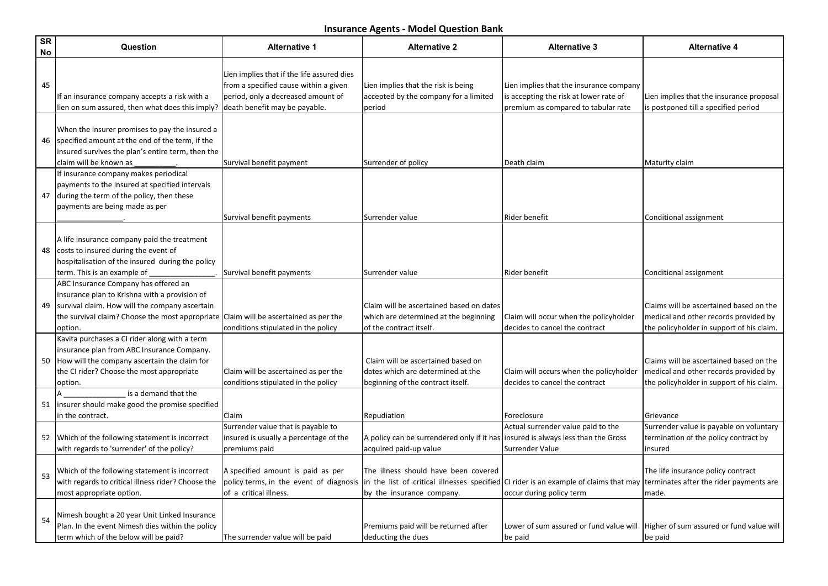| <b>SR</b><br>No | Question                                                                                                                                                                                              | <b>Alternative 1</b>                                                                                                                                       | <b>Alternative 2</b>                                                                                                                                          | <b>Alternative 3</b>                                                                                                     | <b>Alternative 4</b>                                                                                                          |
|-----------------|-------------------------------------------------------------------------------------------------------------------------------------------------------------------------------------------------------|------------------------------------------------------------------------------------------------------------------------------------------------------------|---------------------------------------------------------------------------------------------------------------------------------------------------------------|--------------------------------------------------------------------------------------------------------------------------|-------------------------------------------------------------------------------------------------------------------------------|
| 45              | If an insurance company accepts a risk with a<br>lien on sum assured, then what does this imply?                                                                                                      | Lien implies that if the life assured dies<br>from a specified cause within a given<br>period, only a decreased amount of<br>death benefit may be payable. | Lien implies that the risk is being<br>accepted by the company for a limited<br>period                                                                        | Lien implies that the insurance company<br>is accepting the risk at lower rate of<br>premium as compared to tabular rate | Lien implies that the insurance proposal<br>is postponed till a specified period                                              |
| 46              | When the insurer promises to pay the insured a<br>specified amount at the end of the term, if the<br>insured survives the plan's entire term, then the<br>claim will be known as                      | Survival benefit payment                                                                                                                                   | Surrender of policy                                                                                                                                           | Death claim                                                                                                              | Maturity claim                                                                                                                |
| 47              | If insurance company makes periodical<br>payments to the insured at specified intervals<br>during the term of the policy, then these<br>payments are being made as per                                | Survival benefit payments                                                                                                                                  | Surrender value                                                                                                                                               | Rider benefit                                                                                                            | Conditional assignment                                                                                                        |
| 48              | A life insurance company paid the treatment<br>costs to insured during the event of<br>hospitalisation of the insured during the policy<br>term. This is an example of                                | Survival benefit payments                                                                                                                                  | Surrender value                                                                                                                                               | Rider benefit                                                                                                            | Conditional assignment                                                                                                        |
| 49              | ABC Insurance Company has offered an<br>insurance plan to Krishna with a provision of<br>survival claim. How will the company ascertain<br>the survival claim? Choose the most appropriate<br>option. | Claim will be ascertained as per the<br>conditions stipulated in the policy                                                                                | Claim will be ascertained based on dates<br>which are determined at the beginning<br>of the contract itself.                                                  | Claim will occur when the policyholder<br>decides to cancel the contract                                                 | Claims will be ascertained based on the<br>medical and other records provided by<br>the policyholder in support of his claim. |
| 50              | Kavita purchases a CI rider along with a term<br>insurance plan from ABC Insurance Company.<br>How will the company ascertain the claim for<br>the CI rider? Choose the most appropriate<br>option.   | Claim will be ascertained as per the<br>conditions stipulated in the policy                                                                                | Claim will be ascertained based on<br>dates which are determined at the<br>beginning of the contract itself.                                                  | Claim will occurs when the policyholder<br>decides to cancel the contract                                                | Claims will be ascertained based on the<br>medical and other records provided by<br>the policyholder in support of his claim. |
| 51              | is a demand that the<br>insurer should make good the promise specified<br>in the contract.                                                                                                            | Claim                                                                                                                                                      | Repudiation                                                                                                                                                   | Foreclosure                                                                                                              | Grievance                                                                                                                     |
| 52              | Which of the following statement is incorrect<br>with regards to 'surrender' of the policy?                                                                                                           | Surrender value that is payable to<br>insured is usually a percentage of the<br>premiums paid                                                              | A policy can be surrendered only if it has<br>acquired paid-up value                                                                                          | Actual surrender value paid to the<br>insured is always less than the Gross<br>Surrender Value                           | Surrender value is payable on voluntary<br>termination of the policy contract by<br>insured                                   |
| 53              | Which of the following statement is incorrect<br>with regards to critical illness rider? Choose the<br>most appropriate option.                                                                       | A specified amount is paid as per<br>policy terms, in the event of diagnosis<br>of a critical illness.                                                     | The illness should have been covered<br>in the list of critical illnesses specified $ C $ rider is an example of claims that may<br>by the insurance company. | occur during policy term                                                                                                 | The life insurance policy contract<br>terminates after the rider payments are<br>made.                                        |
| 54              | Nimesh bought a 20 year Unit Linked Insurance<br>Plan. In the event Nimesh dies within the policy<br>term which of the below will be paid?                                                            | The surrender value will be paid                                                                                                                           | Premiums paid will be returned after<br>deducting the dues                                                                                                    | Lower of sum assured or fund value will   Higher of sum assured or fund value will<br>be paid                            | be paid                                                                                                                       |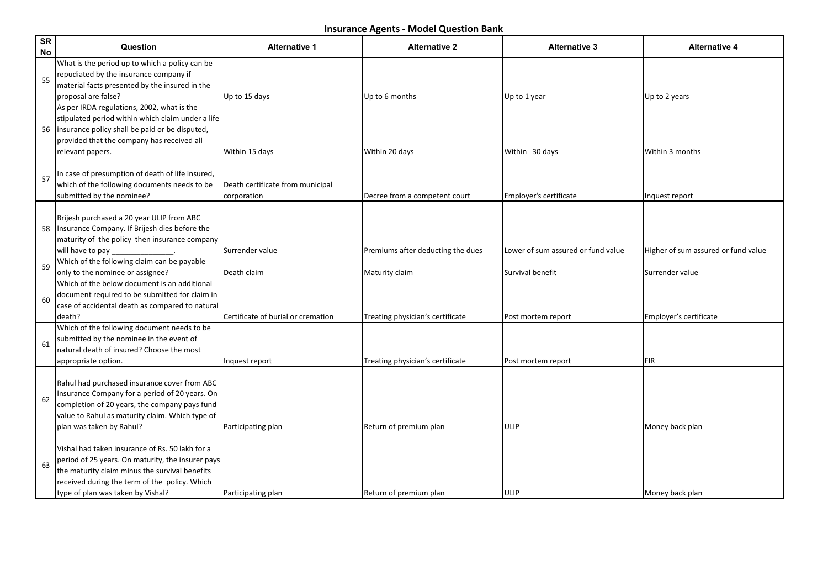| SR<br>No | Question                                                                                                                                                                                                                                      | <b>Alternative 1</b>                            | <b>Alternative 2</b>              | <b>Alternative 3</b>               | <b>Alternative 4</b>                |
|----------|-----------------------------------------------------------------------------------------------------------------------------------------------------------------------------------------------------------------------------------------------|-------------------------------------------------|-----------------------------------|------------------------------------|-------------------------------------|
| 55       | What is the period up to which a policy can be<br>repudiated by the insurance company if<br>material facts presented by the insured in the<br>proposal are false?                                                                             | Up to 15 days                                   | Up to 6 months                    | Up to 1 year                       | Up to 2 years                       |
|          | As per IRDA regulations, 2002, what is the<br>stipulated period within which claim under a life<br>56   insurance policy shall be paid or be disputed,<br>provided that the company has received all<br>relevant papers.                      | Within 15 days                                  | Within 20 days                    | Within 30 days                     | Within 3 months                     |
| 57       | In case of presumption of death of life insured,<br>which of the following documents needs to be<br>submitted by the nominee?                                                                                                                 | Death certificate from municipal<br>corporation | Decree from a competent court     | Employer's certificate             | Inquest report                      |
| 58       | Brijesh purchased a 20 year ULIP from ABC<br>Insurance Company. If Brijesh dies before the<br>maturity of the policy then insurance company<br>will have to pay                                                                               | Surrender value                                 | Premiums after deducting the dues | Lower of sum assured or fund value | Higher of sum assured or fund value |
| 59       | Which of the following claim can be payable<br>only to the nominee or assignee?                                                                                                                                                               | Death claim                                     | Maturity claim                    | Survival benefit                   | Surrender value                     |
| 60       | Which of the below document is an additional<br>document required to be submitted for claim in<br>case of accidental death as compared to natural<br>death?                                                                                   | Certificate of burial or cremation              | Treating physician's certificate  | Post mortem report                 | Employer's certificate              |
| 61       | Which of the following document needs to be<br>submitted by the nominee in the event of<br>natural death of insured? Choose the most<br>appropriate option.                                                                                   | Inquest report                                  | Treating physician's certificate  | Post mortem report                 | <b>FIR</b>                          |
| 62       | Rahul had purchased insurance cover from ABC<br>Insurance Company for a period of 20 years. On<br>completion of 20 years, the company pays fund<br>value to Rahul as maturity claim. Which type of<br>plan was taken by Rahul?                | Participating plan                              | Return of premium plan            | ULIP                               | Money back plan                     |
| 63       | lVishal had taken insurance of Rs. 50 lakh for a<br>period of 25 years. On maturity, the insurer pays<br>the maturity claim minus the survival benefits<br>received during the term of the policy. Which<br>type of plan was taken by Vishal? | Participating plan                              | Return of premium plan            | ULIP                               | Money back plan                     |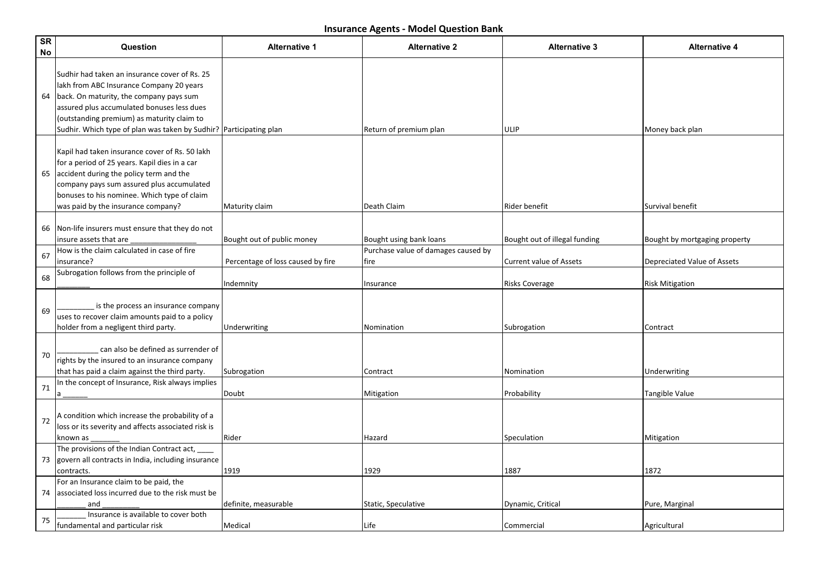| $\overline{\text{SR}}$<br>No | Question                                                                                                                                                                                                                                                                                               | <b>Alternative 1</b>              | <b>Alternative 2</b>                        | <b>Alternative 3</b>           | <b>Alternative 4</b>          |
|------------------------------|--------------------------------------------------------------------------------------------------------------------------------------------------------------------------------------------------------------------------------------------------------------------------------------------------------|-----------------------------------|---------------------------------------------|--------------------------------|-------------------------------|
| 64                           | Sudhir had taken an insurance cover of Rs. 25<br>lakh from ABC Insurance Company 20 years<br>back. On maturity, the company pays sum<br>assured plus accumulated bonuses less dues<br>(outstanding premium) as maturity claim to<br>Sudhir. Which type of plan was taken by Sudhir? Participating plan |                                   | Return of premium plan                      | ULIP                           | Money back plan               |
| 65                           | Kapil had taken insurance cover of Rs. 50 lakh<br>for a period of 25 years. Kapil dies in a car<br>accident during the policy term and the<br>company pays sum assured plus accumulated<br>bonuses to his nominee. Which type of claim<br>was paid by the insurance company?                           | Maturity claim                    | Death Claim                                 | Rider benefit                  | Survival benefit              |
|                              | 66 Non-life insurers must ensure that they do not<br>insure assets that are                                                                                                                                                                                                                            | Bought out of public money        | Bought using bank loans                     | Bought out of illegal funding  | Bought by mortgaging property |
| 67                           | How is the claim calculated in case of fire<br>insurance?                                                                                                                                                                                                                                              | Percentage of loss caused by fire | Purchase value of damages caused by<br>fire | <b>Current value of Assets</b> | Depreciated Value of Assets   |
| 68                           | Subrogation follows from the principle of                                                                                                                                                                                                                                                              | Indemnity                         | Insurance                                   | Risks Coverage                 | <b>Risk Mitigation</b>        |
| 69                           | is the process an insurance company<br>uses to recover claim amounts paid to a policy<br>holder from a negligent third party.                                                                                                                                                                          | Underwriting                      | Nomination                                  | Subrogation                    | Contract                      |
| 70                           | can also be defined as surrender of<br>rights by the insured to an insurance company<br>that has paid a claim against the third party.                                                                                                                                                                 | Subrogation                       | Contract                                    | Nomination                     | Underwriting                  |
| 71                           | In the concept of Insurance, Risk always implies                                                                                                                                                                                                                                                       | Doubt                             | Mitigation                                  | Probability                    | Tangible Value                |
| 72                           | A condition which increase the probability of a<br>loss or its severity and affects associated risk is<br>known as                                                                                                                                                                                     | Rider                             | Hazard                                      | Speculation                    | Mitigation                    |
|                              | The provisions of the Indian Contract act, __<br>73 govern all contracts in India, including insurance<br>contracts.                                                                                                                                                                                   | 1919                              | 1929                                        | 1887                           | 1872                          |
|                              | For an Insurance claim to be paid, the<br>74 associated loss incurred due to the risk must be<br>and                                                                                                                                                                                                   | definite, measurable              | Static, Speculative                         | Dynamic, Critical              | Pure, Marginal                |
| 75                           | Insurance is available to cover both<br>fundamental and particular risk                                                                                                                                                                                                                                | Medical                           | Life                                        | Commercial                     | Agricultural                  |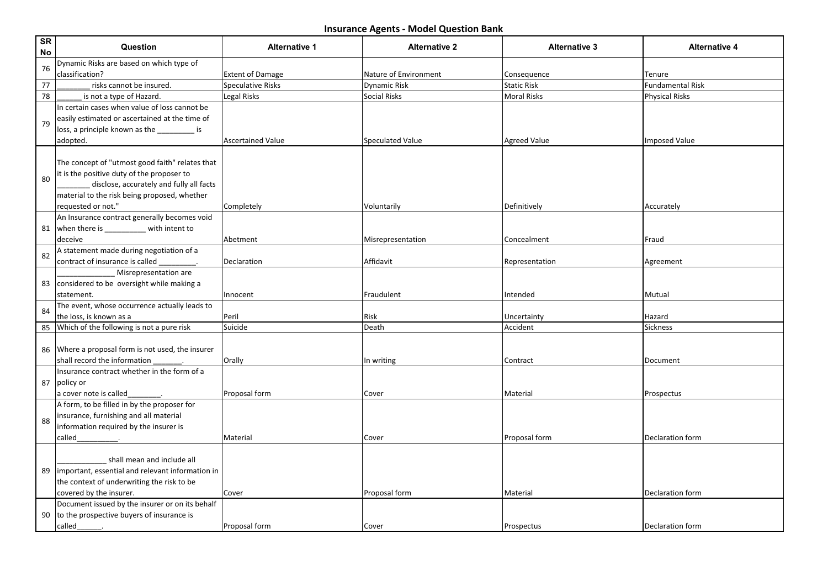| SR<br><b>No</b> | Question                                             | <b>Alternative 1</b>                    | <b>Alternative 2</b>                       | <b>Alternative 3</b>              | <b>Alternative 4</b>    |
|-----------------|------------------------------------------------------|-----------------------------------------|--------------------------------------------|-----------------------------------|-------------------------|
| 76              | Dynamic Risks are based on which type of             |                                         |                                            |                                   |                         |
| 77              | classification?                                      | <b>Extent of Damage</b>                 | Nature of Environment                      | Consequence                       | Tenure                  |
| 78              | risks cannot be insured.<br>is not a type of Hazard. | <b>Speculative Risks</b><br>Legal Risks | <b>Dynamic Risk</b><br><b>Social Risks</b> | <b>Static Risk</b><br>Moral Risks | <b>Fundamental Risk</b> |
|                 | In certain cases when value of loss cannot be        |                                         |                                            |                                   | <b>Physical Risks</b>   |
|                 | easily estimated or ascertained at the time of       |                                         |                                            |                                   |                         |
| 79              | loss, a principle known as the _________ is          |                                         |                                            |                                   |                         |
|                 | adopted.                                             | <b>Ascertained Value</b>                | <b>Speculated Value</b>                    | <b>Agreed Value</b>               | <b>Imposed Value</b>    |
|                 |                                                      |                                         |                                            |                                   |                         |
|                 | The concept of "utmost good faith" relates that      |                                         |                                            |                                   |                         |
|                 | it is the positive duty of the proposer to           |                                         |                                            |                                   |                         |
| 80              | disclose, accurately and fully all facts             |                                         |                                            |                                   |                         |
|                 | material to the risk being proposed, whether         |                                         |                                            |                                   |                         |
|                 | requested or not."                                   | Completely                              | Voluntarily                                | Definitively                      | Accurately              |
|                 | An Insurance contract generally becomes void         |                                         |                                            |                                   |                         |
| 81              | when there is __________ with intent to              |                                         |                                            |                                   |                         |
|                 | deceive                                              | Abetment                                | Misrepresentation                          | Concealment                       | Fraud                   |
|                 | A statement made during negotiation of a             |                                         |                                            |                                   |                         |
| 82              | contract of insurance is called                      | Declaration                             | Affidavit                                  | Representation                    | Agreement               |
|                 | Misrepresentation are                                |                                         |                                            |                                   |                         |
|                 | 83 considered to be oversight while making a         |                                         |                                            |                                   |                         |
|                 | statement.                                           | Innocent                                | Fraudulent                                 | Intended                          | Mutual                  |
|                 | The event, whose occurrence actually leads to        |                                         |                                            |                                   |                         |
| 84              | the loss, is known as a                              | Peril                                   | Risk                                       | Uncertainty                       | Hazard                  |
| 85              | Which of the following is not a pure risk            | Suicide                                 | Death                                      | Accident                          | Sickness                |
|                 |                                                      |                                         |                                            |                                   |                         |
|                 | 86 Where a proposal form is not used, the insurer    |                                         |                                            |                                   |                         |
|                 | shall record the information                         | Orally                                  | In writing                                 | Contract                          | Document                |
|                 | Insurance contract whether in the form of a          |                                         |                                            |                                   |                         |
| 87              | policy or                                            |                                         |                                            |                                   |                         |
|                 | a cover note is called_                              | Proposal form                           | Cover                                      | Material                          | Prospectus              |
|                 | A form, to be filled in by the proposer for          |                                         |                                            |                                   |                         |
| 88              | insurance, furnishing and all material               |                                         |                                            |                                   |                         |
|                 | information required by the insurer is               |                                         |                                            |                                   |                         |
|                 | called                                               | Material                                | Cover                                      | Proposal form                     | Declaration form        |
|                 |                                                      |                                         |                                            |                                   |                         |
|                 | shall mean and include all                           |                                         |                                            |                                   |                         |
| 89              | limportant, essential and relevant information in    |                                         |                                            |                                   |                         |
|                 | the context of underwriting the risk to be           |                                         |                                            |                                   |                         |
|                 | covered by the insurer.                              | Cover                                   | Proposal form                              | Material                          | Declaration form        |
|                 | Document issued by the insurer or on its behalf      |                                         |                                            |                                   |                         |
|                 | 90 $\vert$ to the prospective buyers of insurance is |                                         |                                            |                                   |                         |
|                 | called                                               | Proposal form                           | Cover                                      | Prospectus                        | Declaration form        |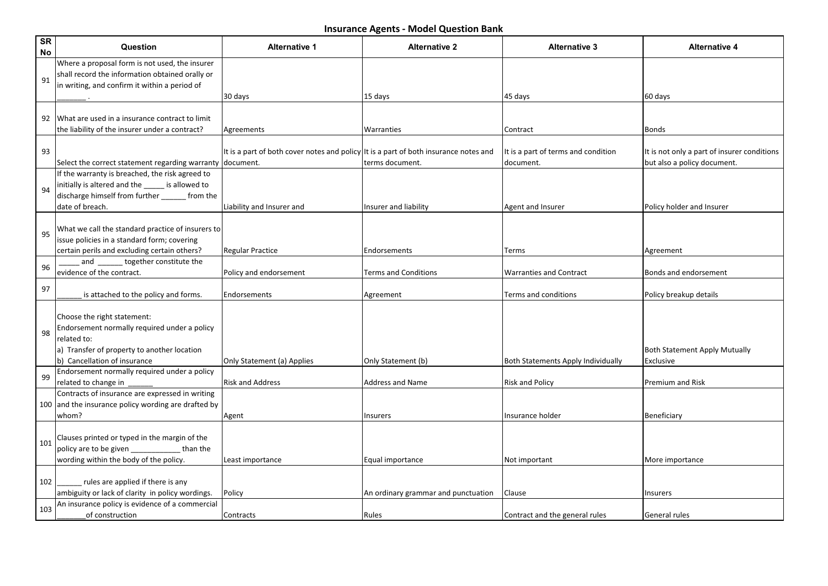| SR<br>No | Question                                                                                                                                                                  | <b>Alternative 1</b>                                                                              | <b>Alternative 2</b>                | <b>Alternative 3</b>                             | <b>Alternative 4</b>                                                       |
|----------|---------------------------------------------------------------------------------------------------------------------------------------------------------------------------|---------------------------------------------------------------------------------------------------|-------------------------------------|--------------------------------------------------|----------------------------------------------------------------------------|
| 91       | Where a proposal form is not used, the insurer<br>shall record the information obtained orally or<br>in writing, and confirm it within a period of                        |                                                                                                   |                                     |                                                  |                                                                            |
|          |                                                                                                                                                                           | 30 days                                                                                           | 15 days                             | 45 days                                          | 60 days                                                                    |
|          | 92 What are used in a insurance contract to limit<br>the liability of the insurer under a contract?                                                                       | Agreements                                                                                        | Warranties                          | Contract                                         | Bonds                                                                      |
| 93       | Select the correct statement regarding warranty                                                                                                                           | It is a part of both cover notes and policy It is a part of both insurance notes and<br>document. | terms document.                     | It is a part of terms and condition<br>document. | It is not only a part of insurer conditions<br>but also a policy document. |
| 94       | If the warranty is breached, the risk agreed to<br>initially is altered and the _____ is allowed to<br>discharge himself from further _____ from the<br>date of breach.   | Liability and Insurer and                                                                         | Insurer and liability               | <b>Agent and Insurer</b>                         | Policy holder and Insurer                                                  |
| 95       | What we call the standard practice of insurers to<br>issue policies in a standard form; covering<br>certain perils and excluding certain others?                          | <b>Regular Practice</b>                                                                           | Endorsements                        | Terms                                            | Agreement                                                                  |
|          | and _______ together constitute the                                                                                                                                       |                                                                                                   |                                     |                                                  |                                                                            |
| 96       | evidence of the contract.                                                                                                                                                 | Policy and endorsement                                                                            | <b>Terms and Conditions</b>         | <b>Warranties and Contract</b>                   | Bonds and endorsement                                                      |
| 97       | is attached to the policy and forms.                                                                                                                                      | Endorsements                                                                                      | Agreement                           | Terms and conditions                             | Policy breakup details                                                     |
| 98       | Choose the right statement:<br>Endorsement normally required under a policy<br>related to:<br>a) Transfer of property to another location<br>b) Cancellation of insurance | Only Statement (a) Applies                                                                        | Only Statement (b)                  | <b>Both Statements Apply Individually</b>        | <b>Both Statement Apply Mutually</b><br>Exclusive                          |
| 99       | Endorsement normally required under a policy                                                                                                                              |                                                                                                   |                                     |                                                  |                                                                            |
|          | related to change in<br>Contracts of insurance are expressed in writing<br>100 and the insurance policy wording are drafted by<br>whom?                                   | <b>Risk and Address</b><br>Agent                                                                  | <b>Address and Name</b><br>Insurers | <b>Risk and Policy</b><br>Insurance holder       | Premium and Risk<br>Beneficiary                                            |
| 101      | Clauses printed or typed in the margin of the<br>policy are to be given ____________ than the<br>wording within the body of the policy.                                   | Least importance                                                                                  | Equal importance                    | Not important                                    | More importance                                                            |
| 102      | rules are applied if there is any<br>ambiguity or lack of clarity in policy wordings.                                                                                     | Policy                                                                                            | An ordinary grammar and punctuation | Clause                                           | <b>Insurers</b>                                                            |
| 103      | An insurance policy is evidence of a commercial<br>of construction                                                                                                        | Contracts                                                                                         | Rules                               | Contract and the general rules                   | General rules                                                              |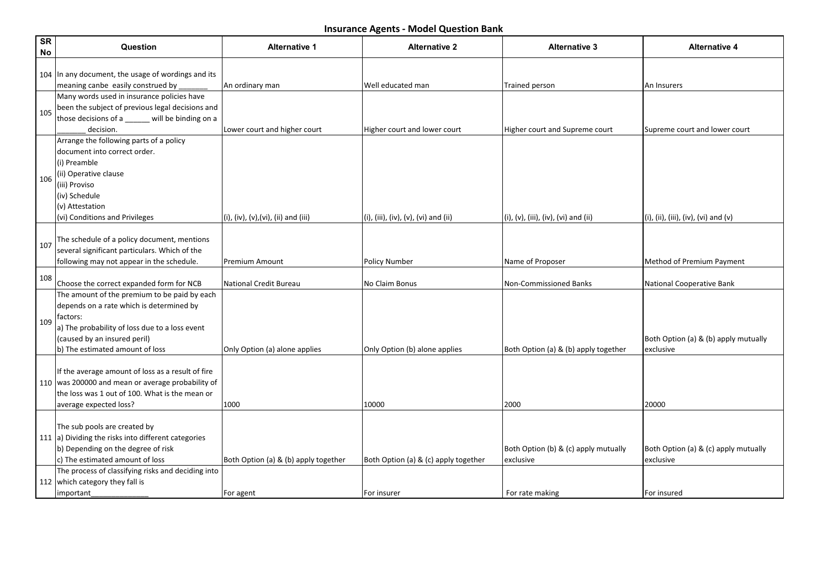| <b>SR</b><br>No | Question                                                                                                                                                                                                                  | <b>Alternative 1</b>                 | <b>Alternative 2</b>                 | <b>Alternative 3</b>                              | <b>Alternative 4</b>                              |
|-----------------|---------------------------------------------------------------------------------------------------------------------------------------------------------------------------------------------------------------------------|--------------------------------------|--------------------------------------|---------------------------------------------------|---------------------------------------------------|
|                 | 104 In any document, the usage of wordings and its                                                                                                                                                                        |                                      |                                      |                                                   |                                                   |
|                 | meaning canbe easily construed by                                                                                                                                                                                         | An ordinary man                      | Well educated man                    | Trained person                                    | An Insurers                                       |
| 105             | Many words used in insurance policies have<br>been the subject of previous legal decisions and<br>those decisions of a _____ will be binding on a<br>decision.                                                            | Lower court and higher court         | Higher court and lower court         | Higher court and Supreme court                    | Supreme court and lower court                     |
| 106             | Arrange the following parts of a policy<br>document into correct order.<br>(i) Preamble<br>(ii) Operative clause<br>(iii) Proviso<br>(iv) Schedule<br>(v) Attestation<br>(vi) Conditions and Privileges                   | (i), (iv), (v), (vi), (ii) and (iii) | (i), (iii), (iv), (v), (vi) and (ii) | (i), (v), (iii), (iv), (vi) and (ii)              | $(i)$ , (ii), (iii), (iv), (vi) and (v)           |
| 107             | The schedule of a policy document, mentions<br>several significant particulars. Which of the<br>following may not appear in the schedule.                                                                                 | Premium Amount                       | <b>Policy Number</b>                 | Name of Proposer                                  | Method of Premium Payment                         |
| 108             | Choose the correct expanded form for NCB                                                                                                                                                                                  | <b>National Credit Bureau</b>        | No Claim Bonus                       | Non-Commissioned Banks                            | National Cooperative Bank                         |
| 109             | The amount of the premium to be paid by each<br>depends on a rate which is determined by<br>factors:<br>a) The probability of loss due to a loss event<br>(caused by an insured peril)<br>b) The estimated amount of loss | Only Option (a) alone applies        | Only Option (b) alone applies        | Both Option (a) & (b) apply together              | Both Option (a) & (b) apply mutually<br>exclusive |
|                 | If the average amount of loss as a result of fire<br>110 was 200000 and mean or average probability of<br>the loss was 1 out of 100. What is the mean or<br>average expected loss?                                        | 1000                                 | 10000                                | 2000                                              | 20000                                             |
|                 | The sub pools are created by<br>111 a) Dividing the risks into different categories<br>b) Depending on the degree of risk<br>c) The estimated amount of loss                                                              | Both Option (a) & (b) apply together | Both Option (a) & (c) apply together | Both Option (b) & (c) apply mutually<br>exclusive | Both Option (a) & (c) apply mutually<br>exclusive |
|                 | The process of classifying risks and deciding into<br>112 which category they fall is<br>important                                                                                                                        | For agent                            | For insurer                          | For rate making                                   | For insured                                       |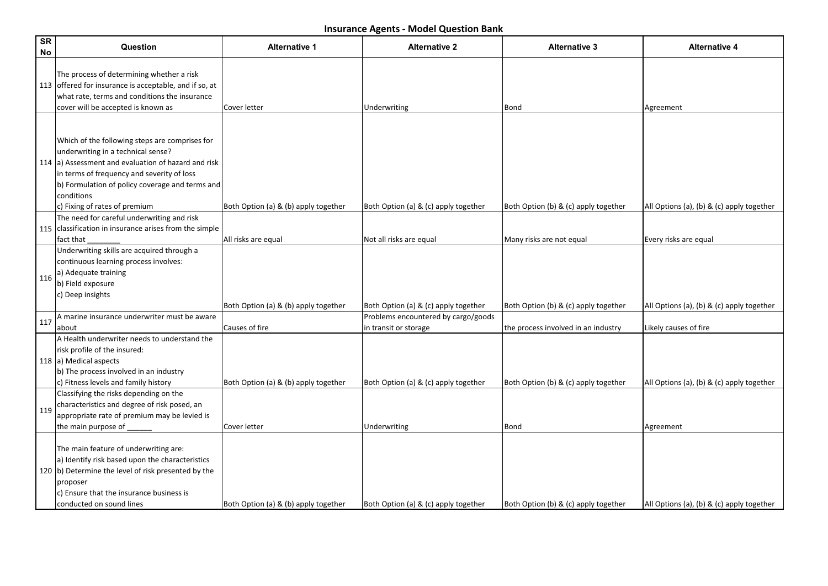| SR<br>No | Question                                                                                                                                                                                                                                                                                     | <b>Alternative 1</b>                                   | <b>Alternative 2</b>                                                                                 | <b>Alternative 3</b>                                                        | <b>Alternative 4</b>                                               |
|----------|----------------------------------------------------------------------------------------------------------------------------------------------------------------------------------------------------------------------------------------------------------------------------------------------|--------------------------------------------------------|------------------------------------------------------------------------------------------------------|-----------------------------------------------------------------------------|--------------------------------------------------------------------|
|          | The process of determining whether a risk<br>113 offered for insurance is acceptable, and if so, at<br>what rate, terms and conditions the insurance<br>cover will be accepted is known as                                                                                                   | Cover letter                                           | Underwriting                                                                                         | Bond                                                                        | Agreement                                                          |
|          | Which of the following steps are comprises for<br>underwriting in a technical sense?<br>114 (a) Assessment and evaluation of hazard and risk<br>in terms of frequency and severity of loss<br>b) Formulation of policy coverage and terms and<br>conditions<br>c) Fixing of rates of premium | Both Option (a) & (b) apply together                   | Both Option (a) & (c) apply together                                                                 | Both Option (b) & (c) apply together                                        | All Options (a), (b) & (c) apply together                          |
|          | The need for careful underwriting and risk<br>115 classification in insurance arises from the simple<br>fact that                                                                                                                                                                            | All risks are equal                                    | Not all risks are equal                                                                              | Many risks are not equal                                                    | Every risks are equal                                              |
| 116      | Underwriting skills are acquired through a<br>continuous learning process involves:<br>a) Adequate training<br>b) Field exposure<br>c) Deep insights                                                                                                                                         |                                                        |                                                                                                      |                                                                             |                                                                    |
| 117      | A marine insurance underwriter must be aware<br>labout                                                                                                                                                                                                                                       | Both Option (a) & (b) apply together<br>Causes of fire | Both Option (a) & (c) apply together<br>Problems encountered by cargo/goods<br>in transit or storage | Both Option (b) & (c) apply together<br>the process involved in an industry | All Options (a), (b) & (c) apply together<br>Likely causes of fire |
|          | A Health underwriter needs to understand the<br>risk profile of the insured:<br>118 a) Medical aspects<br>b) The process involved in an industry<br>c) Fitness levels and family history                                                                                                     | Both Option (a) & (b) apply together                   | Both Option (a) & (c) apply together                                                                 | Both Option (b) & (c) apply together                                        | All Options (a), (b) & (c) apply together                          |
| 119      | Classifying the risks depending on the<br>characteristics and degree of risk posed, an<br>appropriate rate of premium may be levied is<br>the main purpose of                                                                                                                                | Cover letter                                           | Underwriting                                                                                         | Bond                                                                        | Agreement                                                          |
|          | The main feature of underwriting are:<br>a) Identify risk based upon the characteristics<br>120 b) Determine the level of risk presented by the<br> proposer<br>c) Ensure that the insurance business is<br>conducted on sound lines                                                         | Both Option (a) & (b) apply together                   | Both Option (a) & (c) apply together                                                                 | Both Option (b) & (c) apply together                                        | All Options (a), (b) & (c) apply together                          |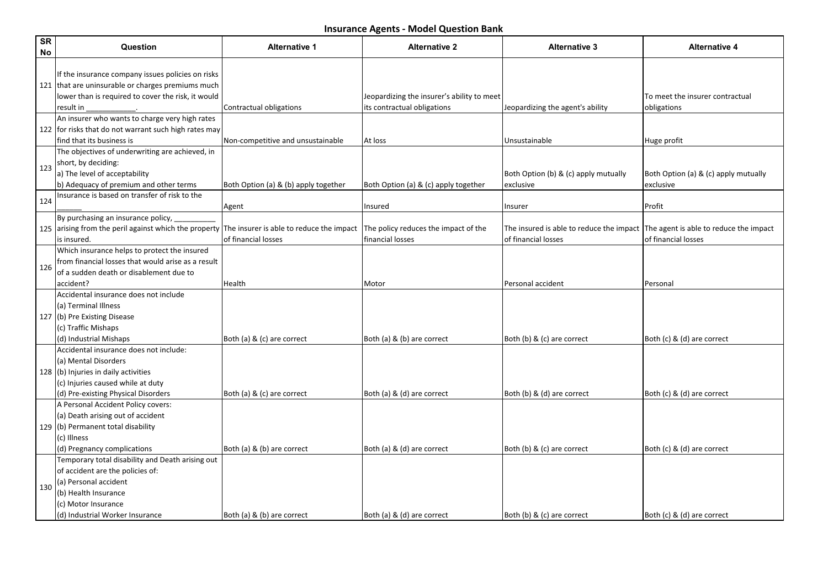| <b>SR</b><br>No | Question                                                                                                                                                                                        | <b>Alternative 1</b>                                            | <b>Alternative 2</b>                                     | <b>Alternative 3</b>                                                                                       | <b>Alternative 4</b>                              |
|-----------------|-------------------------------------------------------------------------------------------------------------------------------------------------------------------------------------------------|-----------------------------------------------------------------|----------------------------------------------------------|------------------------------------------------------------------------------------------------------------|---------------------------------------------------|
|                 | If the insurance company issues policies on risks<br>121 that are uninsurable or charges premiums much<br>lower than is required to cover the risk, it would                                    |                                                                 | Jeopardizing the insurer's ability to meet               |                                                                                                            | To meet the insurer contractual                   |
|                 | result in                                                                                                                                                                                       | Contractual obligations                                         | its contractual obligations                              | Jeopardizing the agent's ability                                                                           | obligations                                       |
|                 | An insurer who wants to charge very high rates<br>122 for risks that do not warrant such high rates may<br>lfind that its business is                                                           | Non-competitive and unsustainable                               | At loss                                                  | Unsustainable                                                                                              | Huge profit                                       |
| 123             | The objectives of underwriting are achieved, in<br>short, by deciding:<br>a) The level of acceptability<br>b) Adequacy of premium and other terms                                               | Both Option (a) & (b) apply together                            | Both Option (a) & (c) apply together                     | Both Option (b) & (c) apply mutually<br>exclusive                                                          | Both Option (a) & (c) apply mutually<br>exclusive |
| 124             | Insurance is based on transfer of risk to the                                                                                                                                                   | Agent                                                           | Insured                                                  | Insurer                                                                                                    | Profit                                            |
|                 | By purchasing an insurance policy,<br>125 arising from the peril against which the property<br>is insured.                                                                                      | The insurer is able to reduce the impact<br>of financial losses | The policy reduces the impact of the<br>financial losses | The insured is able to reduce the impact $ $ The agent is able to reduce the impact<br>of financial losses | of financial losses                               |
| 126             | Which insurance helps to protect the insured<br>from financial losses that would arise as a result<br>of a sudden death or disablement due to                                                   |                                                                 |                                                          |                                                                                                            |                                                   |
|                 | laccident?                                                                                                                                                                                      | Health                                                          | Motor                                                    | Personal accident                                                                                          | Personal                                          |
|                 | Accidental insurance does not include<br>(a) Terminal Illness<br>127 (b) Pre Existing Disease<br>(c) Traffic Mishaps<br>(d) Industrial Mishaps                                                  | Both (a) & (c) are correct                                      | Both (a) & (b) are correct                               | Both (b) & (c) are correct                                                                                 | Both (c) & (d) are correct                        |
|                 | Accidental insurance does not include:<br>(a) Mental Disorders<br>128 (b) Injuries in daily activities<br>(c) Injuries caused while at duty<br>(d) Pre-existing Physical Disorders              | Both (a) & (c) are correct                                      | Both (a) & (d) are correct                               | Both (b) & (d) are correct                                                                                 | Both (c) & (d) are correct                        |
|                 | A Personal Accident Policy covers:<br>(a) Death arising out of accident<br>129 (b) Permanent total disability<br>(c) Illness<br>(d) Pregnancy complications                                     | Both (a) & (b) are correct                                      | Both (a) & (d) are correct                               | Both (b) & (c) are correct                                                                                 | Both (c) & (d) are correct                        |
| 130             | Temporary total disability and Death arising out<br>of accident are the policies of:<br>(a) Personal accident<br>(b) Health Insurance<br>(c) Motor Insurance<br>(d) Industrial Worker Insurance | Both (a) & (b) are correct                                      | Both (a) & (d) are correct                               | Both (b) & (c) are correct                                                                                 | Both (c) & (d) are correct                        |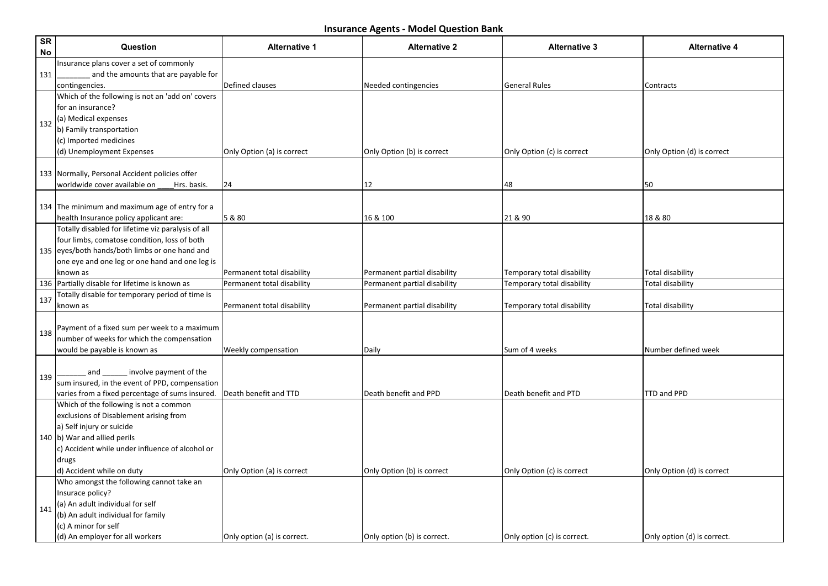| <b>SR</b><br><b>No</b> | Question                                                               | <b>Alternative 1</b>        | <b>Alternative 2</b>         | <b>Alternative 3</b>        | <b>Alternative 4</b>        |
|------------------------|------------------------------------------------------------------------|-----------------------------|------------------------------|-----------------------------|-----------------------------|
|                        | Insurance plans cover a set of commonly                                |                             |                              |                             |                             |
| 131                    | and the amounts that are payable for                                   |                             |                              |                             |                             |
|                        | contingencies.                                                         | Defined clauses             | Needed contingencies         | General Rules               | Contracts                   |
|                        | Which of the following is not an 'add on' covers<br>lfor an insurance? |                             |                              |                             |                             |
|                        |                                                                        |                             |                              |                             |                             |
| 132                    | (a) Medical expenses<br>b) Family transportation                       |                             |                              |                             |                             |
|                        | (c) Imported medicines                                                 |                             |                              |                             |                             |
|                        | (d) Unemployment Expenses                                              | Only Option (a) is correct  | Only Option (b) is correct   | Only Option (c) is correct  | Only Option (d) is correct  |
|                        |                                                                        |                             |                              |                             |                             |
|                        | 133 Normally, Personal Accident policies offer                         |                             |                              |                             |                             |
|                        | worldwide cover available on<br>Hrs. basis.                            | 24                          | 12                           | 48                          | 50                          |
|                        |                                                                        |                             |                              |                             |                             |
|                        | 134 The minimum and maximum age of entry for a                         |                             |                              |                             |                             |
|                        | health Insurance policy applicant are:                                 | 5 & 80                      | 16 & 100                     | 21 & 90                     | 18 & 80                     |
|                        | Totally disabled for lifetime viz paralysis of all                     |                             |                              |                             |                             |
|                        | four limbs, comatose condition, loss of both                           |                             |                              |                             |                             |
|                        | 135 eyes/both hands/both limbs or one hand and                         |                             |                              |                             |                             |
|                        | one eye and one leg or one hand and one leg is                         |                             |                              |                             |                             |
|                        | known as                                                               | Permanent total disability  | Permanent partial disability | Temporary total disability  | <b>Total disability</b>     |
|                        | 136 Partially disable for lifetime is known as                         | Permanent total disability  | Permanent partial disability | Temporary total disability  | <b>Total disability</b>     |
| 137                    | Totally disable for temporary period of time is                        |                             |                              |                             |                             |
|                        | known as                                                               | Permanent total disability  | Permanent partial disability | Temporary total disability  | Total disability            |
|                        | Payment of a fixed sum per week to a maximum                           |                             |                              |                             |                             |
| 138                    | number of weeks for which the compensation                             |                             |                              |                             |                             |
|                        | would be payable is known as                                           | Weekly compensation         | Daily                        | Sum of 4 weeks              | Number defined week         |
|                        |                                                                        |                             |                              |                             |                             |
|                        | involve payment of the<br>and                                          |                             |                              |                             |                             |
| 139                    | sum insured, in the event of PPD, compensation                         |                             |                              |                             |                             |
|                        | varies from a fixed percentage of sums insured.                        | Death benefit and TTD       | Death benefit and PPD        | Death benefit and PTD       | TTD and PPD                 |
|                        | Which of the following is not a common                                 |                             |                              |                             |                             |
|                        | exclusions of Disablement arising from                                 |                             |                              |                             |                             |
|                        | a) Self injury or suicide                                              |                             |                              |                             |                             |
|                        | 140 b) War and allied perils                                           |                             |                              |                             |                             |
|                        | c) Accident while under influence of alcohol or                        |                             |                              |                             |                             |
|                        | drugs                                                                  |                             |                              |                             |                             |
|                        | d) Accident while on duty                                              | Only Option (a) is correct  | Only Option (b) is correct   | Only Option (c) is correct  | Only Option (d) is correct  |
|                        | Who amongst the following cannot take an                               |                             |                              |                             |                             |
|                        | Insurace policy?<br>(a) An adult individual for self                   |                             |                              |                             |                             |
| 141                    | (b) An adult individual for family                                     |                             |                              |                             |                             |
|                        | (c) A minor for self                                                   |                             |                              |                             |                             |
|                        | (d) An employer for all workers                                        | Only option (a) is correct. | Only option (b) is correct.  | Only option (c) is correct. | Only option (d) is correct. |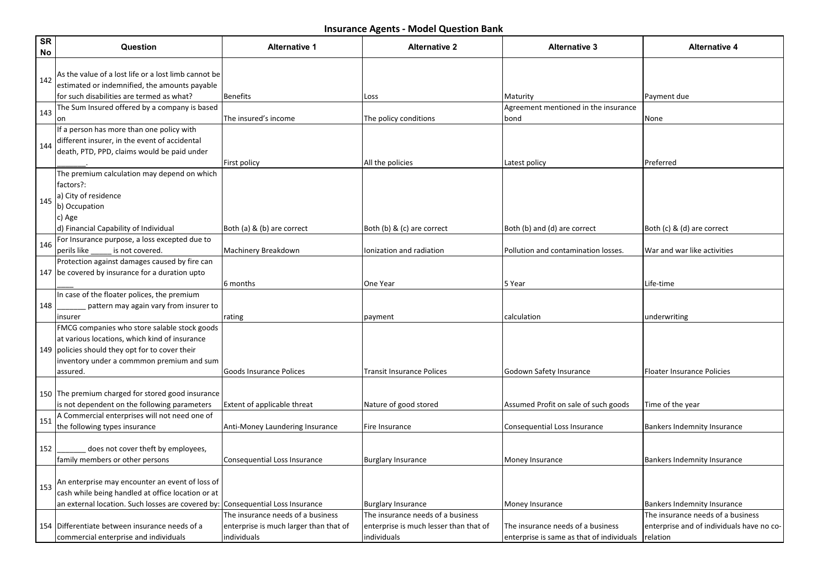| SR<br>No | Question                                                                                                                                                                                                  | <b>Alternative 1</b>                                                                       | <b>Alternative 2</b>                                                                       | <b>Alternative 3</b>                                                           | <b>Alternative 4</b>                                                                       |
|----------|-----------------------------------------------------------------------------------------------------------------------------------------------------------------------------------------------------------|--------------------------------------------------------------------------------------------|--------------------------------------------------------------------------------------------|--------------------------------------------------------------------------------|--------------------------------------------------------------------------------------------|
| 142      | As the value of a lost life or a lost limb cannot be<br>estimated or indemnified, the amounts payable                                                                                                     |                                                                                            |                                                                                            |                                                                                |                                                                                            |
|          | for such disabilities are termed as what?                                                                                                                                                                 | <b>Benefits</b>                                                                            | Loss                                                                                       | Maturity                                                                       | Payment due                                                                                |
| 143      | The Sum Insured offered by a company is based<br>lon                                                                                                                                                      | The insured's income                                                                       | The policy conditions                                                                      | Agreement mentioned in the insurance<br>bond                                   | None                                                                                       |
| 144      | If a person has more than one policy with<br>different insurer, in the event of accidental<br>death, PTD, PPD, claims would be paid under                                                                 | First policy                                                                               | All the policies                                                                           | Latest policy                                                                  | Preferred                                                                                  |
| 145      | The premium calculation may depend on which<br>factors?:<br>a) City of residence<br>b) Occupation<br>c) Age<br>d) Financial Capability of Individual                                                      | Both (a) & (b) are correct                                                                 | Both (b) & (c) are correct                                                                 | Both (b) and (d) are correct                                                   | Both (c) & (d) are correct                                                                 |
| 146      | For Insurance purpose, a loss excepted due to                                                                                                                                                             |                                                                                            |                                                                                            |                                                                                |                                                                                            |
|          | is not covered.<br>perils like<br>Protection against damages caused by fire can<br>147 be covered by insurance for a duration upto                                                                        | Machinery Breakdown<br>6 months                                                            | Ionization and radiation<br>One Year                                                       | Pollution and contamination losses.<br>5 Year                                  | War and war like activities<br>Life-time                                                   |
| 148      | In case of the floater polices, the premium<br>pattern may again vary from insurer to<br>insurer                                                                                                          | rating                                                                                     | payment                                                                                    | calculation                                                                    | underwriting                                                                               |
|          | FMCG companies who store salable stock goods<br>at various locations, which kind of insurance<br>149 policies should they opt for to cover their<br>inventory under a commmon premium and sum<br>assured. | <b>Goods Insurance Polices</b>                                                             | <b>Transit Insurance Polices</b>                                                           | Godown Safety Insurance                                                        | <b>Floater Insurance Policies</b>                                                          |
|          | 150 The premium charged for stored good insurance<br>is not dependent on the following parameters                                                                                                         | Extent of applicable threat                                                                | Nature of good stored                                                                      | Assumed Profit on sale of such goods                                           | Time of the year                                                                           |
| 151      | A Commercial enterprises will not need one of<br>the following types insurance                                                                                                                            | Anti-Money Laundering Insurance                                                            | Fire Insurance                                                                             | Consequential Loss Insurance                                                   | <b>Bankers Indemnity Insurance</b>                                                         |
| 152      | does not cover theft by employees,<br>family members or other persons                                                                                                                                     | Consequential Loss Insurance                                                               | <b>Burglary Insurance</b>                                                                  | Money Insurance                                                                | Bankers Indemnity Insurance                                                                |
| 153      | An enterprise may encounter an event of loss of<br>cash while being handled at office location or at<br>an external location. Such losses are covered by:                                                 | <b>Consequential Loss Insurance</b>                                                        | <b>Burglary Insurance</b>                                                                  | Money Insurance                                                                | Bankers Indemnity Insurance                                                                |
|          | 154 Differentiate between insurance needs of a<br>commercial enterprise and individuals                                                                                                                   | The insurance needs of a business<br>enterprise is much larger than that of<br>individuals | The insurance needs of a business<br>enterprise is much lesser than that of<br>individuals | The insurance needs of a business<br>enterprise is same as that of individuals | The insurance needs of a business<br>enterprise and of individuals have no co-<br>relation |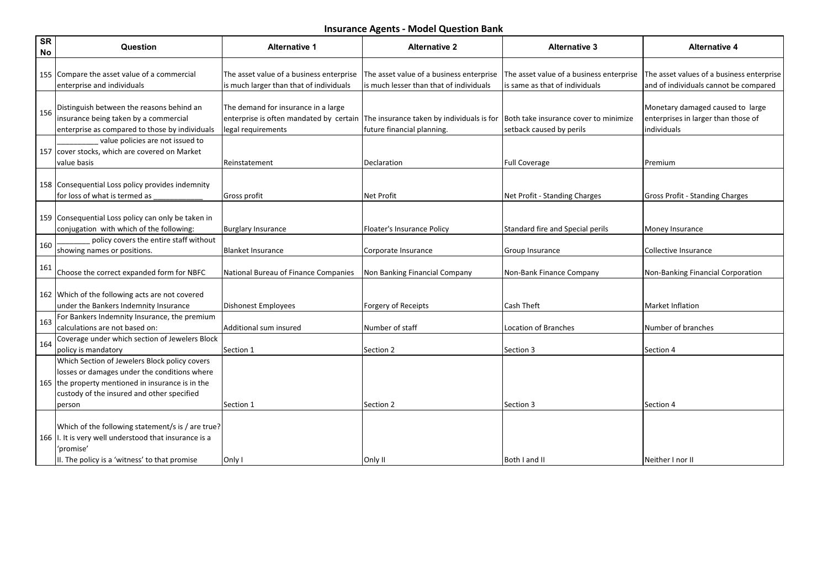| SR<br>No | Question                                                                                                                                                                                                   | <b>Alternative 1</b>                                                                                 | <b>Alternative 2</b>                                                                | <b>Alternative 3</b>                                                       | <b>Alternative 4</b>                                                                   |
|----------|------------------------------------------------------------------------------------------------------------------------------------------------------------------------------------------------------------|------------------------------------------------------------------------------------------------------|-------------------------------------------------------------------------------------|----------------------------------------------------------------------------|----------------------------------------------------------------------------------------|
|          | 155 Compare the asset value of a commercial<br>enterprise and individuals                                                                                                                                  | The asset value of a business enterprise<br>is much larger than that of individuals                  | The asset value of a business enterprise<br>is much lesser than that of individuals | The asset value of a business enterprise<br>is same as that of individuals | The asset values of a business enterprise<br>and of individuals cannot be compared     |
| 156      | Distinguish between the reasons behind an<br>insurance being taken by a commercial<br>enterprise as compared to those by individuals                                                                       | The demand for insurance in a large<br>enterprise is often mandated by certain<br>legal requirements | The insurance taken by individuals is for<br>future financial planning.             | Both take insurance cover to minimize<br>setback caused by perils          | Monetary damaged caused to large<br>enterprises in larger than those of<br>individuals |
|          | value policies are not issued to<br>157 cover stocks, which are covered on Market<br>lvalue basis                                                                                                          | Reinstatement                                                                                        | Declaration                                                                         | <b>Full Coverage</b>                                                       | <b>Premium</b>                                                                         |
|          | 158 Consequential Loss policy provides indemnity<br>for loss of what is termed as                                                                                                                          | Gross profit                                                                                         | Net Profit                                                                          | Net Profit - Standing Charges                                              | <b>Gross Profit - Standing Charges</b>                                                 |
|          | 159 Consequential Loss policy can only be taken in<br>conjugation with which of the following:                                                                                                             | <b>Burglary Insurance</b>                                                                            | Floater's Insurance Policy                                                          | Standard fire and Special perils                                           | Money Insurance                                                                        |
| 160      | policy covers the entire staff without<br>showing names or positions.                                                                                                                                      | Blanket Insurance                                                                                    | Corporate Insurance                                                                 | Group Insurance                                                            | Collective Insurance                                                                   |
| 161      | Choose the correct expanded form for NBFC                                                                                                                                                                  | National Bureau of Finance Companies                                                                 | Non Banking Financial Company                                                       | Non-Bank Finance Company                                                   | Non-Banking Financial Corporation                                                      |
|          | 162 Which of the following acts are not covered<br>under the Bankers Indemnity Insurance                                                                                                                   | <b>Dishonest Employees</b>                                                                           | Forgery of Receipts                                                                 | Cash Theft                                                                 | <b>Market Inflation</b>                                                                |
| 163      | For Bankers Indemnity Insurance, the premium<br>calculations are not based on:                                                                                                                             | Additional sum insured                                                                               | Number of staff                                                                     | Location of Branches                                                       | Number of branches                                                                     |
| 164      | Coverage under which section of Jewelers Block<br>policy is mandatory                                                                                                                                      | Section 1                                                                                            | Section 2                                                                           | Section 3                                                                  | Section 4                                                                              |
|          | Which Section of Jewelers Block policy covers<br>losses or damages under the conditions where<br>165 the property mentioned in insurance is in the<br>custody of the insured and other specified<br>person | Section 1                                                                                            | Section 2                                                                           | Section 3                                                                  | Section 4                                                                              |
|          | Which of the following statement/s is / are true?<br>166   I. It is very well understood that insurance is a<br>'promise'<br>II. The policy is a 'witness' to that promise                                 | Only I                                                                                               | Only II                                                                             | Both I and II                                                              | Neither I nor II                                                                       |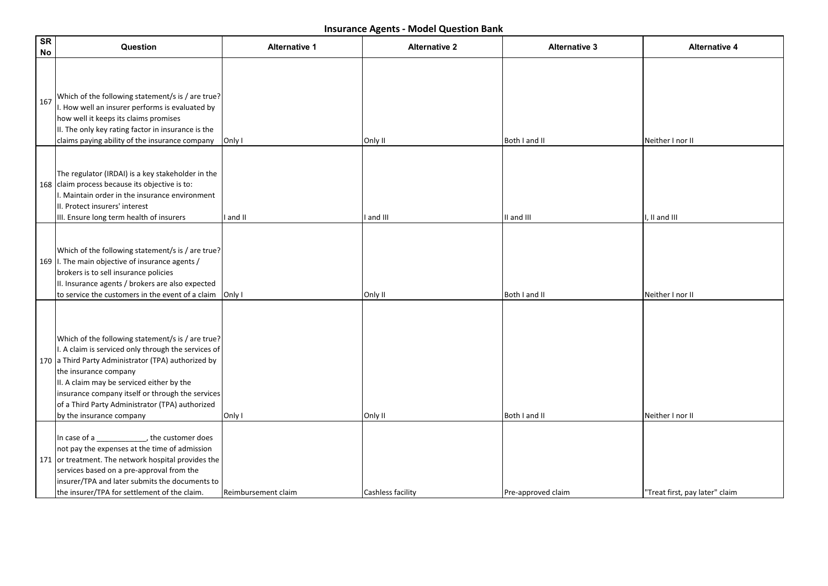| <b>SR</b><br><b>No</b> | Question                                                                                                                                                                                                                                                                                                                                                                 | <b>Alternative 1</b> | <b>Alternative 2</b> | <b>Alternative 3</b> | <b>Alternative 4</b>           |
|------------------------|--------------------------------------------------------------------------------------------------------------------------------------------------------------------------------------------------------------------------------------------------------------------------------------------------------------------------------------------------------------------------|----------------------|----------------------|----------------------|--------------------------------|
| 167                    | Which of the following statement/s is / are true?<br>I. How well an insurer performs is evaluated by<br>how well it keeps its claims promises<br>II. The only key rating factor in insurance is the<br>claims paying ability of the insurance company                                                                                                                    | Only I               | Only II              | Both I and II        | Neither I nor II               |
|                        | The regulator (IRDAI) is a key stakeholder in the<br>168 claim process because its objective is to:<br>I. Maintain order in the insurance environment<br>III. Protect insurers' interest<br>III. Ensure long term health of insurers                                                                                                                                     | I and II             | I and III            | II and III           | I, II and III                  |
|                        | Which of the following statement/s is / are true?<br>169   I. The main objective of insurance agents /<br>brokers is to sell insurance policies<br>II. Insurance agents / brokers are also expected<br>to service the customers in the event of a claim                                                                                                                  | Only I               | Only II              | Both I and II        | Neither I nor II               |
|                        | Which of the following statement/s is / are true?<br>I. A claim is serviced only through the services of<br>170 a Third Party Administrator (TPA) authorized by<br>the insurance company<br>II. A claim may be serviced either by the<br>insurance company itself or through the services<br>of a Third Party Administrator (TPA) authorized<br>by the insurance company | Only I               | Only II              | Both I and II        | Neither I nor II               |
|                        | In case of a ____________, the customer does<br>not pay the expenses at the time of admission<br>171 or treatment. The network hospital provides the<br>services based on a pre-approval from the<br>insurer/TPA and later submits the documents to<br>the insurer/TPA for settlement of the claim.                                                                      | Reimbursement claim  | Cashless facility    | Pre-approved claim   | "Treat first, pay later" claim |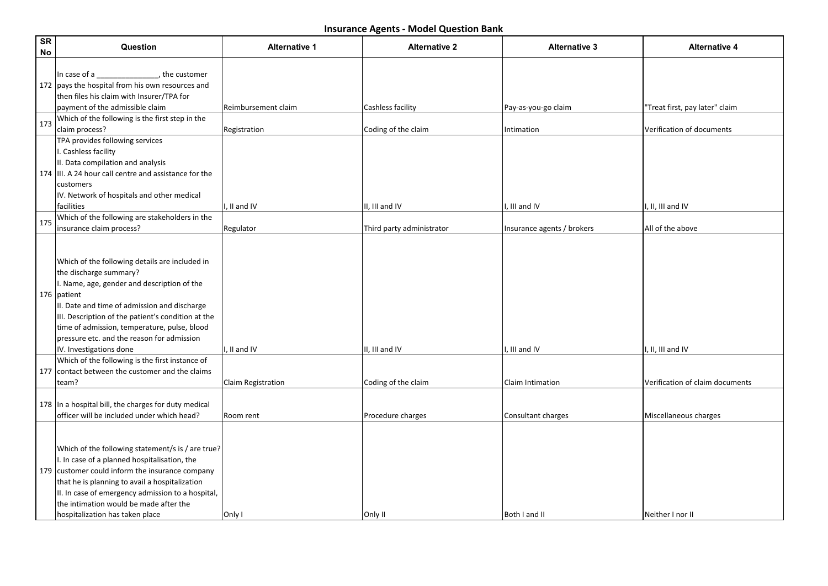| SR<br>No | Question                                                                                                                                                                                                                                                                                                                                                                | <b>Alternative 1</b>      | <b>Alternative 2</b>      | <b>Alternative 3</b>       | <b>Alternative 4</b>            |
|----------|-------------------------------------------------------------------------------------------------------------------------------------------------------------------------------------------------------------------------------------------------------------------------------------------------------------------------------------------------------------------------|---------------------------|---------------------------|----------------------------|---------------------------------|
|          | the customer,<br>In case of a<br>172 pays the hospital from his own resources and<br>then files his claim with Insurer/TPA for                                                                                                                                                                                                                                          |                           |                           |                            |                                 |
|          | payment of the admissible claim                                                                                                                                                                                                                                                                                                                                         | Reimbursement claim       | Cashless facility         | Pay-as-you-go claim        | "Treat first, pay later" claim  |
| 173      | Which of the following is the first step in the<br>claim process?                                                                                                                                                                                                                                                                                                       | Registration              | Coding of the claim       | Intimation                 | Verification of documents       |
|          | TPA provides following services<br>I. Cashless facility<br>II. Data compilation and analysis<br>174 III. A 24 hour call centre and assistance for the<br>customers<br>IV. Network of hospitals and other medical<br>facilities                                                                                                                                          | I, II and IV              | II, III and IV            | I, III and IV              | I, II, III and IV               |
| 175      | Which of the following are stakeholders in the<br>insurance claim process?                                                                                                                                                                                                                                                                                              | Regulator                 | Third party administrator | Insurance agents / brokers | All of the above                |
|          | Which of the following details are included in<br>the discharge summary?<br>I. Name, age, gender and description of the<br>176   patient<br>II. Date and time of admission and discharge<br>III. Description of the patient's condition at the<br>time of admission, temperature, pulse, blood<br>pressure etc. and the reason for admission<br>IV. Investigations done | I, II and IV              | II, III and IV            | I, III and IV              | I, II, III and IV               |
|          | Which of the following is the first instance of<br>177 contact between the customer and the claims                                                                                                                                                                                                                                                                      |                           |                           |                            |                                 |
|          | team?                                                                                                                                                                                                                                                                                                                                                                   | <b>Claim Registration</b> | Coding of the claim       | Claim Intimation           | Verification of claim documents |
|          | 178 In a hospital bill, the charges for duty medical<br>officer will be included under which head?                                                                                                                                                                                                                                                                      | Room rent                 | Procedure charges         | Consultant charges         | Miscellaneous charges           |
|          | Which of the following statement/s is / are true?<br>I. In case of a planned hospitalisation, the<br>179 customer could inform the insurance company<br>that he is planning to avail a hospitalization<br>II. In case of emergency admission to a hospital,<br>the intimation would be made after the<br>hospitalization has taken place                                | Only I                    | Only II                   | Both I and II              | Neither I nor II                |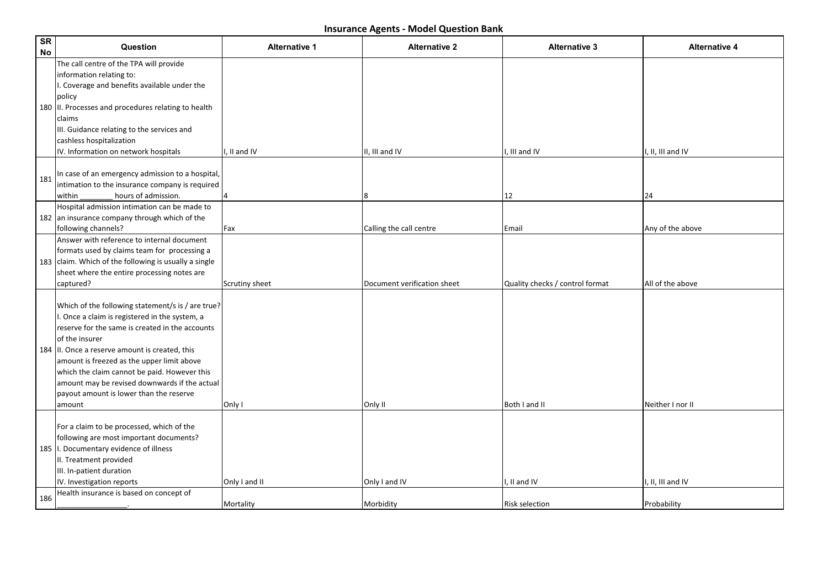| SR<br>No | Question                                                                                                                                                                                                                                                                                                                                                                                                                       | <b>Alternative 1</b> | <b>Alternative 2</b>        | <b>Alternative 3</b>            | <b>Alternative 4</b> |
|----------|--------------------------------------------------------------------------------------------------------------------------------------------------------------------------------------------------------------------------------------------------------------------------------------------------------------------------------------------------------------------------------------------------------------------------------|----------------------|-----------------------------|---------------------------------|----------------------|
|          | The call centre of the TPA will provide<br>information relating to:<br>I. Coverage and benefits available under the<br>policy<br>180  II. Processes and procedures relating to health<br>claims<br>III. Guidance relating to the services and<br>cashless hospitalization<br>IV. Information on network hospitals                                                                                                              | I, II and IV         | II, III and IV              | I, III and IV                   | I, II, III and IV    |
| 181      | In case of an emergency admission to a hospital,<br>intimation to the insurance company is required<br>within<br>hours of admission.                                                                                                                                                                                                                                                                                           |                      | 8                           | 12                              | 24                   |
|          | Hospital admission intimation can be made to<br>182 an insurance company through which of the<br>following channels?                                                                                                                                                                                                                                                                                                           | Fax                  | Calling the call centre     | Email                           | Any of the above     |
|          | Answer with reference to internal document<br>formats used by claims team for processing a<br>183 $claim.$ Which of the following is usually a single<br>sheet where the entire processing notes are<br>captured?                                                                                                                                                                                                              | Scrutiny sheet       | Document verification sheet | Quality checks / control format | All of the above     |
|          | Which of the following statement/s is / are true?<br>I. Once a claim is registered in the system, a<br>reserve for the same is created in the accounts<br>of the insurer<br>184 II. Once a reserve amount is created, this<br>amount is freezed as the upper limit above<br>which the claim cannot be paid. However this<br>amount may be revised downwards if the actual<br>payout amount is lower than the reserve<br>amount | Only I               | Only II                     | Both I and II                   | Neither I nor II     |
|          | For a claim to be processed, which of the<br>following are most important documents?<br>185   I. Documentary evidence of illness<br>II. Treatment provided<br>III. In-patient duration<br>IV. Investigation reports                                                                                                                                                                                                            | Only I and II        | Only I and IV               | I, II and IV                    | I, II, III and IV    |
| 186      | Health insurance is based on concept of                                                                                                                                                                                                                                                                                                                                                                                        | Mortality            | Morbidity                   | <b>Risk selection</b>           | Probability          |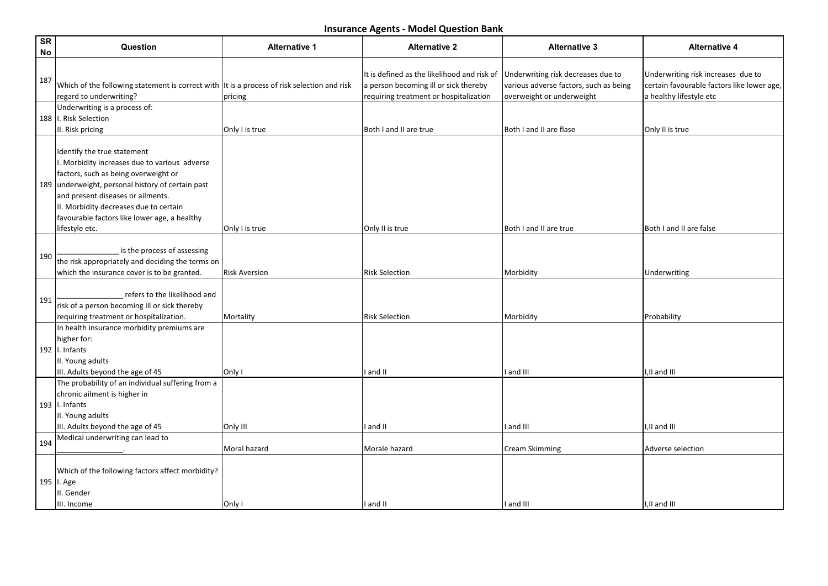| <b>SR</b><br>No | Question                                                                                                                                                                                                                                                                                                                   | <b>Alternative 1</b> | <b>Alternative 2</b>                                                                                                           | <b>Alternative 3</b>                                                                                      | <b>Alternative 4</b>                                                                                        |
|-----------------|----------------------------------------------------------------------------------------------------------------------------------------------------------------------------------------------------------------------------------------------------------------------------------------------------------------------------|----------------------|--------------------------------------------------------------------------------------------------------------------------------|-----------------------------------------------------------------------------------------------------------|-------------------------------------------------------------------------------------------------------------|
| 187             | Which of the following statement is correct with $ $ It is a process of risk selection and risk<br>regard to underwriting?                                                                                                                                                                                                 | pricing              | It is defined as the likelihood and risk of<br>a person becoming ill or sick thereby<br>requiring treatment or hospitalization | Underwriting risk decreases due to<br>various adverse factors, such as being<br>overweight or underweight | Underwriting risk increases due to<br>certain favourable factors like lower age,<br>a healthy lifestyle etc |
|                 | Underwriting is a process of:<br>188   I. Risk Selection<br>II. Risk pricing                                                                                                                                                                                                                                               | Only I is true       | Both I and II are true                                                                                                         | Both I and II are flase                                                                                   | Only II is true                                                                                             |
|                 | Identify the true statement<br>I. Morbidity increases due to various adverse<br>factors, such as being overweight or<br>189 underweight, personal history of certain past<br>and present diseases or ailments.<br>II. Morbidity decreases due to certain<br>favourable factors like lower age, a healthy<br>lifestyle etc. | Only I is true       | Only II is true                                                                                                                | Both I and II are true                                                                                    | Both I and II are false                                                                                     |
| 190             | is the process of assessing<br>the risk appropriately and deciding the terms on<br>which the insurance cover is to be granted.                                                                                                                                                                                             | <b>Risk Aversion</b> | <b>Risk Selection</b>                                                                                                          | Morbidity                                                                                                 | Underwriting                                                                                                |
| 191             | refers to the likelihood and<br>risk of a person becoming ill or sick thereby<br>requiring treatment or hospitalization.                                                                                                                                                                                                   | Mortality            | <b>Risk Selection</b>                                                                                                          | Morbidity                                                                                                 | Probability                                                                                                 |
|                 | In health insurance morbidity premiums are<br>higher for:<br>192   $I.$ Infants<br>II. Young adults<br>III. Adults beyond the age of 45                                                                                                                                                                                    | Only I               | and II                                                                                                                         | and III                                                                                                   | I,II and III                                                                                                |
|                 | The probability of an individual suffering from a<br>chronic ailment is higher in<br>193   $\vert$ . Infants<br>II. Young adults<br>III. Adults beyond the age of 45                                                                                                                                                       | Only III             | and II                                                                                                                         | and III                                                                                                   | II and III                                                                                                  |
| 194             | Medical underwriting can lead to                                                                                                                                                                                                                                                                                           | Moral hazard         | Morale hazard                                                                                                                  | <b>Cream Skimming</b>                                                                                     | Adverse selection                                                                                           |
|                 | Which of the following factors affect morbidity?<br>195   I. Age<br>III. Gender<br>III. Income                                                                                                                                                                                                                             | Only I               | I and II                                                                                                                       | I and III                                                                                                 | I,II and III                                                                                                |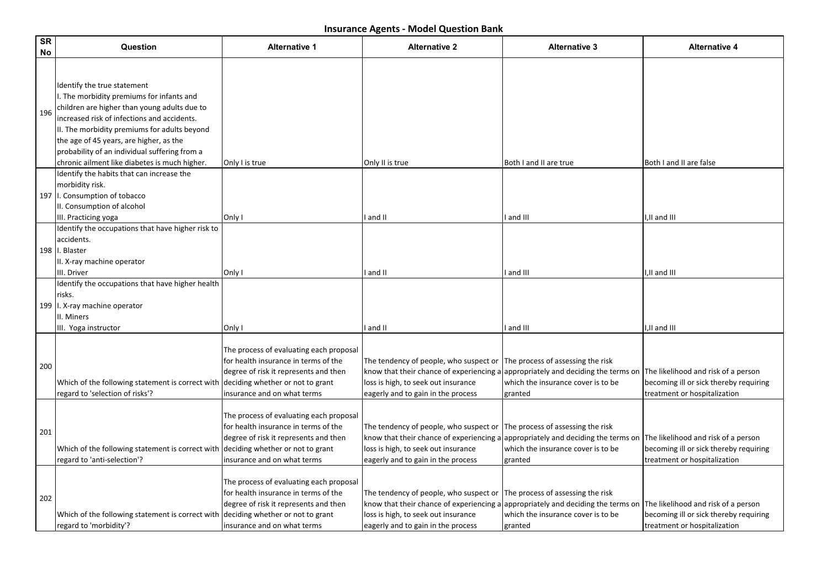| SR<br>No | Question                                                                                                                                                                                                                                                                                                                                                             | <b>Alternative 1</b>                                                                                                                                                                        | <b>Alternative 2</b>                                                                                                                                                                                    | <b>Alternative 3</b>                                                               | <b>Alternative 4</b>                                                                                          |
|----------|----------------------------------------------------------------------------------------------------------------------------------------------------------------------------------------------------------------------------------------------------------------------------------------------------------------------------------------------------------------------|---------------------------------------------------------------------------------------------------------------------------------------------------------------------------------------------|---------------------------------------------------------------------------------------------------------------------------------------------------------------------------------------------------------|------------------------------------------------------------------------------------|---------------------------------------------------------------------------------------------------------------|
| 196      | Identify the true statement<br>I. The morbidity premiums for infants and<br>children are higher than young adults due to<br>increased risk of infections and accidents.<br>II. The morbidity premiums for adults beyond<br>the age of 45 years, are higher, as the<br>probability of an individual suffering from a<br>chronic ailment like diabetes is much higher. | Only I is true                                                                                                                                                                              | Only II is true                                                                                                                                                                                         | Both I and II are true                                                             | Both I and II are false                                                                                       |
|          | Identify the habits that can increase the<br>morbidity risk.<br>197   I. Consumption of tobacco<br>II. Consumption of alcohol<br>III. Practicing yoga<br>Identify the occupations that have higher risk to                                                                                                                                                           | Only I                                                                                                                                                                                      | and II                                                                                                                                                                                                  | and III                                                                            | I,II and III                                                                                                  |
|          | laccidents.<br>198   I. Blaster<br>II. X-ray machine operator<br>III. Driver                                                                                                                                                                                                                                                                                         | Only I                                                                                                                                                                                      | and II                                                                                                                                                                                                  | and III                                                                            | I,II and III                                                                                                  |
|          | Identify the occupations that have higher health<br> risks.<br>199   I. X-ray machine operator<br>II. Miners<br>III. Yoga instructor                                                                                                                                                                                                                                 | Only I                                                                                                                                                                                      | and II                                                                                                                                                                                                  | and III                                                                            | I,II and III                                                                                                  |
| 200      | Which of the following statement is correct with<br>regard to 'selection of risks'?                                                                                                                                                                                                                                                                                  | The process of evaluating each proposal<br>for health insurance in terms of the<br>degree of risk it represents and then<br>deciding whether or not to grant<br>insurance and on what terms | The tendency of people, who suspect or<br>know that their chance of experiencing a appropriately and deciding the terms on<br>loss is high, to seek out insurance<br>eagerly and to gain in the process | The process of assessing the risk<br>which the insurance cover is to be<br>granted | The likelihood and risk of a person<br>becoming ill or sick thereby requiring<br>treatment or hospitalization |
| 201      | Which of the following statement is correct with<br>regard to 'anti-selection'?                                                                                                                                                                                                                                                                                      | The process of evaluating each proposal<br>for health insurance in terms of the<br>degree of risk it represents and then<br>deciding whether or not to grant<br>insurance and on what terms | The tendency of people, who suspect or<br>know that their chance of experiencing a appropriately and deciding the terms on<br>loss is high, to seek out insurance<br>eagerly and to gain in the process | The process of assessing the risk<br>which the insurance cover is to be<br>granted | The likelihood and risk of a person<br>becoming ill or sick thereby requiring<br>treatment or hospitalization |
| 202      | Which of the following statement is correct with<br>regard to 'morbidity'?                                                                                                                                                                                                                                                                                           | The process of evaluating each proposal<br>for health insurance in terms of the<br>degree of risk it represents and then<br>deciding whether or not to grant<br>insurance and on what terms | The tendency of people, who suspect or<br>know that their chance of experiencing a appropriately and deciding the terms on<br>loss is high, to seek out insurance<br>eagerly and to gain in the process | The process of assessing the risk<br>which the insurance cover is to be<br>granted | The likelihood and risk of a person<br>becoming ill or sick thereby requiring<br>treatment or hospitalization |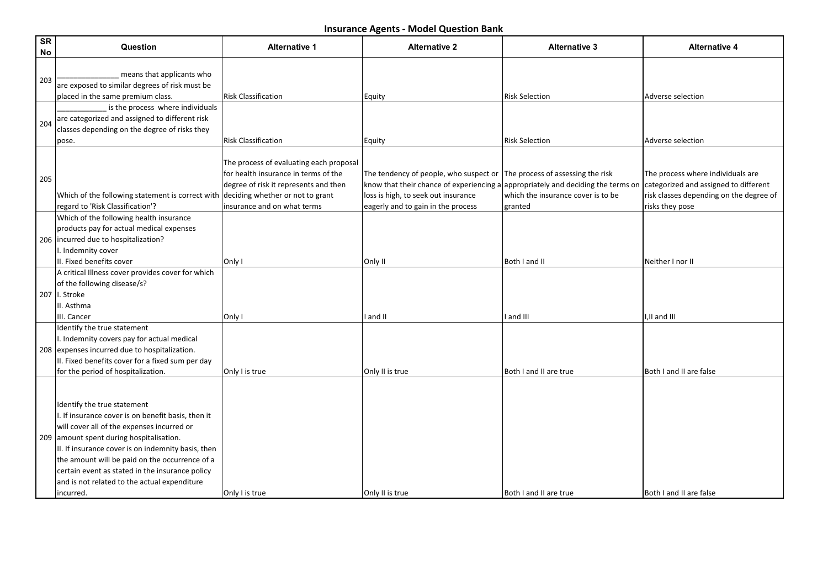| SR<br>No | Question                                                                                                                                                                                                                                                                                                                                                                                            | <b>Alternative 1</b>                                                                                                                                                                        | <b>Alternative 2</b>                                                                                                                                                                                                                          | <b>Alternative 3</b>                          | <b>Alternative 4</b>                                                                                                                     |
|----------|-----------------------------------------------------------------------------------------------------------------------------------------------------------------------------------------------------------------------------------------------------------------------------------------------------------------------------------------------------------------------------------------------------|---------------------------------------------------------------------------------------------------------------------------------------------------------------------------------------------|-----------------------------------------------------------------------------------------------------------------------------------------------------------------------------------------------------------------------------------------------|-----------------------------------------------|------------------------------------------------------------------------------------------------------------------------------------------|
| 203      | means that applicants who<br>are exposed to similar degrees of risk must be<br>placed in the same premium class.                                                                                                                                                                                                                                                                                    | <b>Risk Classification</b>                                                                                                                                                                  | Equity                                                                                                                                                                                                                                        | <b>Risk Selection</b>                         | Adverse selection                                                                                                                        |
| 204      | is the process where individuals<br>are categorized and assigned to different risk<br>classes depending on the degree of risks they<br>pose.                                                                                                                                                                                                                                                        | <b>Risk Classification</b>                                                                                                                                                                  | Equity                                                                                                                                                                                                                                        | <b>Risk Selection</b>                         | Adverse selection                                                                                                                        |
| 205      | Which of the following statement is correct with<br>regard to 'Risk Classification'?                                                                                                                                                                                                                                                                                                                | The process of evaluating each proposal<br>for health insurance in terms of the<br>degree of risk it represents and then<br>deciding whether or not to grant<br>insurance and on what terms | The tendency of people, who suspect or $ $ The process of assessing the risk<br>know that their chance of experiencing a appropriately and deciding the terms on<br>loss is high, to seek out insurance<br>eagerly and to gain in the process | which the insurance cover is to be<br>granted | The process where individuals are<br>categorized and assigned to different<br>risk classes depending on the degree of<br>risks they pose |
|          | Which of the following health insurance<br>products pay for actual medical expenses<br>206  incurred due to hospitalization?<br>I. Indemnity cover<br>II. Fixed benefits cover                                                                                                                                                                                                                      | Only I                                                                                                                                                                                      | Only II                                                                                                                                                                                                                                       | Both I and II                                 | Neither I nor II                                                                                                                         |
|          | A critical Illness cover provides cover for which<br>of the following disease/s?<br>207 II. Stroke<br>II. Asthma                                                                                                                                                                                                                                                                                    |                                                                                                                                                                                             |                                                                                                                                                                                                                                               |                                               |                                                                                                                                          |
|          | III. Cancer<br>Identify the true statement<br>I. Indemnity covers pay for actual medical<br>208 expenses incurred due to hospitalization.<br>II. Fixed benefits cover for a fixed sum per day<br>for the period of hospitalization.                                                                                                                                                                 | Only I<br>Only I is true                                                                                                                                                                    | and II<br>Only II is true                                                                                                                                                                                                                     | and III<br>Both I and II are true             | ,II and III<br>Both I and II are false                                                                                                   |
|          | Identify the true statement<br>I. If insurance cover is on benefit basis, then it<br>will cover all of the expenses incurred or<br>209 amount spent during hospitalisation.<br>II. If insurance cover is on indemnity basis, then<br>the amount will be paid on the occurrence of a<br>certain event as stated in the insurance policy<br>and is not related to the actual expenditure<br>incurred. | Only I is true                                                                                                                                                                              | Only II is true                                                                                                                                                                                                                               | Both I and II are true                        | Both I and II are false                                                                                                                  |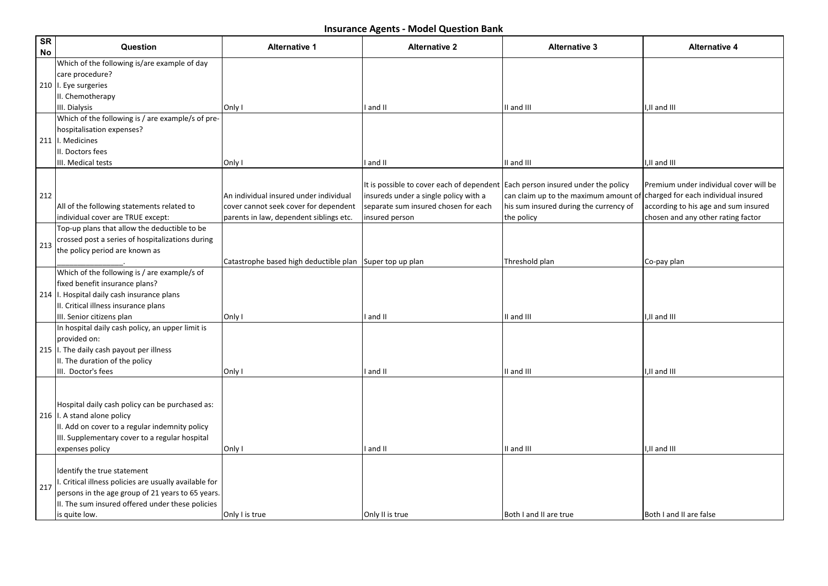| SR<br>No | Question                                                                          | <b>Alternative 1</b>                                     | <b>Alternative 2</b>                                                           | <b>Alternative 3</b>                   | <b>Alternative 4</b>                   |
|----------|-----------------------------------------------------------------------------------|----------------------------------------------------------|--------------------------------------------------------------------------------|----------------------------------------|----------------------------------------|
|          | Which of the following is/are example of day<br>care procedure?                   |                                                          |                                                                                |                                        |                                        |
|          | 210   I. Eye surgeries                                                            |                                                          |                                                                                |                                        |                                        |
|          | II. Chemotherapy                                                                  |                                                          |                                                                                |                                        |                                        |
|          | III. Dialysis                                                                     | Only I                                                   | I and II                                                                       | II and III                             | I,II and III                           |
|          | Which of the following is / are example/s of pre-                                 |                                                          |                                                                                |                                        |                                        |
|          | hospitalisation expenses?                                                         |                                                          |                                                                                |                                        |                                        |
|          | 211   I. Medicines                                                                |                                                          |                                                                                |                                        |                                        |
|          | II. Doctors fees                                                                  |                                                          |                                                                                |                                        |                                        |
|          | III. Medical tests                                                                | Only I                                                   | I and II                                                                       | II and III                             | I,II and III                           |
|          |                                                                                   |                                                          |                                                                                |                                        |                                        |
|          |                                                                                   |                                                          | It is possible to cover each of dependent Each person insured under the policy |                                        | Premium under individual cover will be |
| 212      |                                                                                   | An individual insured under individual                   | insureds under a single policy with a                                          | can claim up to the maximum amount of  | charged for each individual insured    |
|          | All of the following statements related to                                        | cover cannot seek cover for dependent                    | separate sum insured chosen for each                                           | his sum insured during the currency of | according to his age and sum insured   |
|          | individual cover are TRUE except:<br>Top-up plans that allow the deductible to be | parents in law, dependent siblings etc.                  | insured person                                                                 | the policy                             | chosen and any other rating factor     |
|          |                                                                                   |                                                          |                                                                                |                                        |                                        |
| 213      | crossed post a series of hospitalizations during                                  |                                                          |                                                                                |                                        |                                        |
|          | the policy period are known as                                                    |                                                          |                                                                                |                                        |                                        |
|          | Which of the following is / are example/s of                                      | Catastrophe based high deductible plan Super top up plan |                                                                                | Threshold plan                         | Co-pay plan                            |
|          | fixed benefit insurance plans?                                                    |                                                          |                                                                                |                                        |                                        |
|          | 214   I. Hospital daily cash insurance plans                                      |                                                          |                                                                                |                                        |                                        |
|          | II. Critical illness insurance plans                                              |                                                          |                                                                                |                                        |                                        |
|          | III. Senior citizens plan                                                         | Only I                                                   | I and II                                                                       | II and III                             | I,II and III                           |
|          | In hospital daily cash policy, an upper limit is                                  |                                                          |                                                                                |                                        |                                        |
|          | provided on:                                                                      |                                                          |                                                                                |                                        |                                        |
|          | 215   I. The daily cash payout per illness                                        |                                                          |                                                                                |                                        |                                        |
|          | II. The duration of the policy                                                    |                                                          |                                                                                |                                        |                                        |
|          | III. Doctor's fees                                                                | Only I                                                   | I and II                                                                       | II and III                             | I,II and III                           |
|          |                                                                                   |                                                          |                                                                                |                                        |                                        |
|          |                                                                                   |                                                          |                                                                                |                                        |                                        |
|          | Hospital daily cash policy can be purchased as:                                   |                                                          |                                                                                |                                        |                                        |
|          | 216   I. A stand alone policy                                                     |                                                          |                                                                                |                                        |                                        |
|          | II. Add on cover to a regular indemnity policy                                    |                                                          |                                                                                |                                        |                                        |
|          | III. Supplementary cover to a regular hospital                                    |                                                          |                                                                                |                                        |                                        |
|          | expenses policy                                                                   | Only I                                                   | I and II                                                                       | II and III                             | I,II and III                           |
|          |                                                                                   |                                                          |                                                                                |                                        |                                        |
|          | Identify the true statement                                                       |                                                          |                                                                                |                                        |                                        |
|          | . Critical illness policies are usually available for                             |                                                          |                                                                                |                                        |                                        |
| 217      | persons in the age group of 21 years to 65 years.                                 |                                                          |                                                                                |                                        |                                        |
|          | II. The sum insured offered under these policies                                  |                                                          |                                                                                |                                        |                                        |
|          | is quite low.                                                                     | Only I is true                                           | Only II is true                                                                | Both I and II are true                 | Both I and II are false                |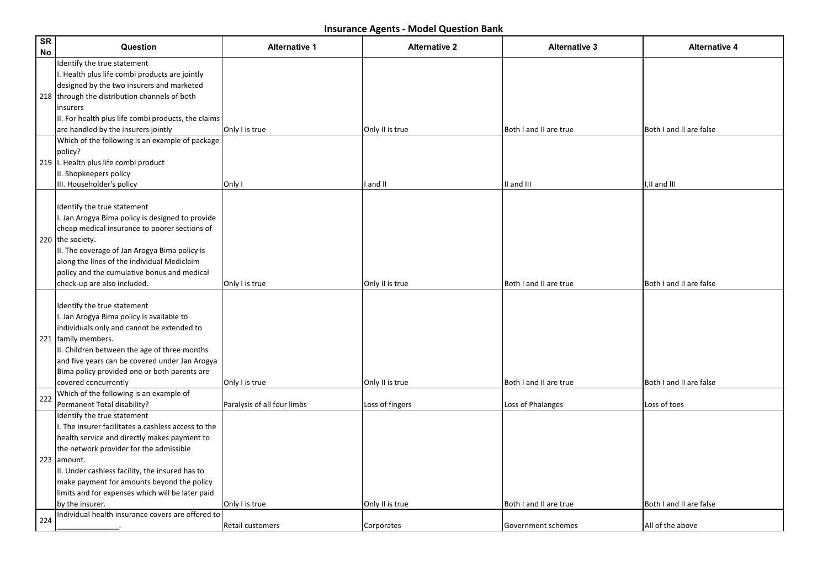| SR<br>No | Question                                                                                                                                                                                                                                                                                                                                                             | <b>Alternative 1</b>        | <b>Alternative 2</b> | <b>Alternative 3</b>   | <b>Alternative 4</b>    |
|----------|----------------------------------------------------------------------------------------------------------------------------------------------------------------------------------------------------------------------------------------------------------------------------------------------------------------------------------------------------------------------|-----------------------------|----------------------|------------------------|-------------------------|
|          | Identify the true statement<br>I. Health plus life combi products are jointly<br>designed by the two insurers and marketed<br>218 through the distribution channels of both<br>linsurers<br>II. For health plus life combi products, the claims<br>are handled by the insurers jointly                                                                               | Only I is true              | Only II is true      | Both I and II are true | Both I and II are false |
|          | Which of the following is an example of package<br> policy?<br>219   I. Health plus life combi product<br>II. Shopkeepers policy<br>III. Householder's policy                                                                                                                                                                                                        | Only I                      | I and II             | II and III             | I,II and III            |
|          | Identify the true statement<br>I. Jan Arogya Bima policy is designed to provide<br>cheap medical insurance to poorer sections of<br>220 the society.<br>II. The coverage of Jan Arogya Bima policy is<br>along the lines of the individual Mediclaim<br>policy and the cumulative bonus and medical<br>check-up are also included.                                   | Only I is true              | Only II is true      | Both I and II are true | Both I and II are false |
|          | Identify the true statement<br>I. Jan Arogya Bima policy is available to<br>individuals only and cannot be extended to<br>221   family members.<br>II. Children between the age of three months<br>and five years can be covered under Jan Arogya<br>Bima policy provided one or both parents are<br>covered concurrently                                            | Only I is true              | Only II is true      | Both I and II are true | Both I and II are false |
| 222      | Which of the following is an example of<br>Permanent Total disability?                                                                                                                                                                                                                                                                                               | Paralysis of all four limbs | Loss of fingers      | Loss of Phalanges      | Loss of toes            |
|          | Identify the true statement<br>I. The insurer facilitates a cashless access to the<br>health service and directly makes payment to<br>the network provider for the admissible<br>223 amount.<br>II. Under cashless facility, the insured has to<br>make payment for amounts beyond the policy<br>limits and for expenses which will be later paid<br>by the insurer. | Only I is true              | Only II is true      | Both I and II are true | Both I and II are false |
| 224      | Individual health insurance covers are offered to                                                                                                                                                                                                                                                                                                                    | Retail customers            | Corporates           | Government schemes     | All of the above        |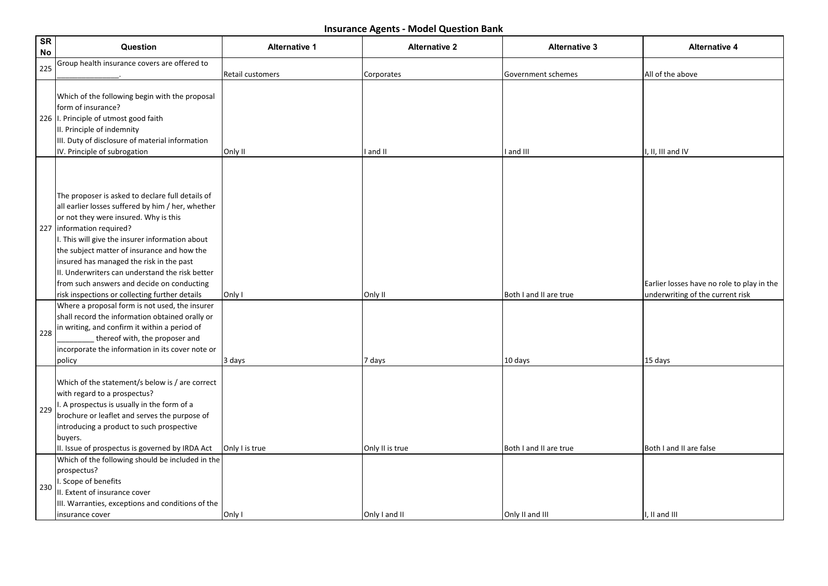| <b>SR</b><br><b>No</b> | Question                                                                                                                                                                                                                                                                                                                                                                                                                                                                       | <b>Alternative 1</b>        | <b>Alternative 2</b>   | <b>Alternative 3</b>            | <b>Alternative 4</b>                                                           |
|------------------------|--------------------------------------------------------------------------------------------------------------------------------------------------------------------------------------------------------------------------------------------------------------------------------------------------------------------------------------------------------------------------------------------------------------------------------------------------------------------------------|-----------------------------|------------------------|---------------------------------|--------------------------------------------------------------------------------|
| 225                    | Group health insurance covers are offered to                                                                                                                                                                                                                                                                                                                                                                                                                                   |                             |                        |                                 |                                                                                |
|                        | Which of the following begin with the proposal<br>form of insurance?<br>226   I. Principle of utmost good faith<br>II. Principle of indemnity<br>III. Duty of disclosure of material information<br>IV. Principle of subrogation                                                                                                                                                                                                                                               | Retail customers<br>Only II | Corporates<br>I and II | Government schemes<br>I and III | All of the above<br>I, II, III and IV                                          |
|                        | The proposer is asked to declare full details of<br>all earlier losses suffered by him / her, whether<br>or not they were insured. Why is this<br>227   information required?<br>I. This will give the insurer information about<br>the subject matter of insurance and how the<br>insured has managed the risk in the past<br>II. Underwriters can understand the risk better<br>from such answers and decide on conducting<br>risk inspections or collecting further details | Only I                      | Only II                | Both I and II are true          | Earlier losses have no role to play in the<br>underwriting of the current risk |
| 228                    | Where a proposal form is not used, the insurer<br>shall record the information obtained orally or<br>in writing, and confirm it within a period of<br>thereof with, the proposer and<br>incorporate the information in its cover note or<br>policy                                                                                                                                                                                                                             | 3 days                      | 7 days                 | 10 days                         | 15 days                                                                        |
| 229                    | Which of the statement/s below is / are correct<br>with regard to a prospectus?<br>I. A prospectus is usually in the form of a<br>brochure or leaflet and serves the purpose of<br>introducing a product to such prospective<br>buyers.<br>II. Issue of prospectus is governed by IRDA Act                                                                                                                                                                                     | Only I is true              | Only II is true        | Both I and II are true          | Both I and II are false                                                        |
| 230                    | Which of the following should be included in the<br>prospectus?<br>I. Scope of benefits<br>II. Extent of insurance cover<br>III. Warranties, exceptions and conditions of the<br>insurance cover                                                                                                                                                                                                                                                                               | Only I                      | Only I and II          | Only II and III                 | I, II and III                                                                  |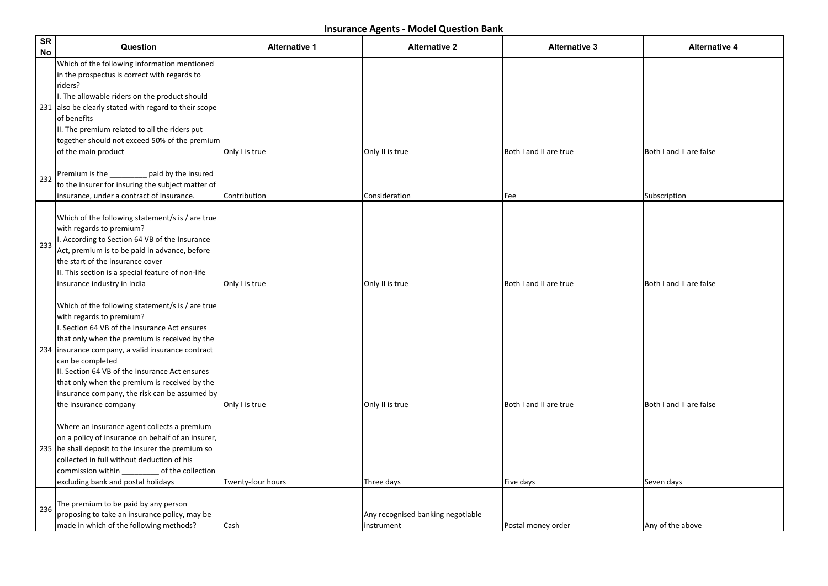| <b>SR</b><br><b>No</b> | Question                                                                                                                                                                                                                                                                                                                                                                                                                               | <b>Alternative 1</b> | <b>Alternative 2</b>                            | <b>Alternative 3</b>   | <b>Alternative 4</b>    |
|------------------------|----------------------------------------------------------------------------------------------------------------------------------------------------------------------------------------------------------------------------------------------------------------------------------------------------------------------------------------------------------------------------------------------------------------------------------------|----------------------|-------------------------------------------------|------------------------|-------------------------|
|                        | Which of the following information mentioned<br>in the prospectus is correct with regards to<br>riders?<br>I. The allowable riders on the product should<br>231 also be clearly stated with regard to their scope<br>of benefits<br>II. The premium related to all the riders put<br>together should not exceed 50% of the premium<br>of the main product                                                                              | Only I is true       | Only II is true                                 | Both I and II are true | Both I and II are false |
| 232                    | Premium is the ________ paid by the insured<br>to the insurer for insuring the subject matter of<br>insurance, under a contract of insurance.                                                                                                                                                                                                                                                                                          | Contribution         | Consideration                                   | Fee                    | Subscription            |
| 233                    | Which of the following statement/s is / are true<br>with regards to premium?<br>I. According to Section 64 VB of the Insurance<br>Act, premium is to be paid in advance, before<br>lthe start of the insurance cover<br>II. This section is a special feature of non-life<br>insurance industry in India                                                                                                                               | Only I is true       | Only II is true                                 | Both I and II are true | Both I and II are false |
|                        | Which of the following statement/s is / are true<br>with regards to premium?<br>I. Section 64 VB of the Insurance Act ensures<br>that only when the premium is received by the<br>234   insurance company, a valid insurance contract<br>can be completed<br>II. Section 64 VB of the Insurance Act ensures<br>that only when the premium is received by the<br>insurance company, the risk can be assumed by<br>the insurance company | Only I is true       | Only II is true                                 | Both I and II are true | Both I and II are false |
|                        | Where an insurance agent collects a premium<br>on a policy of insurance on behalf of an insurer,<br>235 he shall deposit to the insurer the premium so<br>collected in full without deduction of his<br>commission within ____________ of the collection<br>excluding bank and postal holidays                                                                                                                                         | Twenty-four hours    | Three days                                      | Five days              | Seven days              |
| 236                    | The premium to be paid by any person<br>$ $ proposing to take an insurance policy, may be<br>made in which of the following methods?                                                                                                                                                                                                                                                                                                   | Cash                 | Any recognised banking negotiable<br>instrument | Postal money order     | Any of the above        |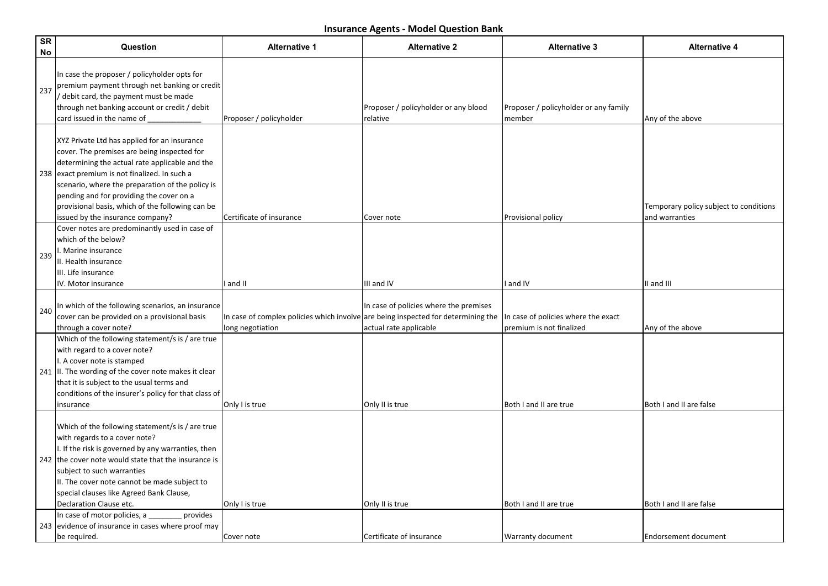| <b>SR</b><br>No | Question                                                                                                                                                                                                                                                                                                                                                                               | <b>Alternative 1</b>                                                                                  | <b>Alternative 2</b>                                             | <b>Alternative 3</b>                                            | <b>Alternative 4</b>                                     |
|-----------------|----------------------------------------------------------------------------------------------------------------------------------------------------------------------------------------------------------------------------------------------------------------------------------------------------------------------------------------------------------------------------------------|-------------------------------------------------------------------------------------------------------|------------------------------------------------------------------|-----------------------------------------------------------------|----------------------------------------------------------|
| 237             | In case the proposer / policyholder opts for<br>premium payment through net banking or credit<br>/ debit card, the payment must be made<br>through net banking account or credit / debit<br>card issued in the name of                                                                                                                                                                 | Proposer / policyholder                                                                               | Proposer / policyholder or any blood<br>relative                 | Proposer / policyholder or any family<br>member                 | Any of the above                                         |
|                 | XYZ Private Ltd has applied for an insurance<br>cover. The premises are being inspected for<br>determining the actual rate applicable and the<br>238 exact premium is not finalized. In such a<br>scenario, where the preparation of the policy is<br>pending and for providing the cover on a<br>provisional basis, which of the following can be<br>issued by the insurance company? | Certificate of insurance                                                                              | Cover note                                                       | Provisional policy                                              | Temporary policy subject to conditions<br>and warranties |
| 239             | Cover notes are predominantly used in case of<br>lwhich of the below?<br>. Marine insurance<br>II. Health insurance<br>III. Life insurance<br>IV. Motor insurance                                                                                                                                                                                                                      | I and II                                                                                              | III and IV                                                       | I and IV                                                        | II and III                                               |
| 240             | In which of the following scenarios, an insurance<br>cover can be provided on a provisional basis<br>through a cover note?                                                                                                                                                                                                                                                             | In case of complex policies which involve are being inspected for determining the<br>long negotiation | In case of policies where the premises<br>actual rate applicable | In case of policies where the exact<br>premium is not finalized | Any of the above                                         |
|                 | Which of the following statement/s is / are true<br>with regard to a cover note?<br>I. A cover note is stamped<br>241 $\vert$ II. The wording of the cover note makes it clear<br>that it is subject to the usual terms and<br>conditions of the insurer's policy for that class of<br>insurance                                                                                       | Only I is true                                                                                        | Only II is true                                                  | Both I and II are true                                          | Both I and II are false                                  |
|                 | Which of the following statement/s is / are true<br>with regards to a cover note?<br>I. If the risk is governed by any warranties, then<br>242 the cover note would state that the insurance is<br>subject to such warranties<br>II. The cover note cannot be made subject to<br>special clauses like Agreed Bank Clause,<br>Declaration Clause etc.                                   | Only I is true                                                                                        | Only II is true                                                  | Both I and II are true                                          | Both I and II are false                                  |
|                 | In case of motor policies, a ____<br>provides<br>243 evidence of insurance in cases where proof may<br>be required.                                                                                                                                                                                                                                                                    | Cover note                                                                                            | Certificate of insurance                                         | Warranty document                                               | <b>Endorsement document</b>                              |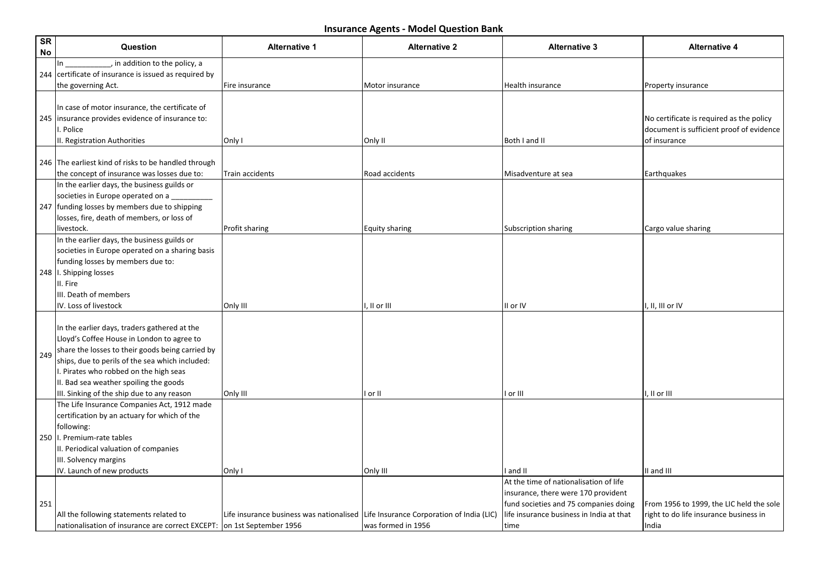| <b>SR</b><br>No | Question                                                                                                                                                                                                                                                                                                                            | <b>Alternative 1</b>                                                               | <b>Alternative 2</b> | <b>Alternative 3</b>                                                                                                                                                       | <b>Alternative 4</b>                                                                                 |
|-----------------|-------------------------------------------------------------------------------------------------------------------------------------------------------------------------------------------------------------------------------------------------------------------------------------------------------------------------------------|------------------------------------------------------------------------------------|----------------------|----------------------------------------------------------------------------------------------------------------------------------------------------------------------------|------------------------------------------------------------------------------------------------------|
|                 | in addition to the policy, a<br> In<br>244 certificate of insurance is issued as required by<br>the governing Act.                                                                                                                                                                                                                  | Fire insurance                                                                     | Motor insurance      | Health insurance                                                                                                                                                           | Property insurance                                                                                   |
|                 | In case of motor insurance, the certificate of<br>245   insurance provides evidence of insurance to:<br>I. Police<br>II. Registration Authorities                                                                                                                                                                                   | Only I                                                                             | Only II              | Both I and II                                                                                                                                                              | No certificate is required as the policy<br>document is sufficient proof of evidence<br>of insurance |
|                 | 246 The earliest kind of risks to be handled through<br>the concept of insurance was losses due to:                                                                                                                                                                                                                                 | Train accidents                                                                    | Road accidents       | Misadventure at sea                                                                                                                                                        | Earthquakes                                                                                          |
|                 | In the earlier days, the business guilds or<br>societies in Europe operated on a<br>247 funding losses by members due to shipping<br>losses, fire, death of members, or loss of<br>livestock.                                                                                                                                       | Profit sharing                                                                     | Equity sharing       | Subscription sharing                                                                                                                                                       | Cargo value sharing                                                                                  |
|                 | In the earlier days, the business guilds or<br>societies in Europe operated on a sharing basis<br>funding losses by members due to:<br>248  I. Shipping losses<br>II. Fire<br>IIII. Death of members<br>IV. Loss of livestock                                                                                                       | Only III                                                                           | , II or III          | II or IV                                                                                                                                                                   | I, II, III or IV                                                                                     |
| 249             | In the earlier days, traders gathered at the<br>Lloyd's Coffee House in London to agree to<br>share the losses to their goods being carried by<br>ships, due to perils of the sea which included:<br>I. Pirates who robbed on the high seas<br>II. Bad sea weather spoiling the goods<br>III. Sinking of the ship due to any reason | Only III                                                                           | or II                | or III                                                                                                                                                                     | , II or III                                                                                          |
|                 | The Life Insurance Companies Act, 1912 made<br>certification by an actuary for which of the<br>following:<br>250   I. Premium-rate tables<br>II. Periodical valuation of companies<br>III. Solvency margins<br>IV. Launch of new products                                                                                           | Only I                                                                             | Only III             | I and II                                                                                                                                                                   | II and III                                                                                           |
| 251             | All the following statements related to<br>nationalisation of insurance are correct EXCEPT:   on 1st September 1956                                                                                                                                                                                                                 | Life insurance business was nationalised Life Insurance Corporation of India (LIC) | was formed in 1956   | At the time of nationalisation of life<br>insurance, there were 170 provident<br>fund societies and 75 companies doing<br>life insurance business in India at that<br>time | From 1956 to 1999, the LIC held the sole<br>right to do life insurance business in<br>India          |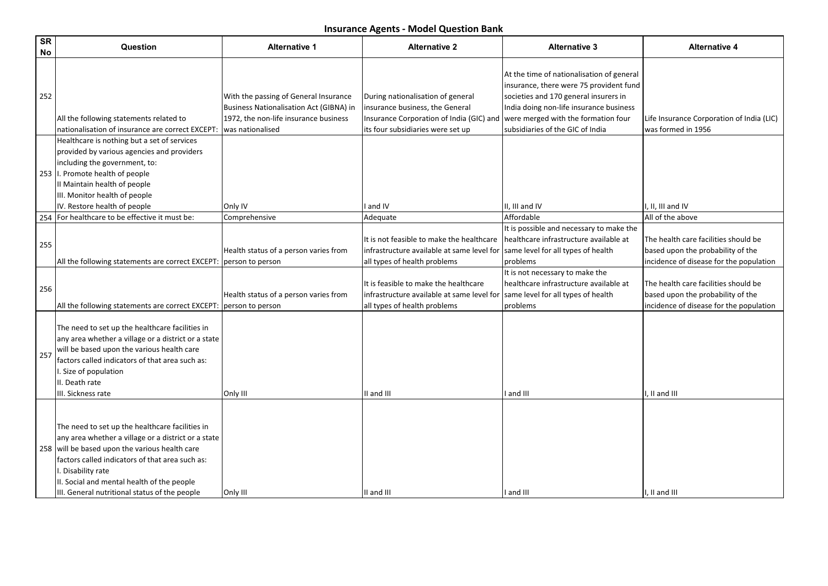| <b>SR</b><br>No | Question                                                                                                                                                                                                                                                                                                                         | <b>Alternative 1</b>                                                                                                                                 | <b>Alternative 2</b>                                                                                                                                  | <b>Alternative 3</b>                                                                                                                                                                                                                                | <b>Alternative 4</b>                                                                                                 |
|-----------------|----------------------------------------------------------------------------------------------------------------------------------------------------------------------------------------------------------------------------------------------------------------------------------------------------------------------------------|------------------------------------------------------------------------------------------------------------------------------------------------------|-------------------------------------------------------------------------------------------------------------------------------------------------------|-----------------------------------------------------------------------------------------------------------------------------------------------------------------------------------------------------------------------------------------------------|----------------------------------------------------------------------------------------------------------------------|
| 252             | All the following statements related to<br>nationalisation of insurance are correct EXCEPT:                                                                                                                                                                                                                                      | With the passing of General Insurance<br><b>Business Nationalisation Act (GIBNA) in</b><br>1972, the non-life insurance business<br>was nationalised | During nationalisation of general<br>insurance business, the General<br>Insurance Corporation of India (GIC) and<br>its four subsidiaries were set up | At the time of nationalisation of general<br>insurance, there were 75 provident fund<br>societies and 170 general insurers in<br>India doing non-life insurance business<br>were merged with the formation four<br>subsidiaries of the GIC of India | Life Insurance Corporation of India (LIC)<br>was formed in 1956                                                      |
|                 | Healthcare is nothing but a set of services<br>provided by various agencies and providers<br>including the government, to:<br>253  I. Promote health of people<br>II Maintain health of people<br>III. Monitor health of people<br>IV. Restore health of people                                                                  | Only IV                                                                                                                                              | and IV                                                                                                                                                | II, III and IV                                                                                                                                                                                                                                      | $I. II. III$ and IV                                                                                                  |
|                 | 254 For healthcare to be effective it must be:                                                                                                                                                                                                                                                                                   | Comprehensive                                                                                                                                        | Adequate                                                                                                                                              | Affordable                                                                                                                                                                                                                                          | All of the above                                                                                                     |
| 255             | All the following statements are correct EXCEPT:                                                                                                                                                                                                                                                                                 | Health status of a person varies from<br>person to person                                                                                            | It is not feasible to make the healthcare<br>infrastructure available at same level for<br>all types of health problems                               | It is possible and necessary to make the<br>healthcare infrastructure available at<br>same level for all types of health<br>problems                                                                                                                | The health care facilities should be<br>based upon the probability of the<br>incidence of disease for the population |
| 256             | All the following statements are correct EXCEPT:                                                                                                                                                                                                                                                                                 | Health status of a person varies from<br>person to person                                                                                            | It is feasible to make the healthcare<br>infrastructure available at same level for<br>all types of health problems                                   | It is not necessary to make the<br>healthcare infrastructure available at<br>same level for all types of health<br>problems                                                                                                                         | The health care facilities should be<br>based upon the probability of the<br>incidence of disease for the population |
| 257             | The need to set up the healthcare facilities in<br>any area whether a village or a district or a state<br>will be based upon the various health care<br>factors called indicators of that area such as:<br>I. Size of population<br>II. Death rate<br>III. Sickness rate                                                         | Only III                                                                                                                                             | II and III                                                                                                                                            | and III                                                                                                                                                                                                                                             | I, II and III                                                                                                        |
|                 | The need to set up the healthcare facilities in<br>any area whether a village or a district or a state<br>258 will be based upon the various health care<br>factors called indicators of that area such as:<br>I. Disability rate<br>II. Social and mental health of the people<br>III. General nutritional status of the people | Only III                                                                                                                                             | II and III                                                                                                                                            | and III                                                                                                                                                                                                                                             | I, II and III                                                                                                        |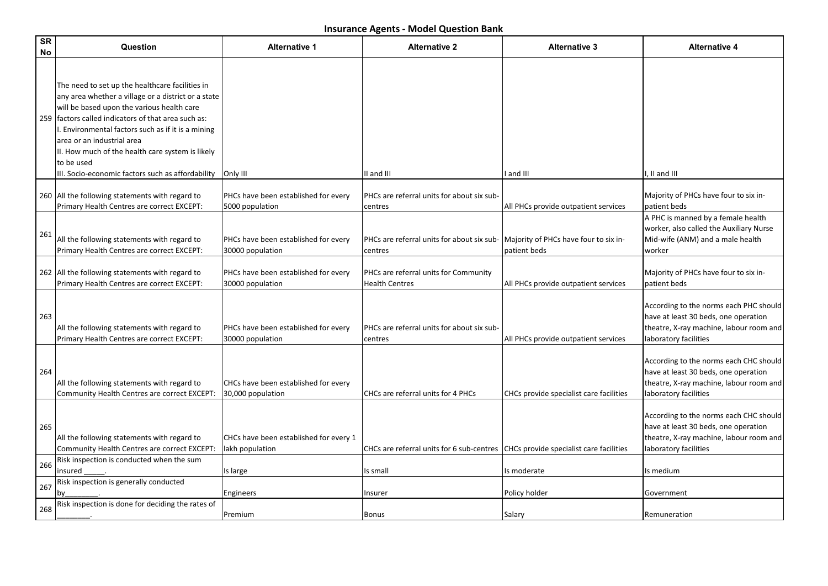| <b>SR</b><br>No | Question                                                                                                                                                                                                                                                                                                                                                                                                                 | <b>Alternative 1</b>                                      | <b>Alternative 2</b>                                                              | <b>Alternative 3</b>                                  | <b>Alternative 4</b>                                                                                                                               |
|-----------------|--------------------------------------------------------------------------------------------------------------------------------------------------------------------------------------------------------------------------------------------------------------------------------------------------------------------------------------------------------------------------------------------------------------------------|-----------------------------------------------------------|-----------------------------------------------------------------------------------|-------------------------------------------------------|----------------------------------------------------------------------------------------------------------------------------------------------------|
|                 | The need to set up the healthcare facilities in<br>any area whether a village or a district or a state<br>will be based upon the various health care<br>259   factors called indicators of that area such as:<br>I. Environmental factors such as if it is a mining<br>area or an industrial area<br>II. How much of the health care system is likely<br>to be used<br>III. Socio-economic factors such as affordability | Only III                                                  | II and III                                                                        | and III                                               | I. II and III                                                                                                                                      |
|                 | 260 All the following statements with regard to<br>Primary Health Centres are correct EXCEPT:                                                                                                                                                                                                                                                                                                                            | PHCs have been established for every<br>5000 population   | PHCs are referral units for about six sub-<br>centres                             | All PHCs provide outpatient services                  | Majority of PHCs have four to six in-<br>patient beds                                                                                              |
| 261             | All the following statements with regard to<br>Primary Health Centres are correct EXCEPT:                                                                                                                                                                                                                                                                                                                                | PHCs have been established for every<br>30000 population  | PHCs are referral units for about six sub-<br>centres                             | Majority of PHCs have four to six in-<br>patient beds | A PHC is manned by a female health<br>worker, also called the Auxiliary Nurse<br>Mid-wife (ANM) and a male health<br>worker                        |
|                 | 262 All the following statements with regard to<br>Primary Health Centres are correct EXCEPT:                                                                                                                                                                                                                                                                                                                            | PHCs have been established for every<br>30000 population  | PHCs are referral units for Community<br><b>Health Centres</b>                    | All PHCs provide outpatient services                  | Majority of PHCs have four to six in-<br>patient beds                                                                                              |
| 263             | All the following statements with regard to<br>Primary Health Centres are correct EXCEPT:                                                                                                                                                                                                                                                                                                                                | PHCs have been established for every<br>30000 population  | PHCs are referral units for about six sub-<br>centres                             | All PHCs provide outpatient services                  | According to the norms each PHC should<br>have at least 30 beds, one operation<br>theatre, X-ray machine, labour room and<br>laboratory facilities |
| 264             | All the following statements with regard to<br>Community Health Centres are correct EXCEPT:                                                                                                                                                                                                                                                                                                                              | CHCs have been established for every<br>30,000 population | CHCs are referral units for 4 PHCs                                                | CHCs provide specialist care facilities               | According to the norms each CHC should<br>have at least 30 beds, one operation<br>theatre, X-ray machine, labour room and<br>laboratory facilities |
| 265             | All the following statements with regard to<br>Community Health Centres are correct EXCEPT:                                                                                                                                                                                                                                                                                                                              | CHCs have been established for every 1<br>lakh population | CHCs are referral units for 6 sub-centres CHCs provide specialist care facilities |                                                       | According to the norms each CHC should<br>have at least 30 beds, one operation<br>theatre, X-ray machine, labour room and<br>laboratory facilities |
| 266             | Risk inspection is conducted when the sum<br>insured                                                                                                                                                                                                                                                                                                                                                                     | Is large                                                  | Is small                                                                          | Is moderate                                           | Is medium                                                                                                                                          |
| 267             | Risk inspection is generally conducted<br>b٧                                                                                                                                                                                                                                                                                                                                                                             | Engineers                                                 | Insurer                                                                           | Policy holder                                         | Government                                                                                                                                         |
| 268             | Risk inspection is done for deciding the rates of                                                                                                                                                                                                                                                                                                                                                                        | Premium                                                   | Bonus                                                                             | Salary                                                | Remuneration                                                                                                                                       |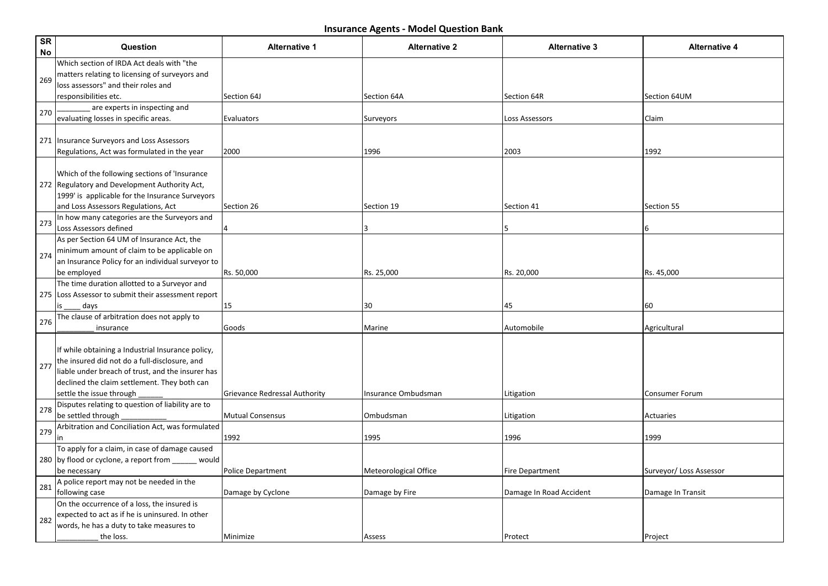| SR<br>No | Question                                                                                                                                                                                                                            | <b>Alternative 1</b>                 | <b>Alternative 2</b>  | <b>Alternative 3</b>    | <b>Alternative 4</b>    |
|----------|-------------------------------------------------------------------------------------------------------------------------------------------------------------------------------------------------------------------------------------|--------------------------------------|-----------------------|-------------------------|-------------------------|
| 269      | Which section of IRDA Act deals with "the<br>matters relating to licensing of surveyors and<br>loss assessors" and their roles and                                                                                                  |                                      |                       |                         |                         |
|          | responsibilities etc.                                                                                                                                                                                                               | Section 64J                          | Section 64A           | Section 64R             | Section 64UM            |
| 270      | are experts in inspecting and<br>evaluating losses in specific areas.                                                                                                                                                               | Evaluators                           | Surveyors             | Loss Assessors          | Claim                   |
|          | 271   Insurance Surveyors and Loss Assessors                                                                                                                                                                                        |                                      |                       |                         |                         |
|          | Regulations, Act was formulated in the year                                                                                                                                                                                         | 2000                                 | 1996                  | 2003                    | 1992                    |
|          | Which of the following sections of 'Insurance<br>272 Regulatory and Development Authority Act,<br>1999' is applicable for the Insurance Surveyors<br>and Loss Assessors Regulations, Act                                            | Section 26                           | Section 19            | Section 41              | Section 55              |
|          | In how many categories are the Surveyors and                                                                                                                                                                                        |                                      |                       |                         |                         |
| 273      | Loss Assessors defined                                                                                                                                                                                                              |                                      |                       | 5                       | 6                       |
| 274      | As per Section 64 UM of Insurance Act, the<br>minimum amount of claim to be applicable on<br>an Insurance Policy for an individual surveyor to                                                                                      |                                      |                       |                         |                         |
|          | be employed                                                                                                                                                                                                                         | Rs. 50,000                           | Rs. 25,000            | Rs. 20,000              | Rs. 45,000              |
|          | The time duration allotted to a Surveyor and                                                                                                                                                                                        |                                      |                       |                         |                         |
|          | 275 Loss Assessor to submit their assessment report<br>days                                                                                                                                                                         | 15                                   | 30                    | 45                      | 60                      |
| 276      | The clause of arbitration does not apply to<br>insurance                                                                                                                                                                            | Goods                                | Marine                | Automobile              | Agricultural            |
| 277      | If while obtaining a Industrial Insurance policy,<br>the insured did not do a full-disclosure, and<br>liable under breach of trust, and the insurer has<br>declined the claim settlement. They both can<br>settle the issue through | <b>Grievance Redressal Authority</b> | Insurance Ombudsman   | Litigation              | <b>Consumer Forum</b>   |
|          | Disputes relating to question of liability are to                                                                                                                                                                                   |                                      |                       |                         |                         |
| 278      | be settled through                                                                                                                                                                                                                  | <b>Mutual Consensus</b>              | Ombudsman             | Litigation              | <b>Actuaries</b>        |
| 279      | Arbitration and Conciliation Act, was formulated<br>in                                                                                                                                                                              | 1992                                 | 1995                  | 1996                    | 1999                    |
|          | To apply for a claim, in case of damage caused                                                                                                                                                                                      |                                      |                       |                         |                         |
|          | 280 by flood or cyclone, a report from ______ would                                                                                                                                                                                 |                                      |                       |                         |                         |
|          | be necessary                                                                                                                                                                                                                        | <b>Police Department</b>             | Meteorological Office | <b>Fire Department</b>  | Surveyor/ Loss Assessor |
| 281      | A police report may not be needed in the<br>following case                                                                                                                                                                          | Damage by Cyclone                    | Damage by Fire        | Damage In Road Accident | Damage In Transit       |
|          | On the occurrence of a loss, the insured is                                                                                                                                                                                         |                                      |                       |                         |                         |
| 282      | expected to act as if he is uninsured. In other                                                                                                                                                                                     |                                      |                       |                         |                         |
|          | words, he has a duty to take measures to<br>the loss.                                                                                                                                                                               | Minimize                             | Assess                | Protect                 | Project                 |
|          |                                                                                                                                                                                                                                     |                                      |                       |                         |                         |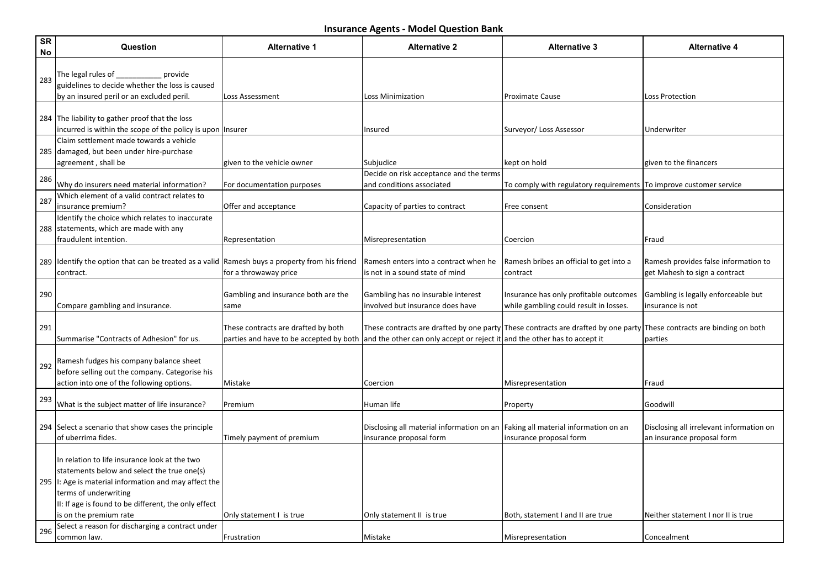| <b>SR</b><br>No | Question                                                                                                                                                                                                                                                          | <b>Alternative 1</b>                                                           | <b>Alternative 2</b>                                                      | <b>Alternative 3</b>                                                                                                  | <b>Alternative 4</b>                                                   |
|-----------------|-------------------------------------------------------------------------------------------------------------------------------------------------------------------------------------------------------------------------------------------------------------------|--------------------------------------------------------------------------------|---------------------------------------------------------------------------|-----------------------------------------------------------------------------------------------------------------------|------------------------------------------------------------------------|
| 283             | provide<br>The legal rules of<br>guidelines to decide whether the loss is caused<br>by an insured peril or an excluded peril.                                                                                                                                     | Loss Assessment                                                                | Loss Minimization                                                         | <b>Proximate Cause</b>                                                                                                | Loss Protection                                                        |
|                 | 284 The liability to gather proof that the loss<br>incurred is within the scope of the policy is upon Insurer                                                                                                                                                     |                                                                                | Insured                                                                   | Surveyor/ Loss Assessor                                                                                               | Underwriter                                                            |
|                 | Claim settlement made towards a vehicle<br>285 damaged, but been under hire-purchase<br>agreement, shall be                                                                                                                                                       | given to the vehicle owner                                                     | Subjudice                                                                 | kept on hold                                                                                                          | given to the financers                                                 |
| 286             | Why do insurers need material information?                                                                                                                                                                                                                        | For documentation purposes                                                     | Decide on risk acceptance and the terms<br>and conditions associated      | To comply with regulatory requirements  To improve customer service                                                   |                                                                        |
| 287             | Which element of a valid contract relates to<br>insurance premium?                                                                                                                                                                                                | Offer and acceptance                                                           | Capacity of parties to contract                                           | Free consent                                                                                                          | Consideration                                                          |
|                 | Identify the choice which relates to inaccurate<br>288 statements, which are made with any<br>fraudulent intention.                                                                                                                                               | Representation                                                                 | Misrepresentation                                                         | Coercion                                                                                                              | Fraud                                                                  |
|                 | 289 Identify the option that can be treated as a valid Ramesh buys a property from his friend<br>contract.                                                                                                                                                        | for a throwaway price                                                          | Ramesh enters into a contract when he<br>is not in a sound state of mind  | Ramesh bribes an official to get into a<br>contract                                                                   | Ramesh provides false information to<br>get Mahesh to sign a contract  |
| 290             | Compare gambling and insurance.                                                                                                                                                                                                                                   | Gambling and insurance both are the<br>same                                    | Gambling has no insurable interest<br>involved but insurance does have    | Insurance has only profitable outcomes<br>while gambling could result in losses.                                      | Gambling is legally enforceable but<br>insurance is not                |
| 291             | Summarise "Contracts of Adhesion" for us.                                                                                                                                                                                                                         | These contracts are drafted by both<br>parties and have to be accepted by both | and the other can only accept or reject it and the other has to accept it | These contracts are drafted by one party These contracts are drafted by one party These contracts are binding on both | parties                                                                |
| 292             | Ramesh fudges his company balance sheet<br>before selling out the company. Categorise his<br>action into one of the following options.                                                                                                                            | Mistake                                                                        | Coercion                                                                  | Misrepresentation                                                                                                     | Fraud                                                                  |
| 293             | What is the subject matter of life insurance?                                                                                                                                                                                                                     | Premium                                                                        | Human life                                                                | Property                                                                                                              | Goodwill                                                               |
|                 | 294 Select a scenario that show cases the principle<br>of uberrima fides.                                                                                                                                                                                         | Timely payment of premium                                                      | Disclosing all material information on an<br>insurance proposal form      | Faking all material information on an<br>insurance proposal form                                                      | Disclosing all irrelevant information on<br>an insurance proposal form |
|                 | In relation to life insurance look at the two<br>statements below and select the true one(s)<br>295  I: Age is material information and may affect the<br>terms of underwriting<br>II: If age is found to be different, the only effect<br>is on the premium rate | Only statement I is true                                                       | Only statement II is true                                                 | Both, statement I and II are true                                                                                     | Neither statement I nor II is true                                     |
| 296             | Select a reason for discharging a contract under<br>common law.                                                                                                                                                                                                   | Frustration                                                                    | Mistake                                                                   | Misrepresentation                                                                                                     | Concealment                                                            |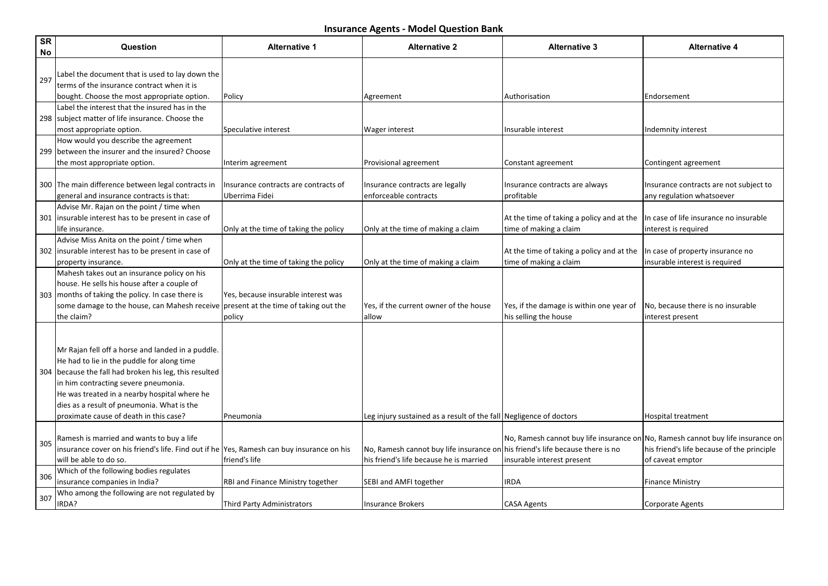| <b>SR</b><br>No | Question                                                                                       | <b>Alternative 1</b>                     | <b>Alternative 2</b>                                                          | <b>Alternative 3</b>                                                            | <b>Alternative 4</b>                       |
|-----------------|------------------------------------------------------------------------------------------------|------------------------------------------|-------------------------------------------------------------------------------|---------------------------------------------------------------------------------|--------------------------------------------|
| 297             | Label the document that is used to lay down the<br>terms of the insurance contract when it is  |                                          |                                                                               |                                                                                 |                                            |
|                 | bought. Choose the most appropriate option.                                                    | Policy                                   | Agreement                                                                     | Authorisation                                                                   | Endorsement                                |
|                 | Label the interest that the insured has in the                                                 |                                          |                                                                               |                                                                                 |                                            |
|                 | 298 subject matter of life insurance. Choose the                                               |                                          |                                                                               |                                                                                 |                                            |
|                 | most appropriate option.                                                                       | Speculative interest                     | <b>Wager interest</b>                                                         | Insurable interest                                                              | Indemnity interest                         |
|                 | How would you describe the agreement                                                           |                                          |                                                                               |                                                                                 |                                            |
|                 | 299 between the insurer and the insured? Choose                                                |                                          |                                                                               |                                                                                 |                                            |
|                 | the most appropriate option.                                                                   | Interim agreement                        | Provisional agreement                                                         | Constant agreement                                                              | Contingent agreement                       |
|                 |                                                                                                |                                          |                                                                               |                                                                                 |                                            |
|                 | 300 The main difference between legal contracts in                                             | Insurance contracts are contracts of     | Insurance contracts are legally                                               | Insurance contracts are always                                                  | Insurance contracts are not subject to     |
|                 | general and insurance contracts is that:                                                       | Uberrima Fidei                           | enforceable contracts                                                         | profitable                                                                      | any regulation whatsoever                  |
|                 | Advise Mr. Rajan on the point / time when                                                      |                                          |                                                                               |                                                                                 |                                            |
|                 | 301   insurable interest has to be present in case of                                          |                                          |                                                                               | At the time of taking a policy and at the                                       | In case of life insurance no insurable     |
|                 | llife insurance.                                                                               | Only at the time of taking the policy    | Only at the time of making a claim                                            | time of making a claim                                                          | interest is required                       |
|                 | Advise Miss Anita on the point / time when                                                     |                                          |                                                                               |                                                                                 |                                            |
|                 | 302   insurable interest has to be present in case of                                          |                                          |                                                                               | At the time of taking a policy and at the                                       | In case of property insurance no           |
|                 | property insurance.                                                                            | Only at the time of taking the policy    | Only at the time of making a claim                                            | time of making a claim                                                          | insurable interest is required             |
|                 | Mahesh takes out an insurance policy on his                                                    |                                          |                                                                               |                                                                                 |                                            |
|                 | house. He sells his house after a couple of                                                    |                                          |                                                                               |                                                                                 |                                            |
|                 | 303 months of taking the policy. In case there is                                              | Yes, because insurable interest was      |                                                                               |                                                                                 |                                            |
|                 | some damage to the house, can Mahesh receive present at the time of taking out the             |                                          | Yes, if the current owner of the house                                        | Yes, if the damage is within one year of                                        | No, because there is no insurable          |
|                 | the claim?                                                                                     | policy                                   | lallow                                                                        | his selling the house                                                           | interest present                           |
|                 | Mr Rajan fell off a horse and landed in a puddle.                                              |                                          |                                                                               |                                                                                 |                                            |
|                 | He had to lie in the puddle for along time                                                     |                                          |                                                                               |                                                                                 |                                            |
|                 |                                                                                                |                                          |                                                                               |                                                                                 |                                            |
|                 | 304 because the fall had broken his leg, this resulted<br>in him contracting severe pneumonia. |                                          |                                                                               |                                                                                 |                                            |
|                 | He was treated in a nearby hospital where he                                                   |                                          |                                                                               |                                                                                 |                                            |
|                 | dies as a result of pneumonia. What is the                                                     |                                          |                                                                               |                                                                                 |                                            |
|                 | proximate cause of death in this case?                                                         | Pneumonia                                | Leg injury sustained as a result of the fall Negligence of doctors            |                                                                                 | Hospital treatment                         |
|                 |                                                                                                |                                          |                                                                               |                                                                                 |                                            |
|                 | Ramesh is married and wants to buy a life                                                      |                                          |                                                                               | No, Ramesh cannot buy life insurance on No, Ramesh cannot buy life insurance on |                                            |
| 305             | insurance cover on his friend's life. Find out if he  Yes, Ramesh can buy insurance on his     |                                          | No, Ramesh cannot buy life insurance on his friend's life because there is no |                                                                                 | his friend's life because of the principle |
|                 | will be able to do so.                                                                         | friend's life                            | his friend's life because he is married                                       | insurable interest present                                                      | of caveat emptor                           |
|                 | Which of the following bodies regulates                                                        |                                          |                                                                               |                                                                                 |                                            |
| 306             | insurance companies in India?                                                                  | <b>RBI and Finance Ministry together</b> | <b>SEBI and AMFI together</b>                                                 | <b>IRDA</b>                                                                     | <b>Finance Ministry</b>                    |
|                 | Who among the following are not regulated by                                                   |                                          |                                                                               |                                                                                 |                                            |
| 307             | IRDA?                                                                                          | <b>Third Party Administrators</b>        | Insurance Brokers                                                             | CASA Agents                                                                     | Corporate Agents                           |
|                 |                                                                                                |                                          |                                                                               |                                                                                 |                                            |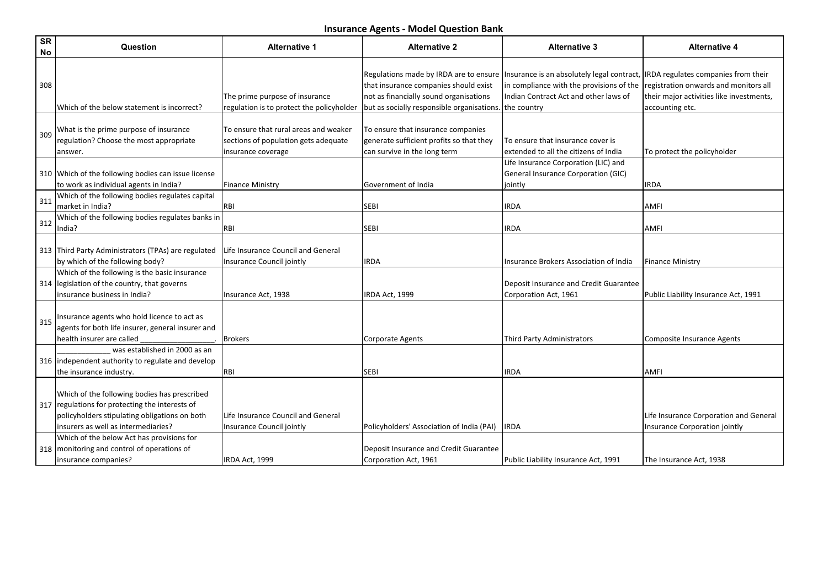| <b>SR</b><br>No | Question                                                                                                                                                                                | <b>Alternative 1</b>                                                                                | <b>Alternative 2</b>                                                                                                                                                    | <b>Alternative 3</b>                                                                                                                           | <b>Alternative 4</b>                                                                                                                               |
|-----------------|-----------------------------------------------------------------------------------------------------------------------------------------------------------------------------------------|-----------------------------------------------------------------------------------------------------|-------------------------------------------------------------------------------------------------------------------------------------------------------------------------|------------------------------------------------------------------------------------------------------------------------------------------------|----------------------------------------------------------------------------------------------------------------------------------------------------|
| 308             | Which of the below statement is incorrect?                                                                                                                                              | The prime purpose of insurance<br>regulation is to protect the policyholder                         | Regulations made by IRDA are to ensure<br>that insurance companies should exist<br>not as financially sound organisations<br>but as socially responsible organisations. | Insurance is an absolutely legal contract,<br>in compliance with the provisions of the<br>Indian Contract Act and other laws of<br>the country | <b>IRDA</b> regulates companies from their<br>registration onwards and monitors all<br>their major activities like investments,<br>accounting etc. |
| 309             | What is the prime purpose of insurance<br>regulation? Choose the most appropriate<br>answer.                                                                                            | To ensure that rural areas and weaker<br>sections of population gets adequate<br>insurance coverage | To ensure that insurance companies<br>generate sufficient profits so that they<br>can survive in the long term                                                          | To ensure that insurance cover is<br>extended to all the citizens of India                                                                     | To protect the policyholder                                                                                                                        |
|                 | 310 Which of the following bodies can issue license<br>to work as individual agents in India?                                                                                           | <b>Finance Ministry</b>                                                                             | Government of India                                                                                                                                                     | Life Insurance Corporation (LIC) and<br>General Insurance Corporation (GIC)<br>jointly                                                         | <b>IRDA</b>                                                                                                                                        |
| 311             | Which of the following bodies regulates capital<br>market in India?<br>Which of the following bodies regulates banks in                                                                 | <b>RBI</b>                                                                                          | <b>SEBI</b>                                                                                                                                                             | <b>IRDA</b>                                                                                                                                    | <b>AMFI</b>                                                                                                                                        |
| 312             | India?                                                                                                                                                                                  | <b>RBI</b>                                                                                          | <b>SEBI</b>                                                                                                                                                             | IRDA                                                                                                                                           | AMFI                                                                                                                                               |
|                 | 313 Third Party Administrators (TPAs) are regulated<br>by which of the following body?                                                                                                  | Life Insurance Council and General<br>Insurance Council jointly                                     | IRDA                                                                                                                                                                    | Insurance Brokers Association of India                                                                                                         | <b>Finance Ministry</b>                                                                                                                            |
|                 | Which of the following is the basic insurance<br>314 legislation of the country, that governs<br>insurance business in India?                                                           | Insurance Act, 1938                                                                                 | IRDA Act, 1999                                                                                                                                                          | Deposit Insurance and Credit Guarantee<br>Corporation Act, 1961                                                                                | Public Liability Insurance Act, 1991                                                                                                               |
| 315             | Insurance agents who hold licence to act as<br>agents for both life insurer, general insurer and<br>health insurer are called                                                           | <b>Brokers</b>                                                                                      | <b>Corporate Agents</b>                                                                                                                                                 | Third Party Administrators                                                                                                                     | Composite Insurance Agents                                                                                                                         |
|                 | was established in 2000 as an<br>316 independent authority to regulate and develop<br>the insurance industry.                                                                           | <b>RBI</b>                                                                                          | <b>SEBI</b>                                                                                                                                                             | <b>IRDA</b>                                                                                                                                    | <b>AMFI</b>                                                                                                                                        |
|                 | Which of the following bodies has prescribed<br>317 regulations for protecting the interests of<br>policyholders stipulating obligations on both<br>insurers as well as intermediaries? | Life Insurance Council and General<br>Insurance Council jointly                                     | Policyholders' Association of India (PAI)                                                                                                                               | <b>IRDA</b>                                                                                                                                    | Life Insurance Corporation and General<br>Insurance Corporation jointly                                                                            |
|                 | Which of the below Act has provisions for<br>318   monitoring and control of operations of<br>insurance companies?                                                                      | IRDA Act, 1999                                                                                      | Deposit Insurance and Credit Guarantee<br>Corporation Act, 1961                                                                                                         | Public Liability Insurance Act, 1991                                                                                                           | The Insurance Act, 1938                                                                                                                            |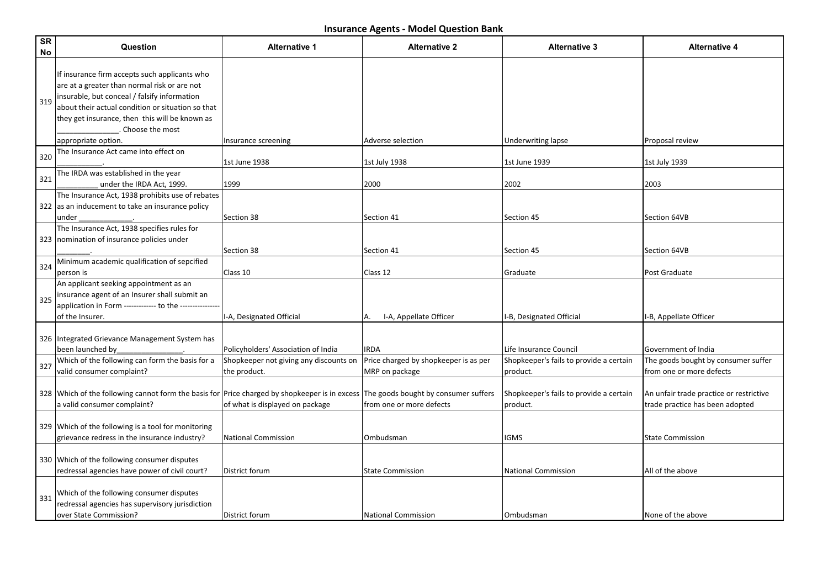| SR<br>No | Question                                                                                                                                                                                                                                                                  | <b>Alternative 1</b>                                   | <b>Alternative 2</b>                                             | <b>Alternative 3</b>                                | <b>Alternative 4</b>                                                       |
|----------|---------------------------------------------------------------------------------------------------------------------------------------------------------------------------------------------------------------------------------------------------------------------------|--------------------------------------------------------|------------------------------------------------------------------|-----------------------------------------------------|----------------------------------------------------------------------------|
| 319      | If insurance firm accepts such applicants who<br>are at a greater than normal risk or are not<br>insurable, but conceal / falsify information<br>about their actual condition or situation so that<br>they get insurance, then this will be known as<br>. Choose the most |                                                        |                                                                  |                                                     |                                                                            |
|          | appropriate option.                                                                                                                                                                                                                                                       | Insurance screening                                    | Adverse selection                                                | Underwriting lapse                                  | Proposal review                                                            |
| 320      | The Insurance Act came into effect on                                                                                                                                                                                                                                     | 1st June 1938                                          | 1st July 1938                                                    | 1st June 1939                                       | 1st July 1939                                                              |
| 321      | The IRDA was established in the year<br>under the IRDA Act, 1999.                                                                                                                                                                                                         | 1999                                                   | 2000                                                             | 2002                                                | 2003                                                                       |
|          | The Insurance Act, 1938 prohibits use of rebates<br>322 as an inducement to take an insurance policy<br>under                                                                                                                                                             | Section 38                                             | Section 41                                                       | Section 45                                          | Section 64VB                                                               |
|          | The Insurance Act, 1938 specifies rules for<br>323   nomination of insurance policies under                                                                                                                                                                               | Section 38                                             | Section 41                                                       | Section 45                                          | Section 64VB                                                               |
| 324      | Minimum academic qualification of sepcified<br>person is                                                                                                                                                                                                                  | Class 10                                               | Class 12                                                         | Graduate                                            | Post Graduate                                                              |
| 325      | An applicant seeking appointment as an<br>insurance agent of an Insurer shall submit an<br>application in Form ------------- to the ---------------<br>of the Insurer.                                                                                                    | I-A, Designated Official                               | I-A, Appellate Officer<br>А.                                     | I-B, Designated Official                            | I-B, Appellate Officer                                                     |
|          | 326 Integrated Grievance Management System has<br>been launched by                                                                                                                                                                                                        | Policyholders' Association of India                    | <b>IRDA</b>                                                      | Life Insurance Council                              | Government of India                                                        |
| 327      | Which of the following can form the basis for a<br>valid consumer complaint?                                                                                                                                                                                              | Shopkeeper not giving any discounts on<br>the product. | Price charged by shopkeeper is as per<br>MRP on package          | Shopkeeper's fails to provide a certain<br>product. | The goods bought by consumer suffer<br>from one or more defects            |
|          | 328 Which of the following cannot form the basis for Price charged by shopkeeper is in excess<br>a valid consumer complaint?                                                                                                                                              | of what is displayed on package                        | The goods bought by consumer suffers<br>from one or more defects | Shopkeeper's fails to provide a certain<br>product. | An unfair trade practice or restrictive<br>trade practice has been adopted |
|          | 329 Which of the following is a tool for monitoring<br>grievance redress in the insurance industry?                                                                                                                                                                       | <b>National Commission</b>                             | Ombudsman                                                        | IGMS                                                | <b>State Commission</b>                                                    |
|          | 330 Which of the following consumer disputes<br>redressal agencies have power of civil court?                                                                                                                                                                             | District forum                                         | <b>State Commission</b>                                          | <b>National Commission</b>                          | All of the above                                                           |
| 331      | Which of the following consumer disputes<br>redressal agencies has supervisory jurisdiction<br>over State Commission?                                                                                                                                                     | District forum                                         | <b>National Commission</b>                                       | Ombudsman                                           | None of the above                                                          |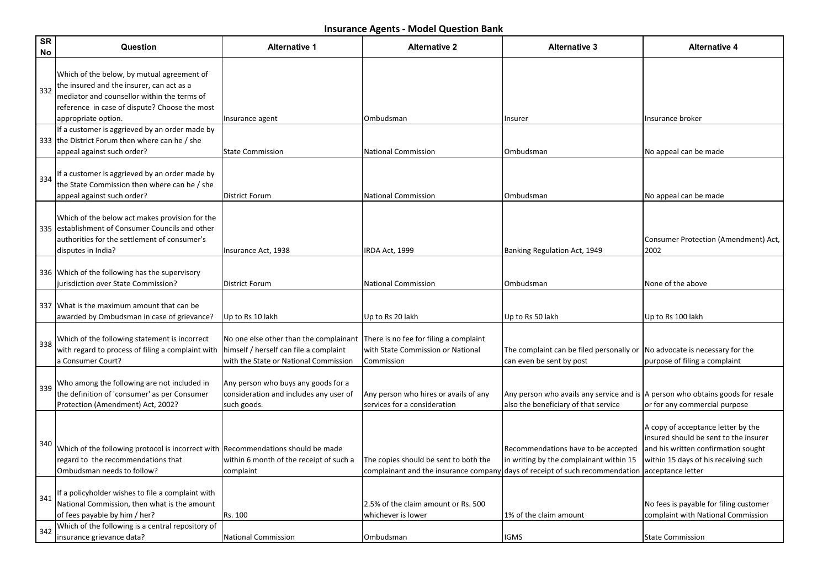| <b>SR</b><br>No | Question                                                                                                                                                                                                       | <b>Alternative 1</b>                                                                                                      | <b>Alternative 2</b>                                                                      | <b>Alternative 3</b>                                                                                                     | <b>Alternative 4</b>                                                                                                                                                            |
|-----------------|----------------------------------------------------------------------------------------------------------------------------------------------------------------------------------------------------------------|---------------------------------------------------------------------------------------------------------------------------|-------------------------------------------------------------------------------------------|--------------------------------------------------------------------------------------------------------------------------|---------------------------------------------------------------------------------------------------------------------------------------------------------------------------------|
| 332             | Which of the below, by mutual agreement of<br>the insured and the insurer, can act as a<br>mediator and counsellor within the terms of<br>reference in case of dispute? Choose the most<br>appropriate option. |                                                                                                                           | Ombudsman                                                                                 | Insurer                                                                                                                  | Insurance broker                                                                                                                                                                |
|                 | If a customer is aggrieved by an order made by<br>333 the District Forum then where can he / she<br>appeal against such order?                                                                                 | Insurance agent<br>State Commission                                                                                       | <b>National Commission</b>                                                                | Ombudsman                                                                                                                | No appeal can be made                                                                                                                                                           |
| 334             | If a customer is aggrieved by an order made by<br>the State Commission then where can he / she<br>appeal against such order?                                                                                   | <b>District Forum</b>                                                                                                     | <b>National Commission</b>                                                                | Ombudsman                                                                                                                | No appeal can be made                                                                                                                                                           |
|                 | Which of the below act makes provision for the<br>335   establishment of Consumer Councils and other<br>authorities for the settlement of consumer's<br>disputes in India?                                     | Insurance Act, 1938                                                                                                       | IRDA Act, 1999                                                                            | Banking Regulation Act, 1949                                                                                             | Consumer Protection (Amendment) Act,<br>2002                                                                                                                                    |
|                 | 336 Which of the following has the supervisory<br>jurisdiction over State Commission?                                                                                                                          | <b>District Forum</b>                                                                                                     | <b>National Commission</b>                                                                | Ombudsman                                                                                                                | None of the above                                                                                                                                                               |
|                 | 337 What is the maximum amount that can be<br>awarded by Ombudsman in case of grievance?                                                                                                                       | Up to Rs 10 lakh                                                                                                          | Up to Rs 20 lakh                                                                          | Up to Rs 50 lakh                                                                                                         | Up to Rs 100 lakh                                                                                                                                                               |
| 338             | Which of the following statement is incorrect<br>with regard to process of filing a complaint with<br>a Consumer Court?                                                                                        | No one else other than the complainant<br>himself / herself can file a complaint<br>with the State or National Commission | There is no fee for filing a complaint<br>with State Commission or National<br>Commission | The complaint can be filed personally or<br>can even be sent by post                                                     | No advocate is necessary for the<br>purpose of filing a complaint                                                                                                               |
| 339             | Who among the following are not included in<br>the definition of 'consumer' as per Consumer<br>Protection (Amendment) Act, 2002?                                                                               | Any person who buys any goods for a<br>consideration and includes any user of<br>such goods.                              | Any person who hires or avails of any<br>services for a consideration                     | Any person who avails any service and is   A person who obtains goods for resale<br>also the beneficiary of that service | or for any commercial purpose                                                                                                                                                   |
| 340             | Which of the following protocol is incorrect with Recommendations should be made<br>regard to the recommendations that<br>Ombudsman needs to follow?                                                           | within 6 month of the receipt of such a<br>complaint                                                                      | The copies should be sent to both the<br>complainant and the insurance company            | Recommendations have to be accepted<br>in writing by the complainant within 15<br>days of receipt of such recommendation | A copy of acceptance letter by the<br>insured should be sent to the insurer<br>and his written confirmation sought<br>within 15 days of his receiving such<br>acceptance letter |
| 341             | If a policyholder wishes to file a complaint with<br>National Commission, then what is the amount<br>of fees payable by him / her?                                                                             | Rs. 100                                                                                                                   | 2.5% of the claim amount or Rs. 500<br>whichever is lower                                 | 1% of the claim amount                                                                                                   | No fees is payable for filing customer<br>complaint with National Commission                                                                                                    |
| 342             | Which of the following is a central repository of<br>insurance grievance data?                                                                                                                                 | <b>National Commission</b>                                                                                                | Ombudsman                                                                                 | <b>IGMS</b>                                                                                                              | <b>State Commission</b>                                                                                                                                                         |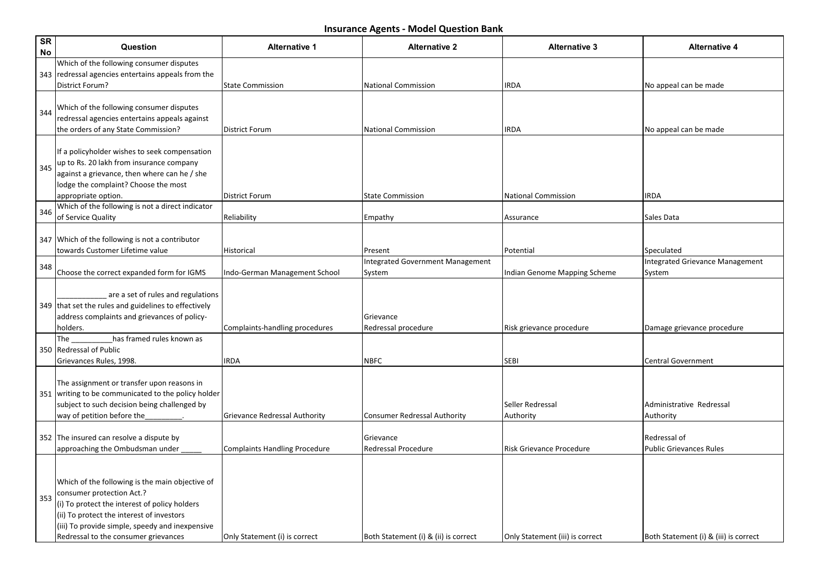| <b>SR</b><br>No | Question                                                                                                                                                                                                                                                              | <b>Alternative 1</b>                 | <b>Alternative 2</b>                 | <b>Alternative 3</b>            | <b>Alternative 4</b>                           |
|-----------------|-----------------------------------------------------------------------------------------------------------------------------------------------------------------------------------------------------------------------------------------------------------------------|--------------------------------------|--------------------------------------|---------------------------------|------------------------------------------------|
|                 | Which of the following consumer disputes<br>343   redressal agencies entertains appeals from the                                                                                                                                                                      |                                      |                                      |                                 |                                                |
|                 | District Forum?                                                                                                                                                                                                                                                       | <b>State Commission</b>              | National Commission                  | <b>IRDA</b>                     | No appeal can be made                          |
| 344             | Which of the following consumer disputes<br>redressal agencies entertains appeals against<br>the orders of any State Commission?                                                                                                                                      | <b>District Forum</b>                | National Commission                  | <b>IRDA</b>                     | No appeal can be made                          |
| 345             | If a policyholder wishes to seek compensation<br>up to Rs. 20 lakh from insurance company<br>against a grievance, then where can he / she<br>lodge the complaint? Choose the most<br>appropriate option.                                                              | <b>District Forum</b>                | <b>State Commission</b>              | National Commission             | <b>IRDA</b>                                    |
| 346             | Which of the following is not a direct indicator                                                                                                                                                                                                                      |                                      |                                      |                                 |                                                |
|                 | of Service Quality                                                                                                                                                                                                                                                    | Reliability                          | Empathy                              | Assurance                       | Sales Data                                     |
|                 | 347 Which of the following is not a contributor<br>towards Customer Lifetime value                                                                                                                                                                                    | Historical                           | Present                              | Potential                       | Speculated                                     |
|                 |                                                                                                                                                                                                                                                                       |                                      | Integrated Government Management     |                                 | <b>Integrated Grievance Management</b>         |
| 348             | Choose the correct expanded form for IGMS                                                                                                                                                                                                                             | Indo-German Management School        | System                               | Indian Genome Mapping Scheme    | System                                         |
|                 | are a set of rules and regulations<br>349 that set the rules and guidelines to effectively<br>address complaints and grievances of policy-<br>holders.                                                                                                                | Complaints-handling procedures       | Grievance<br>Redressal procedure     | Risk grievance procedure        | Damage grievance procedure                     |
|                 | has framed rules known as<br>The<br>350 Redressal of Public                                                                                                                                                                                                           |                                      |                                      |                                 |                                                |
|                 | Grievances Rules, 1998.                                                                                                                                                                                                                                               | <b>IRDA</b>                          | <b>NBFC</b>                          | <b>SEBI</b>                     | <b>Central Government</b>                      |
|                 | The assignment or transfer upon reasons in<br>351 writing to be communicated to the policy holder<br>subject to such decision being challenged by<br>way of petition before the                                                                                       | Grievance Redressal Authority        | <b>Consumer Redressal Authority</b>  | Seller Redressal<br>Authority   | Administrative Redressal<br>Authority          |
|                 | 352 The insured can resolve a dispute by<br>approaching the Ombudsman under                                                                                                                                                                                           | <b>Complaints Handling Procedure</b> | Grievance<br>Redressal Procedure     | <b>Risk Grievance Procedure</b> | Redressal of<br><b>Public Grievances Rules</b> |
| 353             | Which of the following is the main objective of<br>consumer protection Act.?<br>(i) To protect the interest of policy holders<br>(ii) To protect the interest of investors<br>(iii) To provide simple, speedy and inexpensive<br>Redressal to the consumer grievances | Only Statement (i) is correct        | Both Statement (i) & (ii) is correct | Only Statement (iii) is correct | Both Statement (i) & (iii) is correct          |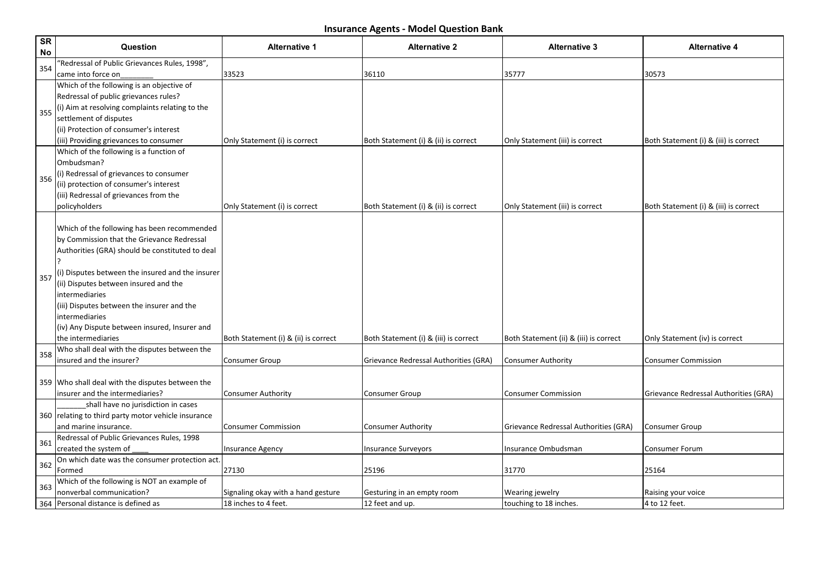| <b>SR</b><br>No | Question                                                                                  | <b>Alternative 1</b>                 | <b>Alternative 2</b>                  | <b>Alternative 3</b>                   | <b>Alternative 4</b>                  |
|-----------------|-------------------------------------------------------------------------------------------|--------------------------------------|---------------------------------------|----------------------------------------|---------------------------------------|
| 354             | "Redressal of Public Grievances Rules, 1998",                                             |                                      |                                       |                                        |                                       |
|                 | came into force on                                                                        | 33523                                | 36110                                 | 35777                                  | 30573                                 |
|                 | Which of the following is an objective of                                                 |                                      |                                       |                                        |                                       |
|                 | Redressal of public grievances rules?                                                     |                                      |                                       |                                        |                                       |
| 355             | (i) Aim at resolving complaints relating to the                                           |                                      |                                       |                                        |                                       |
|                 | settlement of disputes                                                                    |                                      |                                       |                                        |                                       |
|                 | (ii) Protection of consumer's interest                                                    |                                      |                                       |                                        |                                       |
|                 | (iii) Providing grievances to consumer                                                    | Only Statement (i) is correct        | Both Statement (i) & (ii) is correct  | Only Statement (iii) is correct        | Both Statement (i) & (iii) is correct |
|                 | Which of the following is a function of                                                   |                                      |                                       |                                        |                                       |
|                 | Ombudsman?                                                                                |                                      |                                       |                                        |                                       |
| 356             | (i) Redressal of grievances to consumer                                                   |                                      |                                       |                                        |                                       |
|                 | (ii) protection of consumer's interest                                                    |                                      |                                       |                                        |                                       |
|                 | (iii) Redressal of grievances from the                                                    |                                      |                                       |                                        |                                       |
|                 | policyholders                                                                             | Only Statement (i) is correct        | Both Statement (i) & (ii) is correct  | Only Statement (iii) is correct        | Both Statement (i) & (iii) is correct |
|                 |                                                                                           |                                      |                                       |                                        |                                       |
|                 | Which of the following has been recommended                                               |                                      |                                       |                                        |                                       |
|                 | by Commission that the Grievance Redressal                                                |                                      |                                       |                                        |                                       |
|                 | Authorities (GRA) should be constituted to deal                                           |                                      |                                       |                                        |                                       |
|                 |                                                                                           |                                      |                                       |                                        |                                       |
| 357             | (i) Disputes between the insured and the insurer<br>(ii) Disputes between insured and the |                                      |                                       |                                        |                                       |
|                 |                                                                                           |                                      |                                       |                                        |                                       |
|                 | intermediaries                                                                            |                                      |                                       |                                        |                                       |
|                 | (iii) Disputes between the insurer and the<br>lintermediaries                             |                                      |                                       |                                        |                                       |
|                 | (iv) Any Dispute between insured, Insurer and                                             |                                      |                                       |                                        |                                       |
|                 | lthe intermediaries                                                                       | Both Statement (i) & (ii) is correct | Both Statement (i) & (iii) is correct | Both Statement (ii) & (iii) is correct | Only Statement (iv) is correct        |
|                 | Who shall deal with the disputes between the                                              |                                      |                                       |                                        |                                       |
| 358             | insured and the insurer?                                                                  | Consumer Group                       | Grievance Redressal Authorities (GRA) | Consumer Authority                     | <b>Consumer Commission</b>            |
|                 |                                                                                           |                                      |                                       |                                        |                                       |
|                 | 359 Who shall deal with the disputes between the                                          |                                      |                                       |                                        |                                       |
|                 | insurer and the intermediaries?                                                           | <b>Consumer Authority</b>            | Consumer Group                        | <b>Consumer Commission</b>             | Grievance Redressal Authorities (GRA) |
|                 | shall have no jurisdiction in cases                                                       |                                      |                                       |                                        |                                       |
|                 | 360 relating to third party motor vehicle insurance                                       |                                      |                                       |                                        |                                       |
|                 | and marine insurance.                                                                     | <b>Consumer Commission</b>           | Consumer Authority                    | Grievance Redressal Authorities (GRA)  | <b>Consumer Group</b>                 |
|                 | Redressal of Public Grievances Rules, 1998                                                |                                      |                                       |                                        |                                       |
| 361             | created the system of                                                                     | <b>Insurance Agency</b>              | <b>Insurance Surveyors</b>            | Insurance Ombudsman                    | Consumer Forum                        |
|                 | On which date was the consumer protection act.                                            |                                      |                                       |                                        |                                       |
| 362             | Formed                                                                                    | 27130                                | 25196                                 | 31770                                  | 25164                                 |
| 363             | Which of the following is NOT an example of                                               |                                      |                                       |                                        |                                       |
|                 | nonverbal communication?                                                                  | Signaling okay with a hand gesture   | Gesturing in an empty room            | Wearing jewelry                        | Raising your voice                    |
|                 | 364 Personal distance is defined as                                                       | 18 inches to 4 feet.                 | 12 feet and up.                       | touching to 18 inches.                 | 4 to 12 feet.                         |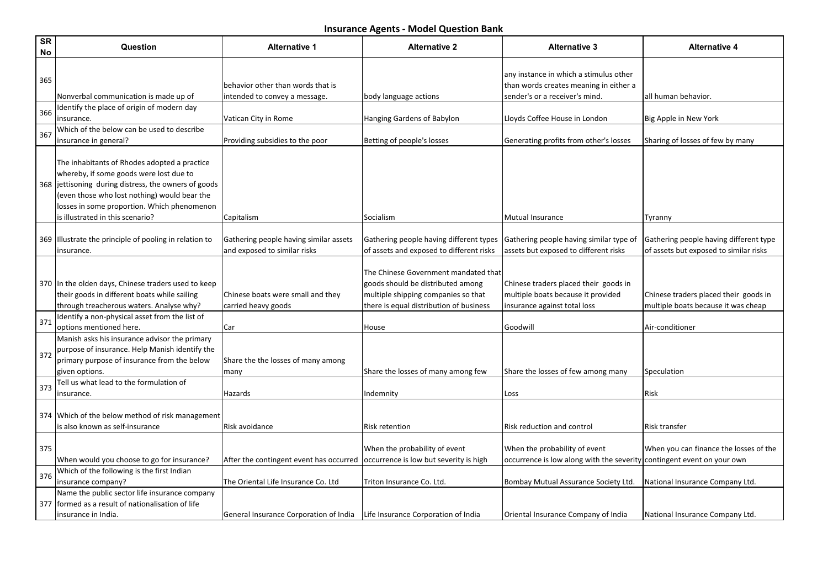| <b>SR</b><br>No | Question                                                                                                                                                                                                                                                                           | <b>Alternative 1</b>                                                         | <b>Alternative 2</b>                                                                                                                                        | <b>Alternative 3</b>                                                                                               | <b>Alternative 4</b>                                                             |
|-----------------|------------------------------------------------------------------------------------------------------------------------------------------------------------------------------------------------------------------------------------------------------------------------------------|------------------------------------------------------------------------------|-------------------------------------------------------------------------------------------------------------------------------------------------------------|--------------------------------------------------------------------------------------------------------------------|----------------------------------------------------------------------------------|
| 365             | Nonverbal communication is made up of                                                                                                                                                                                                                                              | behavior other than words that is<br>intended to convey a message.           | body language actions                                                                                                                                       | any instance in which a stimulus other<br>than words creates meaning in either a<br>sender's or a receiver's mind. | all human behavior.                                                              |
| 366             | Identify the place of origin of modern day<br>insurance.                                                                                                                                                                                                                           | Vatican City in Rome                                                         | Hanging Gardens of Babylon                                                                                                                                  | Lloyds Coffee House in London                                                                                      | Big Apple in New York                                                            |
| 367             | Which of the below can be used to describe<br>insurance in general?                                                                                                                                                                                                                | Providing subsidies to the poor                                              | Betting of people's losses                                                                                                                                  | Generating profits from other's losses                                                                             | Sharing of losses of few by many                                                 |
|                 | The inhabitants of Rhodes adopted a practice<br>whereby, if some goods were lost due to<br>368 jettisoning during distress, the owners of goods<br>(even those who lost nothing) would bear the<br>losses in some proportion. Which phenomenon<br>is illustrated in this scenario? | Capitalism                                                                   | Socialism                                                                                                                                                   | Mutual Insurance                                                                                                   | Tyranny                                                                          |
|                 | 369 Illustrate the principle of pooling in relation to<br>insurance.                                                                                                                                                                                                               | Gathering people having similar assets<br>and exposed to similar risks       | Gathering people having different types<br>of assets and exposed to different risks                                                                         | Gathering people having similar type of<br>assets but exposed to different risks                                   | Gathering people having different type<br>of assets but exposed to similar risks |
|                 | 370 In the olden days, Chinese traders used to keep<br>their goods in different boats while sailing<br>through treacherous waters. Analyse why?                                                                                                                                    | Chinese boats were small and they<br>carried heavy goods                     | The Chinese Government mandated that<br>goods should be distributed among<br>multiple shipping companies so that<br>there is equal distribution of business | Chinese traders placed their goods in<br>multiple boats because it provided<br>insurance against total loss        | Chinese traders placed their goods in<br>multiple boats because it was cheap     |
| 371             | Identify a non-physical asset from the list of<br>options mentioned here.                                                                                                                                                                                                          | Car                                                                          | House                                                                                                                                                       | Goodwill                                                                                                           | Air-conditioner                                                                  |
| 372             | Manish asks his insurance advisor the primary<br>purpose of insurance. Help Manish identify the<br>primary purpose of insurance from the below<br>given options.                                                                                                                   | Share the the losses of many among<br>many                                   | Share the losses of many among few                                                                                                                          | Share the losses of few among many                                                                                 | Speculation                                                                      |
| 373             | Tell us what lead to the formulation of<br>insurance.                                                                                                                                                                                                                              | Hazards                                                                      | Indemnity                                                                                                                                                   | Loss                                                                                                               | Risk                                                                             |
|                 | 374 Which of the below method of risk management<br>is also known as self-insurance                                                                                                                                                                                                | Risk avoidance                                                               | Risk retention                                                                                                                                              | Risk reduction and control                                                                                         | Risk transfer                                                                    |
| 375             | When would you choose to go for insurance?                                                                                                                                                                                                                                         | After the contingent event has occurred                                      | When the probability of event<br>occurrence is low but severity is high                                                                                     | When the probability of event<br>occurrence is low along with the severity contingent event on your own            | When you can finance the losses of the                                           |
| 376             | Which of the following is the first Indian<br>insurance company?                                                                                                                                                                                                                   | The Oriental Life Insurance Co. Ltd                                          | Triton Insurance Co. Ltd.                                                                                                                                   | Bombay Mutual Assurance Society Ltd.                                                                               | National Insurance Company Ltd.                                                  |
|                 | Name the public sector life insurance company<br>377   formed as a result of nationalisation of life<br>insurance in India.                                                                                                                                                        | General Insurance Corporation of India   Life Insurance Corporation of India |                                                                                                                                                             | Oriental Insurance Company of India                                                                                | National Insurance Company Ltd.                                                  |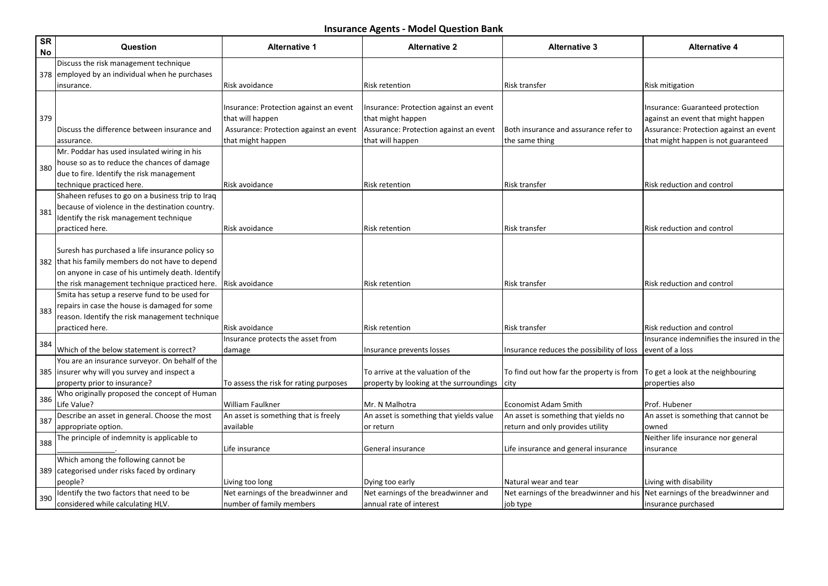| <b>SR</b><br>No | Question                                                                                                                                                  | <b>Alternative 1</b>                                                                                                      | <b>Alternative 2</b>                                                                                                      | <b>Alternative 3</b>                                                                    | <b>Alternative 4</b>                                                                                                                                    |
|-----------------|-----------------------------------------------------------------------------------------------------------------------------------------------------------|---------------------------------------------------------------------------------------------------------------------------|---------------------------------------------------------------------------------------------------------------------------|-----------------------------------------------------------------------------------------|---------------------------------------------------------------------------------------------------------------------------------------------------------|
|                 | Discuss the risk management technique                                                                                                                     |                                                                                                                           |                                                                                                                           |                                                                                         |                                                                                                                                                         |
|                 | 378 employed by an individual when he purchases                                                                                                           |                                                                                                                           |                                                                                                                           |                                                                                         |                                                                                                                                                         |
|                 | insurance.                                                                                                                                                | Risk avoidance                                                                                                            | Risk retention                                                                                                            | Risk transfer                                                                           | Risk mitigation                                                                                                                                         |
| 379             | Discuss the difference between insurance and<br>assurance.                                                                                                | Insurance: Protection against an event<br>that will happen<br>Assurance: Protection against an event<br>that might happen | Insurance: Protection against an event<br>that might happen<br>Assurance: Protection against an event<br>that will happen | Both insurance and assurance refer to<br>the same thing                                 | Insurance: Guaranteed protection<br>against an event that might happen<br>Assurance: Protection against an event<br>that might happen is not guaranteed |
|                 | Mr. Poddar has used insulated wiring in his                                                                                                               |                                                                                                                           |                                                                                                                           |                                                                                         |                                                                                                                                                         |
| 380             | house so as to reduce the chances of damage<br>due to fire. Identify the risk management<br>technique practiced here.                                     | Risk avoidance                                                                                                            | <b>Risk retention</b>                                                                                                     | <b>Risk transfer</b>                                                                    | Risk reduction and control                                                                                                                              |
| 381             | Shaheen refuses to go on a business trip to Iraq<br>because of violence in the destination country.<br>Identify the risk management technique             |                                                                                                                           |                                                                                                                           |                                                                                         |                                                                                                                                                         |
|                 | practiced here.                                                                                                                                           | Risk avoidance                                                                                                            | <b>Risk retention</b>                                                                                                     | <b>Risk transfer</b>                                                                    | Risk reduction and control                                                                                                                              |
|                 | Suresh has purchased a life insurance policy so<br>382 that his family members do not have to depend<br>on anyone in case of his untimely death. Identify |                                                                                                                           |                                                                                                                           |                                                                                         |                                                                                                                                                         |
|                 | the risk management technique practiced here.                                                                                                             | Risk avoidance                                                                                                            | Risk retention                                                                                                            | <b>Risk transfer</b>                                                                    | Risk reduction and control                                                                                                                              |
| 383             | Smita has setup a reserve fund to be used for<br>repairs in case the house is damaged for some<br>reason. Identify the risk management technique          |                                                                                                                           |                                                                                                                           |                                                                                         |                                                                                                                                                         |
|                 | practiced here.                                                                                                                                           | Risk avoidance                                                                                                            | <b>Risk retention</b>                                                                                                     | <b>Risk transfer</b>                                                                    | Risk reduction and control                                                                                                                              |
| 384             | Which of the below statement is correct?                                                                                                                  | Insurance protects the asset from<br>damage                                                                               | Insurance prevents losses                                                                                                 | Insurance reduces the possibility of loss                                               | Insurance indemnifies the insured in the<br>event of a loss                                                                                             |
|                 | You are an insurance surveyor. On behalf of the<br>385   insurer why will you survey and inspect a<br>property prior to insurance?                        | To assess the risk for rating purposes                                                                                    | To arrive at the valuation of the<br>property by looking at the surroundings                                              | To find out how far the property is from<br> city                                       | To get a look at the neighbouring<br>properties also                                                                                                    |
| 386             | Who originally proposed the concept of Human<br>Life Value?                                                                                               | William Faulkner                                                                                                          | Mr. N Malhotra                                                                                                            | <b>Economist Adam Smith</b>                                                             | Prof. Hubener                                                                                                                                           |
|                 | Describe an asset in general. Choose the most                                                                                                             | An asset is something that is freely                                                                                      | An asset is something that yields value                                                                                   | An asset is something that yields no                                                    | An asset is something that cannot be                                                                                                                    |
| 387             | appropriate option.                                                                                                                                       | available                                                                                                                 | or return                                                                                                                 | return and only provides utility                                                        | owned                                                                                                                                                   |
| 388             | The principle of indemnity is applicable to                                                                                                               | Life insurance                                                                                                            | General insurance                                                                                                         | Life insurance and general insurance                                                    | Neither life insurance nor general<br>insurance                                                                                                         |
|                 | Which among the following cannot be<br>389 categorised under risks faced by ordinary                                                                      |                                                                                                                           |                                                                                                                           |                                                                                         |                                                                                                                                                         |
|                 | people?                                                                                                                                                   | Living too long                                                                                                           | Dying too early                                                                                                           | Natural wear and tear                                                                   | Living with disability                                                                                                                                  |
| 390             | Identify the two factors that need to be<br>considered while calculating HLV.                                                                             | Net earnings of the breadwinner and<br>number of family members                                                           | Net earnings of the breadwinner and<br>annual rate of interest                                                            | Net earnings of the breadwinner and his Net earnings of the breadwinner and<br>job type | insurance purchased                                                                                                                                     |
|                 |                                                                                                                                                           |                                                                                                                           |                                                                                                                           |                                                                                         |                                                                                                                                                         |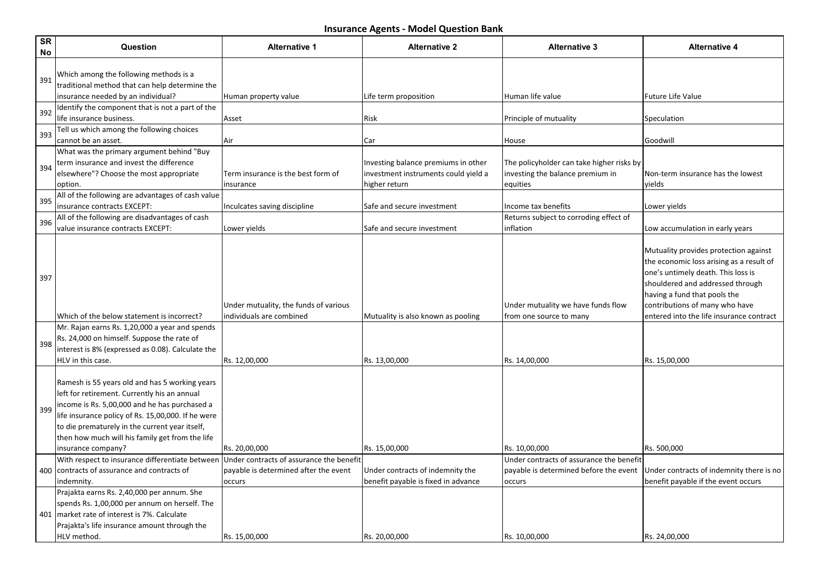| <b>SR</b><br>No | Question                                                                                                                                                                                                                                                                                                                         | <b>Alternative 1</b>                                              | <b>Alternative 2</b>                                                                         | <b>Alternative 3</b>                                                                      | <b>Alternative 4</b>                                                                                                                                                                                                                                                      |
|-----------------|----------------------------------------------------------------------------------------------------------------------------------------------------------------------------------------------------------------------------------------------------------------------------------------------------------------------------------|-------------------------------------------------------------------|----------------------------------------------------------------------------------------------|-------------------------------------------------------------------------------------------|---------------------------------------------------------------------------------------------------------------------------------------------------------------------------------------------------------------------------------------------------------------------------|
| 391             | Which among the following methods is a<br>traditional method that can help determine the                                                                                                                                                                                                                                         |                                                                   |                                                                                              |                                                                                           |                                                                                                                                                                                                                                                                           |
|                 | insurance needed by an individual?                                                                                                                                                                                                                                                                                               | Human property value                                              | Life term proposition                                                                        | Human life value                                                                          | <b>Future Life Value</b>                                                                                                                                                                                                                                                  |
| 392             | Identify the component that is not a part of the<br>life insurance business.                                                                                                                                                                                                                                                     | Asset                                                             | Risk                                                                                         | Principle of mutuality                                                                    | Speculation                                                                                                                                                                                                                                                               |
| 393             | Tell us which among the following choices<br>cannot be an asset.                                                                                                                                                                                                                                                                 | Air                                                               | Car                                                                                          | House                                                                                     | Goodwill                                                                                                                                                                                                                                                                  |
| 394             | What was the primary argument behind "Buy<br>term insurance and invest the difference<br>elsewhere"? Choose the most appropriate<br>option.                                                                                                                                                                                      | Term insurance is the best form of<br>insurance                   | Investing balance premiums in other<br>investment instruments could yield a<br>higher return | The policyholder can take higher risks by<br>investing the balance premium in<br>equities | Non-term insurance has the lowest<br>yields                                                                                                                                                                                                                               |
|                 | All of the following are advantages of cash value                                                                                                                                                                                                                                                                                |                                                                   |                                                                                              |                                                                                           |                                                                                                                                                                                                                                                                           |
| 395             | insurance contracts EXCEPT:                                                                                                                                                                                                                                                                                                      |                                                                   | Safe and secure investment                                                                   | Income tax benefits                                                                       |                                                                                                                                                                                                                                                                           |
|                 | All of the following are disadvantages of cash                                                                                                                                                                                                                                                                                   | Inculcates saving discipline                                      |                                                                                              | Returns subject to corroding effect of                                                    | Lower yields                                                                                                                                                                                                                                                              |
| 396             | value insurance contracts EXCEPT:                                                                                                                                                                                                                                                                                                | Lower yields                                                      | Safe and secure investment                                                                   | inflation                                                                                 | Low accumulation in early years                                                                                                                                                                                                                                           |
| 397             | Which of the below statement is incorrect?<br>Mr. Rajan earns Rs. 1,20,000 a year and spends                                                                                                                                                                                                                                     | Under mutuality, the funds of various<br>individuals are combined | Mutuality is also known as pooling                                                           | Under mutuality we have funds flow<br>from one source to many                             | Mutuality provides protection against<br>the economic loss arising as a result of<br>one's untimely death. This loss is<br>shouldered and addressed through<br>having a fund that pools the<br>contributions of many who have<br>entered into the life insurance contract |
| 398             | Rs. 24,000 on himself. Suppose the rate of<br>interest is 8% (expressed as 0.08). Calculate the<br>HLV in this case.                                                                                                                                                                                                             | Rs. 12,00,000                                                     | Rs. 13,00,000                                                                                | Rs. 14,00,000                                                                             | Rs. 15,00,000                                                                                                                                                                                                                                                             |
| 399             | Ramesh is 55 years old and has 5 working years<br>left for retirement. Currently his an annual<br>income is Rs. 5,00,000 and he has purchased a<br>life insurance policy of Rs. 15,00,000. If he were<br>to die prematurely in the current year itself,<br>then how much will his family get from the life<br>insurance company? | Rs. 20,00,000                                                     | Rs. 15,00,000                                                                                | Rs. 10,00,000                                                                             | Rs. 500,000                                                                                                                                                                                                                                                               |
|                 | With respect to insurance differentiate between                                                                                                                                                                                                                                                                                  | Under contracts of assurance the benefit                          |                                                                                              | Under contracts of assurance the benefit                                                  |                                                                                                                                                                                                                                                                           |
|                 | 400 contracts of assurance and contracts of                                                                                                                                                                                                                                                                                      | payable is determined after the event                             | Under contracts of indemnity the                                                             | payable is determined before the event                                                    | Under contracts of indemnity there is no                                                                                                                                                                                                                                  |
|                 | indemnity.                                                                                                                                                                                                                                                                                                                       | occurs                                                            | benefit payable is fixed in advance                                                          | occurs                                                                                    | benefit payable if the event occurs                                                                                                                                                                                                                                       |
|                 | Prajakta earns Rs. 2,40,000 per annum. She<br>spends Rs. 1,00,000 per annum on herself. The<br>401   market rate of interest is 7%. Calculate<br>Prajakta's life insurance amount through the<br>HLV method.                                                                                                                     | Rs. 15,00,000                                                     | Rs. 20,00,000                                                                                | Rs. 10,00,000                                                                             | Rs. 24,00,000                                                                                                                                                                                                                                                             |
|                 |                                                                                                                                                                                                                                                                                                                                  |                                                                   |                                                                                              |                                                                                           |                                                                                                                                                                                                                                                                           |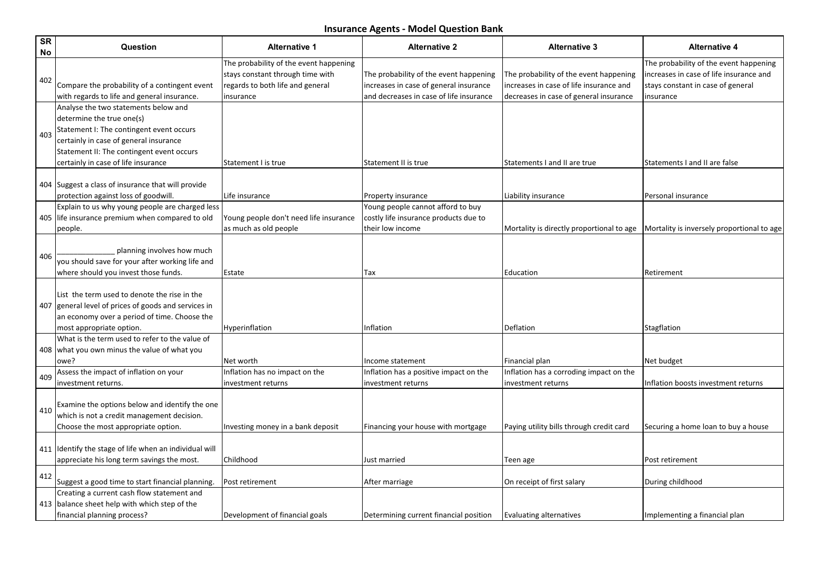| <b>SR</b><br>No | Question                                                                                                                                                                                                                                    | <b>Alternative 1</b>                                                                                                        | <b>Alternative 2</b>                                                                                                        | <b>Alternative 3</b>                                                                                                        | <b>Alternative 4</b>                                                                                                                |
|-----------------|---------------------------------------------------------------------------------------------------------------------------------------------------------------------------------------------------------------------------------------------|-----------------------------------------------------------------------------------------------------------------------------|-----------------------------------------------------------------------------------------------------------------------------|-----------------------------------------------------------------------------------------------------------------------------|-------------------------------------------------------------------------------------------------------------------------------------|
| 402             | Compare the probability of a contingent event<br>with regards to life and general insurance.                                                                                                                                                | The probability of the event happening<br>stays constant through time with<br>regards to both life and general<br>insurance | The probability of the event happening<br>increases in case of general insurance<br>and decreases in case of life insurance | The probability of the event happening<br>increases in case of life insurance and<br>decreases in case of general insurance | The probability of the event happening<br>increases in case of life insurance and<br>stays constant in case of general<br>insurance |
| 403             | Analyse the two statements below and<br>determine the true one(s)<br>Statement I: The contingent event occurs<br>certainly in case of general insurance<br>Statement II: The contingent event occurs<br>certainly in case of life insurance | Statement I is true                                                                                                         | Statement II is true                                                                                                        | Statements I and II are true                                                                                                | Statements I and II are false                                                                                                       |
|                 | 404 Suggest a class of insurance that will provide<br>protection against loss of goodwill.                                                                                                                                                  | Life insurance                                                                                                              | <b>Property insurance</b>                                                                                                   | Liability insurance                                                                                                         | Personal insurance                                                                                                                  |
|                 | Explain to us why young people are charged less<br>405 life insurance premium when compared to old<br>people.                                                                                                                               | Young people don't need life insurance<br>as much as old people                                                             | Young people cannot afford to buy<br>costly life insurance products due to<br>their low income                              | Mortality is directly proportional to age                                                                                   | Mortality is inversely proportional to age                                                                                          |
| 406             | planning involves how much<br>you should save for your after working life and<br>where should you invest those funds.                                                                                                                       | Estate                                                                                                                      | Tax                                                                                                                         | Education                                                                                                                   | Retirement                                                                                                                          |
|                 | List the term used to denote the rise in the<br>407 general level of prices of goods and services in<br>an economy over a period of time. Choose the<br>most appropriate option.                                                            | Hyperinflation                                                                                                              | Inflation                                                                                                                   | Deflation                                                                                                                   | Stagflation                                                                                                                         |
|                 | What is the term used to refer to the value of<br>408   what you own minus the value of what you<br>owe?                                                                                                                                    | Net worth                                                                                                                   | Income statement                                                                                                            | Financial plan                                                                                                              | Net budget                                                                                                                          |
| 409             | Assess the impact of inflation on your<br>investment returns.                                                                                                                                                                               | Inflation has no impact on the<br>investment returns                                                                        | Inflation has a positive impact on the<br>investment returns                                                                | Inflation has a corroding impact on the<br>investment returns                                                               | Inflation boosts investment returns                                                                                                 |
| 410             | Examine the options below and identify the one<br>which is not a credit management decision.<br>Choose the most appropriate option.                                                                                                         | Investing money in a bank deposit                                                                                           | Financing your house with mortgage                                                                                          | Paying utility bills through credit card                                                                                    | Securing a home loan to buy a house                                                                                                 |
|                 | 411 Identify the stage of life when an individual will<br>appreciate his long term savings the most.                                                                                                                                        | Childhood                                                                                                                   | Just married                                                                                                                | Teen age                                                                                                                    | Post retirement                                                                                                                     |
| 412             | Suggest a good time to start financial planning.                                                                                                                                                                                            | Post retirement                                                                                                             | After marriage                                                                                                              | On receipt of first salary                                                                                                  | During childhood                                                                                                                    |
|                 | Creating a current cash flow statement and<br>413 balance sheet help with which step of the<br>financial planning process?                                                                                                                  | Development of financial goals                                                                                              | Determining current financial position                                                                                      | Evaluating alternatives                                                                                                     | Implementing a financial plan                                                                                                       |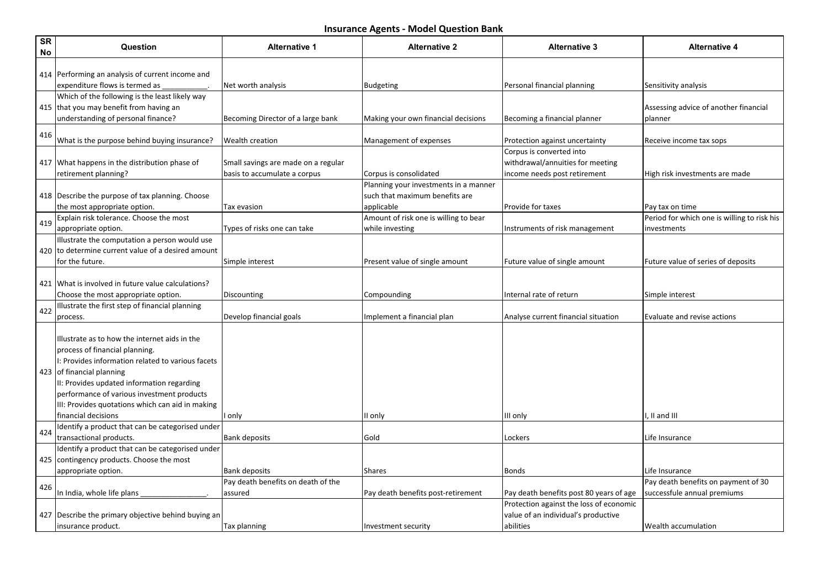| <b>SR</b><br>No | Question                                                                                                                                                                                                                                                                                                                                  | <b>Alternative 1</b>                | <b>Alternative 2</b>                  | <b>Alternative 3</b>                    | <b>Alternative 4</b>                        |
|-----------------|-------------------------------------------------------------------------------------------------------------------------------------------------------------------------------------------------------------------------------------------------------------------------------------------------------------------------------------------|-------------------------------------|---------------------------------------|-----------------------------------------|---------------------------------------------|
|                 | 414 Performing an analysis of current income and                                                                                                                                                                                                                                                                                          |                                     |                                       |                                         |                                             |
|                 | expenditure flows is termed as                                                                                                                                                                                                                                                                                                            | Net worth analysis                  | Budgeting                             | Personal financial planning             | Sensitivity analysis                        |
|                 | Which of the following is the least likely way                                                                                                                                                                                                                                                                                            |                                     |                                       |                                         |                                             |
|                 | 415 that you may benefit from having an                                                                                                                                                                                                                                                                                                   |                                     |                                       |                                         | Assessing advice of another financial       |
|                 | understanding of personal finance?                                                                                                                                                                                                                                                                                                        | Becoming Director of a large bank   | Making your own financial decisions   | Becoming a financial planner            | planner                                     |
| 416             | What is the purpose behind buying insurance?                                                                                                                                                                                                                                                                                              | <b>Wealth creation</b>              | Management of expenses                | Protection against uncertainty          | Receive income tax sops                     |
|                 |                                                                                                                                                                                                                                                                                                                                           |                                     |                                       | Corpus is converted into                |                                             |
|                 | 417 What happens in the distribution phase of                                                                                                                                                                                                                                                                                             | Small savings are made on a regular |                                       | withdrawal/annuities for meeting        |                                             |
|                 | retirement planning?                                                                                                                                                                                                                                                                                                                      | basis to accumulate a corpus        | Corpus is consolidated                | income needs post retirement            | High risk investments are made              |
|                 |                                                                                                                                                                                                                                                                                                                                           |                                     | Planning your investments in a manner |                                         |                                             |
|                 | 418 Describe the purpose of tax planning. Choose                                                                                                                                                                                                                                                                                          |                                     | such that maximum benefits are        |                                         |                                             |
|                 | the most appropriate option.                                                                                                                                                                                                                                                                                                              | Tax evasion                         | applicable                            | <b>Provide for taxes</b>                | Pay tax on time                             |
| 419             | Explain risk tolerance. Choose the most                                                                                                                                                                                                                                                                                                   |                                     | Amount of risk one is willing to bear |                                         | Period for which one is willing to risk his |
|                 | appropriate option.                                                                                                                                                                                                                                                                                                                       | Types of risks one can take         | while investing                       | Instruments of risk management          | investments                                 |
|                 | Illustrate the computation a person would use                                                                                                                                                                                                                                                                                             |                                     |                                       |                                         |                                             |
|                 | 420 to determine current value of a desired amount                                                                                                                                                                                                                                                                                        |                                     |                                       |                                         |                                             |
|                 | for the future.                                                                                                                                                                                                                                                                                                                           | Simple interest                     | Present value of single amount        | Future value of single amount           | Future value of series of deposits          |
|                 |                                                                                                                                                                                                                                                                                                                                           |                                     |                                       |                                         |                                             |
|                 | 421 What is involved in future value calculations?                                                                                                                                                                                                                                                                                        |                                     |                                       |                                         |                                             |
|                 | Choose the most appropriate option.                                                                                                                                                                                                                                                                                                       | Discounting                         | Compounding                           | Internal rate of return                 | Simple interest                             |
| 422             | Illustrate the first step of financial planning                                                                                                                                                                                                                                                                                           |                                     |                                       |                                         |                                             |
|                 | process.                                                                                                                                                                                                                                                                                                                                  | Develop financial goals             | Implement a financial plan            | Analyse current financial situation     | Evaluate and revise actions                 |
|                 | Illlustrate as to how the internet aids in the<br>process of financial planning.<br>I: Provides information related to various facets<br>423 of financial planning<br>II: Provides updated information regarding<br>performance of various investment products<br>III: Provides quotations which can aid in making<br>financial decisions | I only                              | II only                               | III only                                | I, II and III                               |
|                 | Identify a product that can be categorised under                                                                                                                                                                                                                                                                                          |                                     |                                       |                                         |                                             |
| 424             | transactional products.                                                                                                                                                                                                                                                                                                                   | <b>Bank deposits</b>                | Gold                                  | Lockers                                 | Life Insurance                              |
|                 | Identify a product that can be categorised under                                                                                                                                                                                                                                                                                          |                                     |                                       |                                         |                                             |
|                 | 425 contingency products. Choose the most                                                                                                                                                                                                                                                                                                 |                                     |                                       |                                         |                                             |
|                 | appropriate option.                                                                                                                                                                                                                                                                                                                       | <b>Bank deposits</b>                | Shares                                | Bonds                                   | Life Insurance                              |
|                 |                                                                                                                                                                                                                                                                                                                                           | Pay death benefits on death of the  |                                       |                                         | Pay death benefits on payment of 30         |
| 426             | In India, whole life plans                                                                                                                                                                                                                                                                                                                | assured                             | Pay death benefits post-retirement    | Pay death benefits post 80 years of age | successfule annual premiums                 |
|                 |                                                                                                                                                                                                                                                                                                                                           |                                     |                                       | Protection against the loss of economic |                                             |
|                 | 427 Describe the primary objective behind buying an                                                                                                                                                                                                                                                                                       |                                     |                                       | value of an individual's productive     |                                             |
|                 | insurance product.                                                                                                                                                                                                                                                                                                                        | <b>Tax planning</b>                 | Investment security                   | abilities                               | Wealth accumulation                         |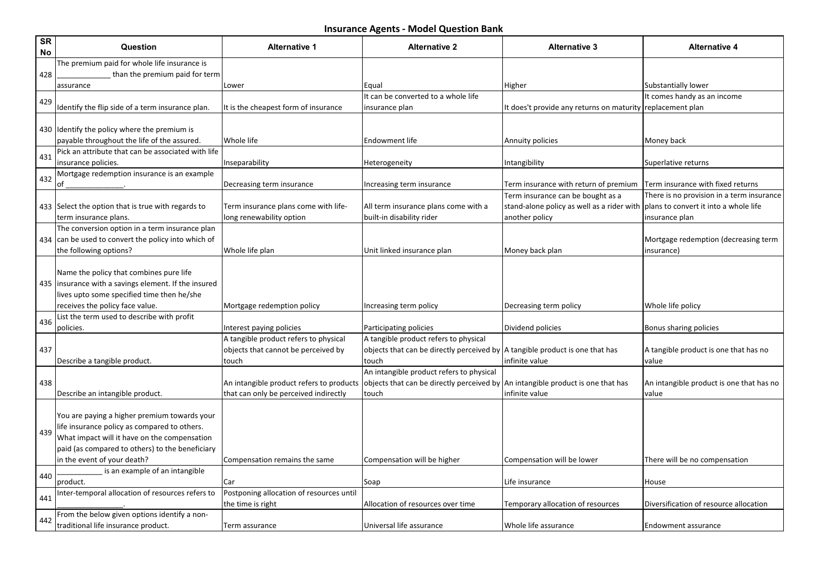| <b>SR</b><br>No | Question                                                                       | <b>Alternative 1</b>                     | <b>Alternative 2</b>                                                           | <b>Alternative 3</b>                                                            | <b>Alternative 4</b>                                                               |
|-----------------|--------------------------------------------------------------------------------|------------------------------------------|--------------------------------------------------------------------------------|---------------------------------------------------------------------------------|------------------------------------------------------------------------------------|
|                 | The premium paid for whole life insurance is                                   |                                          |                                                                                |                                                                                 |                                                                                    |
| 428             | than the premium paid for term                                                 |                                          |                                                                                |                                                                                 |                                                                                    |
|                 | assurance                                                                      | Lower                                    | Equal                                                                          | Higher                                                                          | Substantially lower                                                                |
| 429             |                                                                                |                                          | It can be converted to a whole life                                            |                                                                                 | It comes handy as an income                                                        |
|                 | Identify the flip side of a term insurance plan.                               | It is the cheapest form of insurance     | insurance plan                                                                 | It does't provide any returns on maturity replacement plan                      |                                                                                    |
|                 |                                                                                |                                          |                                                                                |                                                                                 |                                                                                    |
|                 | 430 Identify the policy where the premium is                                   |                                          |                                                                                |                                                                                 |                                                                                    |
|                 | payable throughout the life of the assured.                                    | Whole life                               | Endowment life                                                                 | Annuity policies                                                                | Money back                                                                         |
| 431             | Pick an attribute that can be associated with life                             |                                          |                                                                                |                                                                                 |                                                                                    |
|                 | insurance policies.                                                            | Inseparability                           | Heterogeneity                                                                  | Intangibility                                                                   | Superlative returns                                                                |
| 432             | Mortgage redemption insurance is an example                                    |                                          |                                                                                |                                                                                 |                                                                                    |
|                 | of                                                                             | Decreasing term insurance                | Increasing term insurance                                                      | Term insurance with return of premium                                           | Term insurance with fixed returns                                                  |
|                 | 433 Select the option that is true with regards to                             | Term insurance plans come with life-     | All term insurance plans come with a                                           | Term insurance can be bought as a<br>stand-alone policy as well as a rider with | There is no provision in a term insurance<br>plans to convert it into a whole life |
|                 | term insurance plans.                                                          | long renewability option                 | built-in disability rider                                                      | another policy                                                                  | insurance plan                                                                     |
|                 | The conversion option in a term insurance plan                                 |                                          |                                                                                |                                                                                 |                                                                                    |
|                 | 434 can be used to convert the policy into which of                            |                                          |                                                                                |                                                                                 | Mortgage redemption (decreasing term                                               |
|                 | the following options?                                                         | Whole life plan                          | Unit linked insurance plan                                                     | Money back plan                                                                 | insurance)                                                                         |
|                 |                                                                                |                                          |                                                                                |                                                                                 |                                                                                    |
|                 | Name the policy that combines pure life                                        |                                          |                                                                                |                                                                                 |                                                                                    |
|                 | 435   insurance with a savings element. If the insured                         |                                          |                                                                                |                                                                                 |                                                                                    |
|                 | lives upto some specified time then he/she                                     |                                          |                                                                                |                                                                                 |                                                                                    |
|                 | receives the policy face value.                                                | Mortgage redemption policy               | Increasing term policy                                                         | Decreasing term policy                                                          | Whole life policy                                                                  |
|                 | List the term used to describe with profit                                     |                                          |                                                                                |                                                                                 |                                                                                    |
| 436             | policies.                                                                      | Interest paying policies                 | Participating policies                                                         | Dividend policies                                                               | Bonus sharing policies                                                             |
|                 |                                                                                | A tangible product refers to physical    | A tangible product refers to physical                                          |                                                                                 |                                                                                    |
| 437             |                                                                                | objects that cannot be perceived by      | objects that can be directly perceived by   A tangible product is one that has |                                                                                 | A tangible product is one that has no                                              |
|                 | Describe a tangible product.                                                   | touch                                    | touch                                                                          | infinite value                                                                  | value                                                                              |
|                 |                                                                                |                                          | An intangible product refers to physical                                       |                                                                                 |                                                                                    |
| 438             |                                                                                | An intangible product refers to products | objects that can be directly perceived by                                      | An intangible product is one that has                                           | An intangible product is one that has no                                           |
|                 | Describe an intangible product.                                                | that can only be perceived indirectly    | touch                                                                          | infinite value                                                                  | value                                                                              |
|                 |                                                                                |                                          |                                                                                |                                                                                 |                                                                                    |
|                 | You are paying a higher premium towards your                                   |                                          |                                                                                |                                                                                 |                                                                                    |
| 439             | life insurance policy as compared to others.                                   |                                          |                                                                                |                                                                                 |                                                                                    |
|                 | What impact will it have on the compensation                                   |                                          |                                                                                |                                                                                 |                                                                                    |
|                 | paid (as compared to others) to the beneficiary<br>in the event of your death? |                                          |                                                                                |                                                                                 | There will be no compensation                                                      |
|                 | is an example of an intangible                                                 | Compensation remains the same            | Compensation will be higher                                                    | Compensation will be lower                                                      |                                                                                    |
| 440             | product.                                                                       | Car                                      | Soap                                                                           | Life insurance                                                                  | House                                                                              |
|                 | Inter-temporal allocation of resources refers to                               | Postponing allocation of resources until |                                                                                |                                                                                 |                                                                                    |
| 441             |                                                                                | the time is right                        | Allocation of resources over time                                              | Temporary allocation of resources                                               | Diversification of resource allocation                                             |
|                 | From the below given options identify a non-                                   |                                          |                                                                                |                                                                                 |                                                                                    |
| 442             | traditional life insurance product.                                            | Term assurance                           | Universal life assurance                                                       | Whole life assurance                                                            | Endowment assurance                                                                |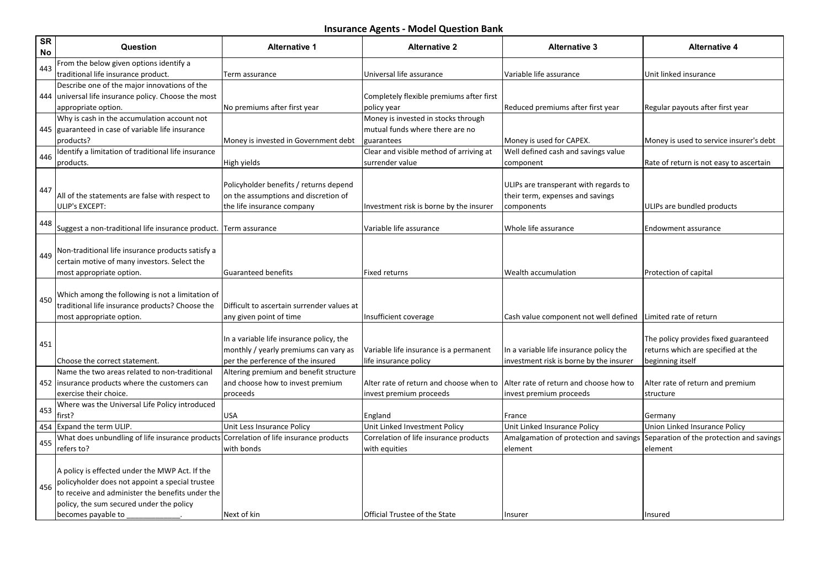| SR<br><b>No</b> | Question                                            | <b>Alternative 1</b>                                                           | <b>Alternative 2</b>                     | <b>Alternative 3</b>                                                      | <b>Alternative 4</b>                     |
|-----------------|-----------------------------------------------------|--------------------------------------------------------------------------------|------------------------------------------|---------------------------------------------------------------------------|------------------------------------------|
| 443             | From the below given options identify a             |                                                                                |                                          |                                                                           |                                          |
|                 | traditional life insurance product.                 | Term assurance                                                                 | Universal life assurance                 | Variable life assurance                                                   | Unit linked insurance                    |
|                 | Describe one of the major innovations of the        |                                                                                |                                          |                                                                           |                                          |
| 444             | universal life insurance policy. Choose the most    |                                                                                | Completely flexible premiums after first |                                                                           |                                          |
|                 | appropriate option.                                 | No premiums after first year                                                   | policy year                              | Reduced premiums after first year                                         | Regular payouts after first year         |
|                 | Why is cash in the accumulation account not         |                                                                                | Money is invested in stocks through      |                                                                           |                                          |
|                 | 445 guaranteed in case of variable life insurance   |                                                                                | mutual funds where there are no          |                                                                           |                                          |
|                 | products?                                           | Money is invested in Government debt                                           | guarantees                               | Money is used for CAPEX.                                                  | Money is used to service insurer's debt  |
| 446             | Identify a limitation of traditional life insurance |                                                                                | Clear and visible method of arriving at  | Well defined cash and savings value                                       |                                          |
|                 | products.                                           | High yields                                                                    | surrender value                          | component                                                                 | Rate of return is not easy to ascertain  |
|                 |                                                     |                                                                                |                                          |                                                                           |                                          |
| 447             | All of the statements are false with respect to     | Policyholder benefits / returns depend<br>on the assumptions and discretion of |                                          | ULIPs are transperant with regards to<br>their term, expenses and savings |                                          |
|                 | ULIP's EXCEPT:                                      | the life insurance company                                                     | Investment risk is borne by the insurer  | components                                                                | ULIPs are bundled products               |
|                 |                                                     |                                                                                |                                          |                                                                           |                                          |
| 448             | Suggest a non-traditional life insurance product.   | Term assurance                                                                 | Variable life assurance                  | Whole life assurance                                                      | Endowment assurance                      |
|                 |                                                     |                                                                                |                                          |                                                                           |                                          |
|                 | Non-traditional life insurance products satisfy a   |                                                                                |                                          |                                                                           |                                          |
| 449             | certain motive of many investors. Select the        |                                                                                |                                          |                                                                           |                                          |
|                 | most appropriate option.                            | <b>Guaranteed benefits</b>                                                     | <b>Fixed returns</b>                     | Wealth accumulation                                                       | Protection of capital                    |
|                 |                                                     |                                                                                |                                          |                                                                           |                                          |
| 450             | Which among the following is not a limitation of    |                                                                                |                                          |                                                                           |                                          |
|                 | traditional life insurance products? Choose the     | Difficult to ascertain surrender values at                                     |                                          |                                                                           |                                          |
|                 | most appropriate option.                            | any given point of time                                                        | Insufficient coverage                    | Cash value component not well defined                                     | lLimited rate of return                  |
|                 |                                                     |                                                                                |                                          |                                                                           |                                          |
| 451             |                                                     | In a variable life insurance policy, the                                       |                                          |                                                                           | The policy provides fixed guaranteed     |
|                 |                                                     | monthly / yearly premiums can vary as                                          | Variable life insurance is a permanent   | In a variable life insurance policy the                                   | returns which are specified at the       |
|                 | Choose the correct statement.                       | per the perference of the insured                                              | life insurance policy                    | investment risk is borne by the insurer                                   | beginning itself                         |
|                 | Name the two areas related to non-traditional       | Altering premium and benefit structure                                         |                                          |                                                                           |                                          |
|                 | 452 linsurance products where the customers can     | and choose how to invest premium                                               | Alter rate of return and choose when to  | Alter rate of return and choose how to                                    | Alter rate of return and premium         |
|                 | exercise their choice.                              | proceeds                                                                       | invest premium proceeds                  | invest premium proceeds                                                   | structure                                |
| 453             | Where was the Universal Life Policy introduced      |                                                                                |                                          |                                                                           |                                          |
| 454             | first?<br><b>Expand the term ULIP.</b>              | USA<br>Unit Less Insurance Policy                                              | England<br>Unit Linked Investment Policy | France<br>Unit Linked Insurance Policy                                    | Germany<br>Union Linked Insurance Policy |
|                 | What does unbundling of life insurance products     | Correlation of life insurance products                                         | Correlation of life insurance products   | Amalgamation of protection and savings                                    | Separation of the protection and savings |
| 455             | refers to?                                          | with bonds                                                                     | with equities                            | element                                                                   | element                                  |
|                 |                                                     |                                                                                |                                          |                                                                           |                                          |
|                 | A policy is effected under the MWP Act. If the      |                                                                                |                                          |                                                                           |                                          |
|                 | policyholder does not appoint a special trustee     |                                                                                |                                          |                                                                           |                                          |
| 456             | to receive and administer the benefits under the    |                                                                                |                                          |                                                                           |                                          |
|                 | policy, the sum secured under the policy            |                                                                                |                                          |                                                                           |                                          |
|                 | becomes payable to                                  | Next of kin                                                                    | Official Trustee of the State            | Insurer                                                                   | Insured                                  |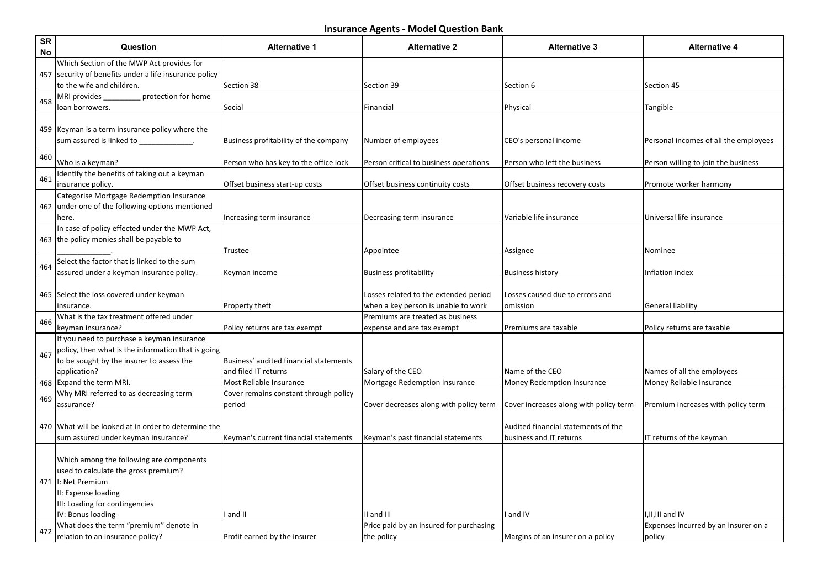| SR<br>No | Question                                               | <b>Alternative 1</b>                   | <b>Alternative 2</b>                    | <b>Alternative 3</b>                   | <b>Alternative 4</b>                  |
|----------|--------------------------------------------------------|----------------------------------------|-----------------------------------------|----------------------------------------|---------------------------------------|
|          | Which Section of the MWP Act provides for              |                                        |                                         |                                        |                                       |
|          | 457 security of benefits under a life insurance policy |                                        |                                         |                                        |                                       |
|          | to the wife and children.                              | Section 38                             | Section 39                              | Section 6                              | Section 45                            |
| 458      | protection for home<br>MRI provides                    |                                        |                                         |                                        |                                       |
|          | loan borrowers.                                        | Social                                 | Financial                               | Physical                               | Tangible                              |
|          | 459 Keyman is a term insurance policy where the        |                                        |                                         |                                        |                                       |
|          | sum assured is linked to                               | Business profitability of the company  | Number of employees                     | CEO's personal income                  | Personal incomes of all the employees |
|          |                                                        |                                        |                                         |                                        |                                       |
| 460      | Who is a keyman?                                       | Person who has key to the office lock  | Person critical to business operations  | Person who left the business           | Person willing to join the business   |
|          | Identify the benefits of taking out a keyman           |                                        |                                         |                                        |                                       |
| 461      | insurance policy.                                      | Offset business start-up costs         | Offset business continuity costs        | Offset business recovery costs         | Promote worker harmony                |
|          | Categorise Mortgage Redemption Insurance               |                                        |                                         |                                        |                                       |
|          | 462 under one of the following options mentioned       |                                        |                                         |                                        |                                       |
|          | here.                                                  | Increasing term insurance              | Decreasing term insurance               | Variable life insurance                | Universal life insurance              |
|          | In case of policy effected under the MWP Act,          |                                        |                                         |                                        |                                       |
|          | 463 the policy monies shall be payable to              |                                        |                                         |                                        |                                       |
|          |                                                        | Trustee                                | Appointee                               | Assignee                               | Nominee                               |
| 464      | Select the factor that is linked to the sum            |                                        |                                         |                                        |                                       |
|          | assured under a keyman insurance policy.               | Keyman income                          | <b>Business profitability</b>           | <b>Business history</b>                | Inflation index                       |
|          | 465 Select the loss covered under keyman               |                                        | Losses related to the extended period   | Losses caused due to errors and        |                                       |
|          | insurance.                                             | Property theft                         | when a key person is unable to work     | omission                               | General liability                     |
|          | What is the tax treatment offered under                |                                        | Premiums are treated as business        |                                        |                                       |
| 466      | keyman insurance?                                      | Policy returns are tax exempt          | expense and are tax exempt              | Premiums are taxable                   | Policy returns are taxable            |
|          | If you need to purchase a keyman insurance             |                                        |                                         |                                        |                                       |
|          | $ $ policy, then what is the information that is going |                                        |                                         |                                        |                                       |
| 467      | to be sought by the insurer to assess the              | Business' audited financial statements |                                         |                                        |                                       |
|          | application?                                           | and filed IT returns                   | Salary of the CEO                       | Name of the CEO                        | Names of all the employees            |
|          | 468 Expand the term MRI.                               | Most Reliable Insurance                | Mortgage Redemption Insurance           | Money Redemption Insurance             | Money Reliable Insurance              |
| 469      | Why MRI referred to as decreasing term                 | Cover remains constant through policy  |                                         |                                        |                                       |
|          | assurance?                                             | period                                 | Cover decreases along with policy term  | Cover increases along with policy term | Premium increases with policy term    |
|          |                                                        |                                        |                                         |                                        |                                       |
|          | 470 What will be looked at in order to determine the   |                                        |                                         | Audited financial statements of the    |                                       |
|          | sum assured under keyman insurance?                    | Kevman's current financial statements  | Keyman's past financial statements      | business and IT returns                | IT returns of the keyman              |
|          | Which among the following are components               |                                        |                                         |                                        |                                       |
|          | used to calculate the gross premium?                   |                                        |                                         |                                        |                                       |
|          | 471   I: Net Premium                                   |                                        |                                         |                                        |                                       |
|          | II: Expense loading                                    |                                        |                                         |                                        |                                       |
|          | III: Loading for contingencies                         |                                        |                                         |                                        |                                       |
|          | IV: Bonus loading                                      | I and II                               | II and III                              | I and IV                               | I,II,III and IV                       |
|          | What does the term "premium" denote in                 |                                        | Price paid by an insured for purchasing |                                        | Expenses incurred by an insurer on a  |
| 472      | relation to an insurance policy?                       | Profit earned by the insurer           | the policy                              | Margins of an insurer on a policy      | policy                                |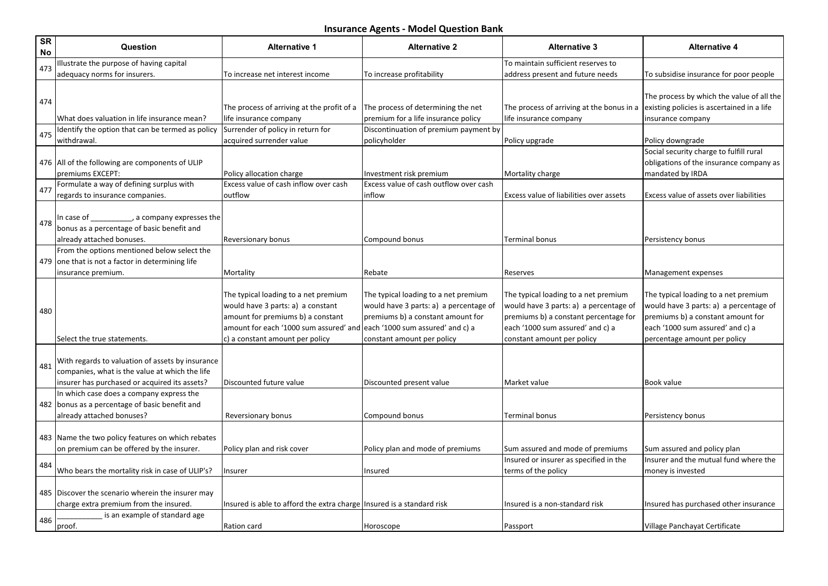| <b>SR</b><br>No | Question                                                                                                                                            | <b>Alternative 1</b>                                                                                                                                                                        | <b>Alternative 2</b>                                                                                                                                                                  | <b>Alternative 3</b>                                                                                                                                                                      | <b>Alternative 4</b>                                                                                                                                                                    |
|-----------------|-----------------------------------------------------------------------------------------------------------------------------------------------------|---------------------------------------------------------------------------------------------------------------------------------------------------------------------------------------------|---------------------------------------------------------------------------------------------------------------------------------------------------------------------------------------|-------------------------------------------------------------------------------------------------------------------------------------------------------------------------------------------|-----------------------------------------------------------------------------------------------------------------------------------------------------------------------------------------|
| 473             | llustrate the purpose of having capital                                                                                                             |                                                                                                                                                                                             |                                                                                                                                                                                       | To maintain sufficient reserves to                                                                                                                                                        |                                                                                                                                                                                         |
|                 | adequacy norms for insurers.                                                                                                                        | To increase net interest income                                                                                                                                                             | To increase profitability                                                                                                                                                             | address present and future needs                                                                                                                                                          | To subsidise insurance for poor people                                                                                                                                                  |
| 474             | What does valuation in life insurance mean?                                                                                                         | The process of arriving at the profit of a<br>life insurance company                                                                                                                        | The process of determining the net<br>premium for a life insurance policy                                                                                                             | The process of arriving at the bonus in a<br>life insurance company                                                                                                                       | The process by which the value of all the<br>existing policies is ascertained in a life<br>insurance company                                                                            |
| 475             | Identify the option that can be termed as policy                                                                                                    | Surrender of policy in return for                                                                                                                                                           | Discontinuation of premium payment by                                                                                                                                                 |                                                                                                                                                                                           |                                                                                                                                                                                         |
|                 | withdrawal.                                                                                                                                         | acquired surrender value                                                                                                                                                                    | policyholder                                                                                                                                                                          | Policy upgrade                                                                                                                                                                            | Policy downgrade                                                                                                                                                                        |
|                 | 476 All of the following are components of ULIP<br>premiums EXCEPT:                                                                                 | Policy allocation charge                                                                                                                                                                    | Investment risk premium                                                                                                                                                               | Mortality charge                                                                                                                                                                          | Social security charge to fulfill rural<br>obligations of the insurance company as<br>mandated by IRDA                                                                                  |
|                 | Formulate a way of defining surplus with                                                                                                            | Excess value of cash inflow over cash                                                                                                                                                       | Excess value of cash outflow over cash                                                                                                                                                |                                                                                                                                                                                           |                                                                                                                                                                                         |
| 477             | regards to insurance companies.                                                                                                                     | outfiow                                                                                                                                                                                     | inflow                                                                                                                                                                                | Excess value of liabilities over assets                                                                                                                                                   | Excess value of assets over liabilities                                                                                                                                                 |
| 478             | In case of<br>$\qquad$ , a company expresses the<br>bonus as a percentage of basic benefit and<br>already attached bonuses.                         | Reversionary bonus                                                                                                                                                                          | Compound bonus                                                                                                                                                                        | Terminal bonus                                                                                                                                                                            | Persistency bonus                                                                                                                                                                       |
|                 | From the options mentioned below select the                                                                                                         |                                                                                                                                                                                             |                                                                                                                                                                                       |                                                                                                                                                                                           |                                                                                                                                                                                         |
|                 | 479 one that is not a factor in determining life                                                                                                    |                                                                                                                                                                                             |                                                                                                                                                                                       |                                                                                                                                                                                           |                                                                                                                                                                                         |
|                 | insurance premium.                                                                                                                                  | Mortality                                                                                                                                                                                   | Rebate                                                                                                                                                                                | Reserves                                                                                                                                                                                  | Management expenses                                                                                                                                                                     |
| 480             | lSelect the true statements.                                                                                                                        | The typical loading to a net premium<br>would have 3 parts: a) a constant<br>amount for premiums b) a constant<br>amount for each '1000 sum assured' and<br>c) a constant amount per policy | The typical loading to a net premium<br>would have 3 parts: a) a percentage of<br>premiums b) a constant amount for<br>each '1000 sum assured' and c) a<br>constant amount per policy | The typical loading to a net premium<br>would have 3 parts: a) a percentage of<br>premiums b) a constant percentage for<br>each '1000 sum assured' and c) a<br>constant amount per policy | The typical loading to a net premium<br>would have 3 parts: a) a percentage of<br>premiums b) a constant amount for<br>each '1000 sum assured' and c) a<br>percentage amount per policy |
|                 |                                                                                                                                                     |                                                                                                                                                                                             |                                                                                                                                                                                       |                                                                                                                                                                                           |                                                                                                                                                                                         |
| 481             | With regards to valuation of assets by insurance<br>companies, what is the value at which the life<br>insurer has purchased or acquired its assets? | Discounted future value                                                                                                                                                                     | Discounted present value                                                                                                                                                              | Market value                                                                                                                                                                              | Book value                                                                                                                                                                              |
|                 | In which case does a company express the<br>482 bonus as a percentage of basic benefit and<br>already attached bonuses?                             | Reversionary bonus                                                                                                                                                                          | Compound bonus                                                                                                                                                                        | <b>Terminal bonus</b>                                                                                                                                                                     | Persistency bonus                                                                                                                                                                       |
|                 | 483 Name the two policy features on which rebates<br>on premium can be offered by the insurer.                                                      | Policy plan and risk cover                                                                                                                                                                  | Policy plan and mode of premiums                                                                                                                                                      | Sum assured and mode of premiums                                                                                                                                                          | Sum assured and policy plan                                                                                                                                                             |
| 484             |                                                                                                                                                     |                                                                                                                                                                                             |                                                                                                                                                                                       | Insured or insurer as specified in the                                                                                                                                                    | Insurer and the mutual fund where the                                                                                                                                                   |
|                 | Who bears the mortality risk in case of ULIP's?                                                                                                     | Insurer                                                                                                                                                                                     | Insured                                                                                                                                                                               | terms of the policy                                                                                                                                                                       | money is invested                                                                                                                                                                       |
|                 | 485 Discover the scenario wherein the insurer may<br>charge extra premium from the insured.                                                         | Insured is able to afford the extra charge   Insured is a standard risk                                                                                                                     |                                                                                                                                                                                       | Insured is a non-standard risk                                                                                                                                                            | Insured has purchased other insurance                                                                                                                                                   |
| 486             | is an example of standard age                                                                                                                       |                                                                                                                                                                                             |                                                                                                                                                                                       |                                                                                                                                                                                           |                                                                                                                                                                                         |
|                 | proof.                                                                                                                                              | Ration card                                                                                                                                                                                 | Horoscope                                                                                                                                                                             | Passport                                                                                                                                                                                  | Village Panchayat Certificate                                                                                                                                                           |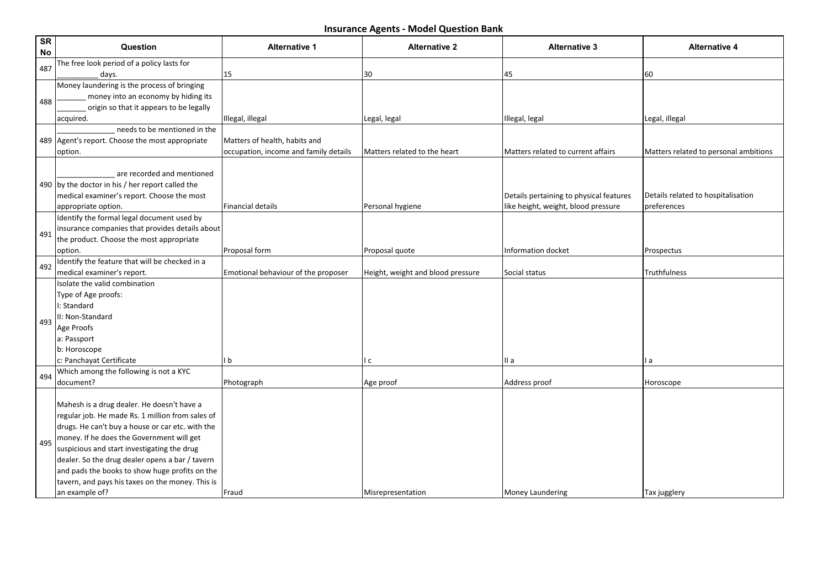| <b>SR</b><br>No | Question                                         | <b>Alternative 1</b>                  | <b>Alternative 2</b>              | <b>Alternative 3</b>                    | <b>Alternative 4</b>                  |
|-----------------|--------------------------------------------------|---------------------------------------|-----------------------------------|-----------------------------------------|---------------------------------------|
|                 | The free look period of a policy lasts for       |                                       |                                   |                                         |                                       |
| 487             | days.                                            | 15                                    | 30                                | 45                                      | 60                                    |
|                 | Money laundering is the process of bringing      |                                       |                                   |                                         |                                       |
| 488             | money into an economy by hiding its              |                                       |                                   |                                         |                                       |
|                 | origin so that it appears to be legally          |                                       |                                   |                                         |                                       |
|                 | acquired.                                        | Illegal, illegal                      | Legal, legal                      | Illegal, legal                          | Legal, illegal                        |
|                 | needs to be mentioned in the                     |                                       |                                   |                                         |                                       |
|                 | 489 Agent's report. Choose the most appropriate  | Matters of health, habits and         |                                   |                                         |                                       |
|                 | option.                                          | occupation, income and family details | Matters related to the heart      | Matters related to current affairs      | Matters related to personal ambitions |
|                 |                                                  |                                       |                                   |                                         |                                       |
|                 | are recorded and mentioned                       |                                       |                                   |                                         |                                       |
|                 | 490 by the doctor in his / her report called the |                                       |                                   |                                         |                                       |
|                 | medical examiner's report. Choose the most       |                                       |                                   | Details pertaining to physical features | Details related to hospitalisation    |
|                 | appropriate option.                              | Financial details                     | Personal hygiene                  | like height, weight, blood pressure     | preferences                           |
|                 | Identify the formal legal document used by       |                                       |                                   |                                         |                                       |
| 491             | insurance companies that provides details about  |                                       |                                   |                                         |                                       |
|                 | the product. Choose the most appropriate         |                                       |                                   |                                         |                                       |
|                 | loption.                                         | Proposal form                         | Proposal quote                    | Information docket                      | Prospectus                            |
| 492             | Identify the feature that will be checked in a   |                                       |                                   |                                         |                                       |
|                 | medical examiner's report.                       | Emotional behaviour of the proposer   | Height, weight and blood pressure | Social status                           | Truthfulness                          |
|                 | Isolate the valid combination                    |                                       |                                   |                                         |                                       |
|                 | Type of Age proofs:                              |                                       |                                   |                                         |                                       |
|                 | I: Standard                                      |                                       |                                   |                                         |                                       |
| 493             | II: Non-Standard                                 |                                       |                                   |                                         |                                       |
|                 | Age Proofs                                       |                                       |                                   |                                         |                                       |
|                 | a: Passport                                      |                                       |                                   |                                         |                                       |
|                 | b: Horoscope                                     |                                       |                                   |                                         |                                       |
|                 | c: Panchayat Certificate                         | l b                                   | c                                 | II a                                    | l a                                   |
| 494             | Which among the following is not a KYC           |                                       |                                   |                                         |                                       |
|                 | document?                                        | Photograph                            | Age proof                         | Address proof                           | Horoscope                             |
|                 |                                                  |                                       |                                   |                                         |                                       |
|                 | Mahesh is a drug dealer. He doesn't have a       |                                       |                                   |                                         |                                       |
|                 | regular job. He made Rs. 1 million from sales of |                                       |                                   |                                         |                                       |
|                 | drugs. He can't buy a house or car etc. with the |                                       |                                   |                                         |                                       |
| 495             | money. If he does the Government will get        |                                       |                                   |                                         |                                       |
|                 | suspicious and start investigating the drug      |                                       |                                   |                                         |                                       |
|                 | dealer. So the drug dealer opens a bar / tavern  |                                       |                                   |                                         |                                       |
|                 | and pads the books to show huge profits on the   |                                       |                                   |                                         |                                       |
|                 | tavern, and pays his taxes on the money. This is |                                       |                                   |                                         |                                       |
|                 | an example of?                                   | Fraud                                 | Misrepresentation                 | Money Laundering                        | Tax jugglery                          |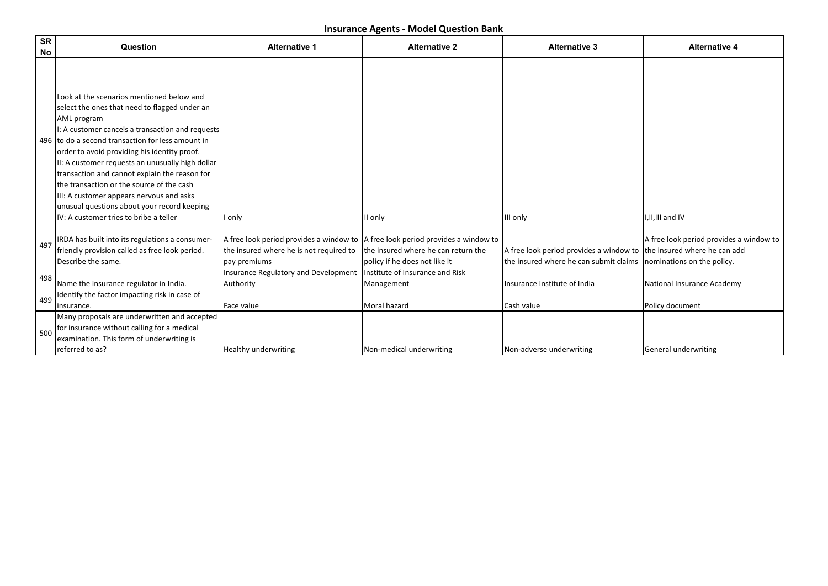| <b>SR</b><br>No | Question                                                                                                                                                                                                                                                                                                                                                                                                                                                                                                                                                   | <b>Alternative 1</b>                                                                                                                           | <b>Alternative 2</b>                                                 | <b>Alternative 3</b>                                                              | <b>Alternative 4</b>                                                                                  |
|-----------------|------------------------------------------------------------------------------------------------------------------------------------------------------------------------------------------------------------------------------------------------------------------------------------------------------------------------------------------------------------------------------------------------------------------------------------------------------------------------------------------------------------------------------------------------------------|------------------------------------------------------------------------------------------------------------------------------------------------|----------------------------------------------------------------------|-----------------------------------------------------------------------------------|-------------------------------------------------------------------------------------------------------|
|                 | Look at the scenarios mentioned below and<br>select the ones that need to flagged under an<br>AML program<br>I: A customer cancels a transaction and requests<br>496 Ito do a second transaction for less amount in<br>order to avoid providing his identity proof.<br>II: A customer requests an unusually high dollar<br>transaction and cannot explain the reason for<br>the transaction or the source of the cash<br>III: A customer appears nervous and asks<br>unusual questions about your record keeping<br>IV: A customer tries to bribe a teller | I only                                                                                                                                         | II only                                                              | III only                                                                          | I, II, III and IV                                                                                     |
| 497             | IRDA has built into its regulations a consumer-<br>friendly provision called as free look period.<br>Describe the same.                                                                                                                                                                                                                                                                                                                                                                                                                                    | A free look period provides a window to $ A $ free look period provides a window to<br>the insured where he is not required to<br>pay premiums | the insured where he can return the<br>policy if he does not like it | A free look period provides a window to<br>the insured where he can submit claims | A free look period provides a window to<br>the insured where he can add<br>nominations on the policy. |
| 498             | Name the insurance regulator in India.                                                                                                                                                                                                                                                                                                                                                                                                                                                                                                                     | Insurance Regulatory and Development<br>Authority                                                                                              | Institute of Insurance and Risk<br>Management                        | Insurance Institute of India                                                      | National Insurance Academy                                                                            |
| 499             | Identify the factor impacting risk in case of<br>insurance.                                                                                                                                                                                                                                                                                                                                                                                                                                                                                                | Face value                                                                                                                                     | Moral hazard                                                         | Cash value                                                                        | Policy document                                                                                       |
| l 500           | Many proposals are underwritten and accepted<br>for insurance without calling for a medical<br>examination. This form of underwriting is<br>referred to as?                                                                                                                                                                                                                                                                                                                                                                                                | <b>Healthy underwriting</b>                                                                                                                    | Non-medical underwriting                                             | Non-adverse underwriting                                                          | General underwriting                                                                                  |